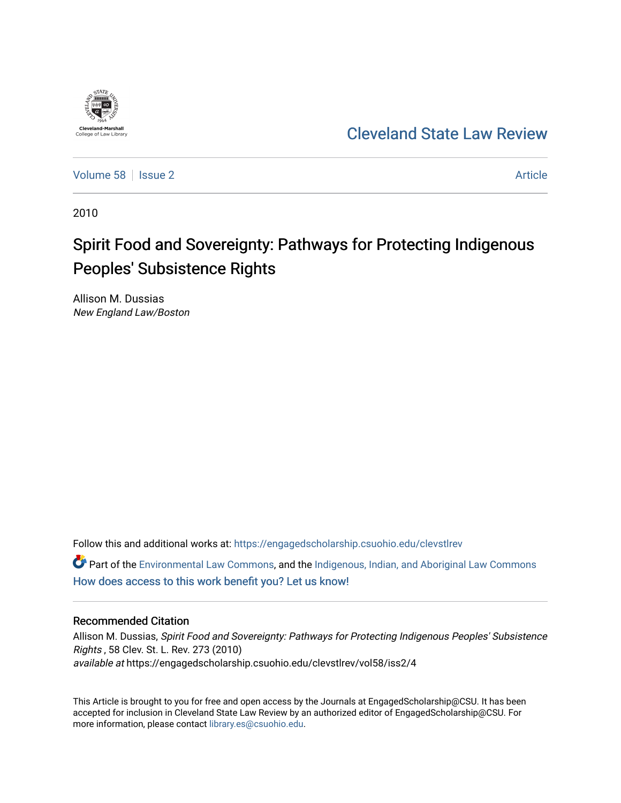

# [Cleveland State Law Review](https://engagedscholarship.csuohio.edu/clevstlrev)

[Volume 58](https://engagedscholarship.csuohio.edu/clevstlrev/vol58) | [Issue 2](https://engagedscholarship.csuohio.edu/clevstlrev/vol58/iss2) Article

2010

# Spirit Food and Sovereignty: Pathways for Protecting Indigenous Peoples' Subsistence Rights

Allison M. Dussias New England Law/Boston

Follow this and additional works at: [https://engagedscholarship.csuohio.edu/clevstlrev](https://engagedscholarship.csuohio.edu/clevstlrev?utm_source=engagedscholarship.csuohio.edu%2Fclevstlrev%2Fvol58%2Fiss2%2F4&utm_medium=PDF&utm_campaign=PDFCoverPages)

 $\bullet$  Part of the [Environmental Law Commons](http://network.bepress.com/hgg/discipline/599?utm_source=engagedscholarship.csuohio.edu%2Fclevstlrev%2Fvol58%2Fiss2%2F4&utm_medium=PDF&utm_campaign=PDFCoverPages), and the [Indigenous, Indian, and Aboriginal Law Commons](http://network.bepress.com/hgg/discipline/894?utm_source=engagedscholarship.csuohio.edu%2Fclevstlrev%2Fvol58%2Fiss2%2F4&utm_medium=PDF&utm_campaign=PDFCoverPages) [How does access to this work benefit you? Let us know!](http://library.csuohio.edu/engaged/)

# Recommended Citation

Allison M. Dussias, Spirit Food and Sovereignty: Pathways for Protecting Indigenous Peoples' Subsistence Rights , 58 Clev. St. L. Rev. 273 (2010) available at https://engagedscholarship.csuohio.edu/clevstlrev/vol58/iss2/4

This Article is brought to you for free and open access by the Journals at EngagedScholarship@CSU. It has been accepted for inclusion in Cleveland State Law Review by an authorized editor of EngagedScholarship@CSU. For more information, please contact [library.es@csuohio.edu](mailto:library.es@csuohio.edu).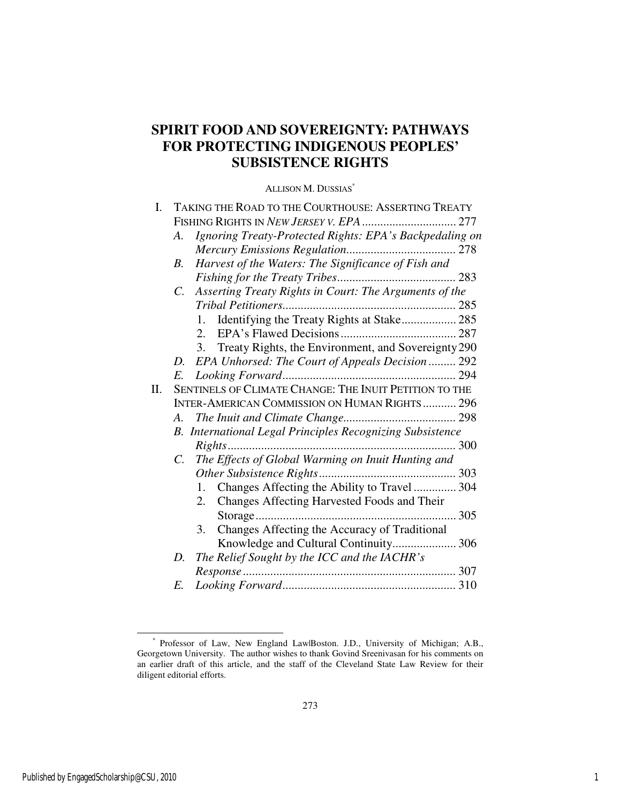# **SPIRIT FOOD AND SOVEREIGNTY: PATHWAYS FOR PROTECTING INDIGENOUS PEOPLES' SUBSISTENCE RIGHTS**

# ALLISON M. DUSSIAS\*

| I. | TAKING THE ROAD TO THE COURTHOUSE: ASSERTING TREATY               |
|----|-------------------------------------------------------------------|
|    |                                                                   |
|    | Ignoring Treaty-Protected Rights: EPA's Backpedaling on<br>A.     |
|    |                                                                   |
|    | Harvest of the Waters: The Significance of Fish and<br>B.         |
|    |                                                                   |
|    | Asserting Treaty Rights in Court: The Arguments of the<br>C.      |
|    |                                                                   |
|    | Identifying the Treaty Rights at Stake 285<br>1.                  |
|    | 2.                                                                |
|    | Treaty Rights, the Environment, and Sovereignty 290<br>3.         |
|    | D. EPA Unhorsed: The Court of Appeals Decision  292               |
|    |                                                                   |
| Π. | SENTINELS OF CLIMATE CHANGE: THE INUIT PETITION TO THE            |
|    | <b>INTER-AMERICAN COMMISSION ON HUMAN RIGHTS 296</b>              |
|    |                                                                   |
|    | <b>B.</b> International Legal Principles Recognizing Subsistence  |
|    |                                                                   |
|    | The Effects of Global Warming on Inuit Hunting and<br>$C_{\cdot}$ |
|    |                                                                   |
|    | Changes Affecting the Ability to Travel  304<br>1.                |
|    | Changes Affecting Harvested Foods and Their<br>2.                 |
|    |                                                                   |
|    | Changes Affecting the Accuracy of Traditional<br>3.               |
|    | Knowledge and Cultural Continuity 306                             |
|    | The Relief Sought by the ICC and the IACHR's<br>D.                |
|    |                                                                   |
|    | E.                                                                |

 <sup>\*</sup> Professor of Law, New England Law|Boston. J.D., University of Michigan; A.B., Georgetown University. The author wishes to thank Govind Sreenivasan for his comments on an earlier draft of this article, and the staff of the Cleveland State Law Review for their diligent editorial efforts.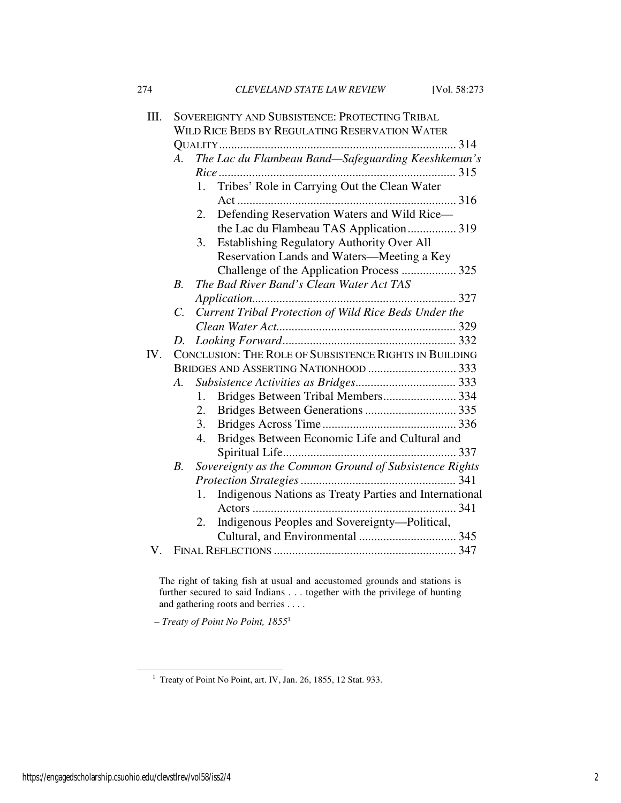| 274 | CLEVELAND STATE LAW REVIEW | [Vol. 58:273] |
|-----|----------------------------|---------------|
|     |                            |               |

| III. |                    | SOVEREIGNTY AND SUBSISTENCE: PROTECTING TRIBAL               |
|------|--------------------|--------------------------------------------------------------|
|      |                    | WILD RICE BEDS BY REGULATING RESERVATION WATER               |
|      |                    |                                                              |
|      | A.                 | The Lac du Flambeau Band-Safeguarding Keeshkemun's           |
|      |                    |                                                              |
|      |                    | Tribes' Role in Carrying Out the Clean Water<br>1.           |
|      |                    | Defending Reservation Waters and Wild Rice-<br>2.            |
|      |                    | the Lac du Flambeau TAS Application 319                      |
|      |                    | Establishing Regulatory Authority Over All<br>3.             |
|      |                    | Reservation Lands and Waters-Meeting a Key                   |
|      |                    | Challenge of the Application Process  325                    |
|      | $\boldsymbol{B}$ . | The Bad River Band's Clean Water Act TAS                     |
|      |                    |                                                              |
|      | $C_{\cdot}$        | Current Tribal Protection of Wild Rice Beds Under the        |
|      |                    |                                                              |
|      |                    |                                                              |
| IV.  |                    | CONCLUSION: THE ROLE OF SUBSISTENCE RIGHTS IN BUILDING       |
|      |                    |                                                              |
|      |                    |                                                              |
|      | A.                 |                                                              |
|      |                    | Bridges Between Tribal Members 334<br>1.                     |
|      |                    | 2.                                                           |
|      |                    | 3.                                                           |
|      |                    | 4.<br>Bridges Between Economic Life and Cultural and         |
|      |                    |                                                              |
|      | В.                 | Sovereignty as the Common Ground of Subsistence Rights       |
|      |                    |                                                              |
|      |                    | Indigenous Nations as Treaty Parties and International<br>1. |
|      |                    |                                                              |
|      |                    | 2.<br>Indigenous Peoples and Sovereignty—Political,          |
| V.   |                    |                                                              |

The right of taking fish at usual and accustomed grounds and stations is further secured to said Indians . . . together with the privilege of hunting and gathering roots and berries . . . .

 *– Treaty of Point No Point, 1855*<sup>1</sup>

l

<sup>&</sup>lt;sup>1</sup> Treaty of Point No Point, art. IV, Jan. 26, 1855, 12 Stat. 933.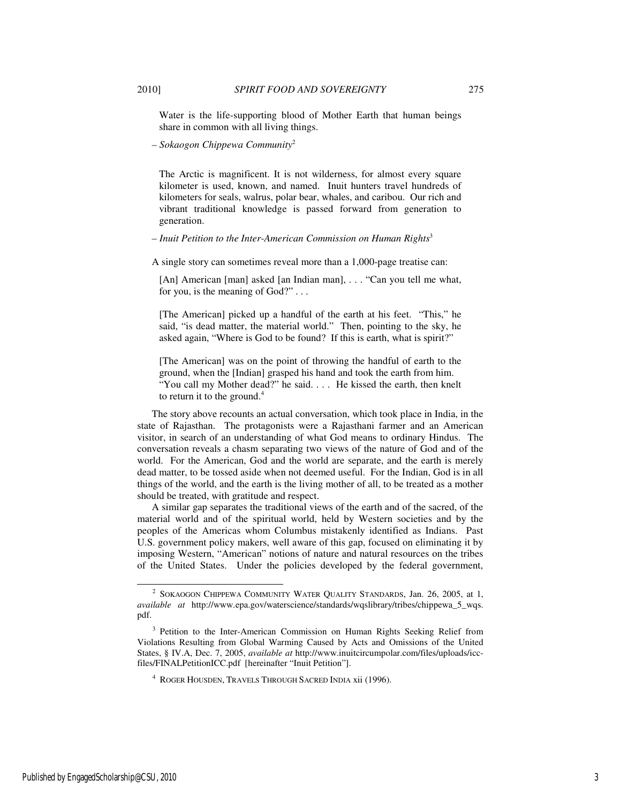Water is the life-supporting blood of Mother Earth that human beings share in common with all living things.

*– Sokaogon Chippewa Community*<sup>2</sup>

The Arctic is magnificent. It is not wilderness, for almost every square kilometer is used, known, and named. Inuit hunters travel hundreds of kilometers for seals, walrus, polar bear, whales, and caribou. Our rich and vibrant traditional knowledge is passed forward from generation to generation.

#### *– Inuit Petition to the Inter-American Commission on Human Rights*<sup>3</sup>

A single story can sometimes reveal more than a 1,000-page treatise can:

[An] American [man] asked [an Indian man], . . . "Can you tell me what, for you, is the meaning of God?" . . .

[The American] picked up a handful of the earth at his feet. "This," he said, "is dead matter, the material world." Then, pointing to the sky, he asked again, "Where is God to be found? If this is earth, what is spirit?"

[The American] was on the point of throwing the handful of earth to the ground, when the [Indian] grasped his hand and took the earth from him. "You call my Mother dead?" he said. . . . He kissed the earth, then knelt to return it to the ground.<sup>4</sup>

The story above recounts an actual conversation, which took place in India, in the state of Rajasthan. The protagonists were a Rajasthani farmer and an American visitor, in search of an understanding of what God means to ordinary Hindus. The conversation reveals a chasm separating two views of the nature of God and of the world. For the American, God and the world are separate, and the earth is merely dead matter, to be tossed aside when not deemed useful. For the Indian, God is in all things of the world, and the earth is the living mother of all, to be treated as a mother should be treated, with gratitude and respect.

A similar gap separates the traditional views of the earth and of the sacred, of the material world and of the spiritual world, held by Western societies and by the peoples of the Americas whom Columbus mistakenly identified as Indians. Past U.S. government policy makers, well aware of this gap, focused on eliminating it by imposing Western, "American" notions of nature and natural resources on the tribes of the United States. Under the policies developed by the federal government,

4 ROGER HOUSDEN, TRAVELS THROUGH SACRED INDIA xii (1996).

<sup>&</sup>lt;sup>2</sup> SOKAOGON CHIPPEWA COMMUNITY WATER QUALITY STANDARDS, Jan. 26, 2005, at 1, *available at* http://www.epa.gov/waterscience/standards/wqslibrary/tribes/chippewa\_5\_wqs. pdf.

<sup>&</sup>lt;sup>3</sup> Petition to the Inter-American Commission on Human Rights Seeking Relief from Violations Resulting from Global Warming Caused by Acts and Omissions of the United States, § IV.A, Dec. 7, 2005, *available at* http://www.inuitcircumpolar.com/files/uploads/iccfiles/FINALPetitionICC.pdf [hereinafter "Inuit Petition"].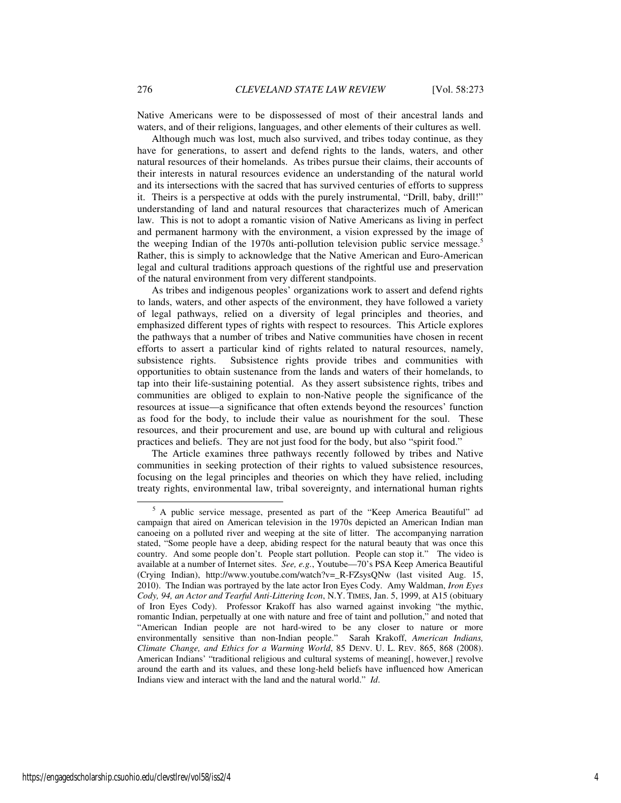Native Americans were to be dispossessed of most of their ancestral lands and waters, and of their religions, languages, and other elements of their cultures as well.

Although much was lost, much also survived, and tribes today continue, as they have for generations, to assert and defend rights to the lands, waters, and other natural resources of their homelands. As tribes pursue their claims, their accounts of their interests in natural resources evidence an understanding of the natural world and its intersections with the sacred that has survived centuries of efforts to suppress it. Theirs is a perspective at odds with the purely instrumental, "Drill, baby, drill!" understanding of land and natural resources that characterizes much of American law. This is not to adopt a romantic vision of Native Americans as living in perfect and permanent harmony with the environment, a vision expressed by the image of the weeping Indian of the 1970s anti-pollution television public service message.<sup>5</sup> Rather, this is simply to acknowledge that the Native American and Euro-American legal and cultural traditions approach questions of the rightful use and preservation of the natural environment from very different standpoints.

As tribes and indigenous peoples' organizations work to assert and defend rights to lands, waters, and other aspects of the environment, they have followed a variety of legal pathways, relied on a diversity of legal principles and theories, and emphasized different types of rights with respect to resources. This Article explores the pathways that a number of tribes and Native communities have chosen in recent efforts to assert a particular kind of rights related to natural resources, namely, subsistence rights. Subsistence rights provide tribes and communities with opportunities to obtain sustenance from the lands and waters of their homelands, to tap into their life-sustaining potential. As they assert subsistence rights, tribes and communities are obliged to explain to non-Native people the significance of the resources at issue—a significance that often extends beyond the resources' function as food for the body, to include their value as nourishment for the soul. These resources, and their procurement and use, are bound up with cultural and religious practices and beliefs. They are not just food for the body, but also "spirit food."

The Article examines three pathways recently followed by tribes and Native communities in seeking protection of their rights to valued subsistence resources, focusing on the legal principles and theories on which they have relied, including treaty rights, environmental law, tribal sovereignty, and international human rights

<sup>&</sup>lt;sup>5</sup> A public service message, presented as part of the "Keep America Beautiful" ad campaign that aired on American television in the 1970s depicted an American Indian man canoeing on a polluted river and weeping at the site of litter. The accompanying narration stated, "Some people have a deep, abiding respect for the natural beauty that was once this country. And some people don't. People start pollution. People can stop it." The video is available at a number of Internet sites. *See, e.g.*, Youtube—70's PSA Keep America Beautiful (Crying Indian), http://www.youtube.com/watch?v=\_R-FZsysQNw (last visited Aug. 15, 2010). The Indian was portrayed by the late actor Iron Eyes Cody. Amy Waldman, *Iron Eyes Cody, 94, an Actor and Tearful Anti-Littering Icon*, N.Y. TIMES, Jan. 5, 1999, at A15 (obituary of Iron Eyes Cody). Professor Krakoff has also warned against invoking "the mythic, romantic Indian, perpetually at one with nature and free of taint and pollution," and noted that "American Indian people are not hard-wired to be any closer to nature or more environmentally sensitive than non-Indian people." Sarah Krakoff, *American Indians, Climate Change, and Ethics for a Warming World*, 85 DENV. U. L. REV. 865, 868 (2008). American Indians' "traditional religious and cultural systems of meaning[, however,] revolve around the earth and its values, and these long-held beliefs have influenced how American Indians view and interact with the land and the natural world." *Id*.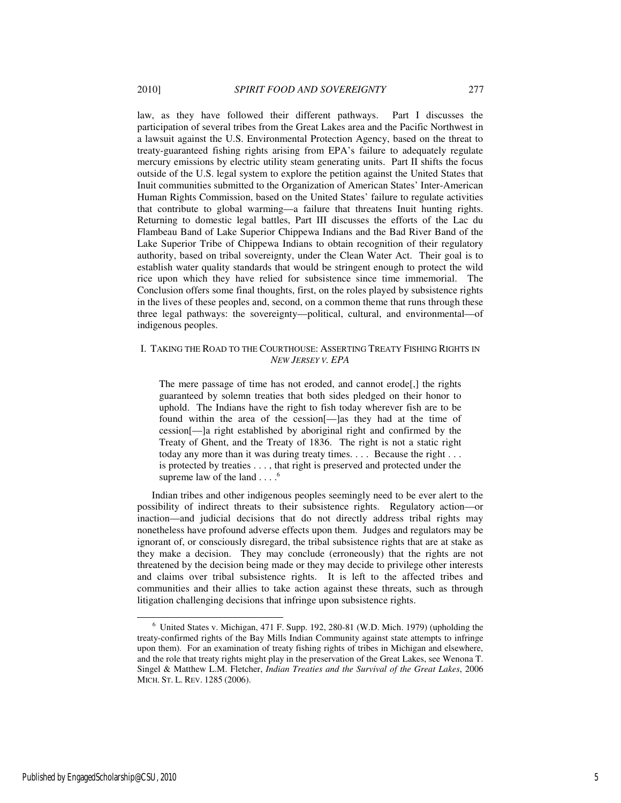law, as they have followed their different pathways. Part I discusses the participation of several tribes from the Great Lakes area and the Pacific Northwest in a lawsuit against the U.S. Environmental Protection Agency, based on the threat to treaty-guaranteed fishing rights arising from EPA's failure to adequately regulate mercury emissions by electric utility steam generating units. Part II shifts the focus outside of the U.S. legal system to explore the petition against the United States that Inuit communities submitted to the Organization of American States' Inter-American Human Rights Commission, based on the United States' failure to regulate activities that contribute to global warming—a failure that threatens Inuit hunting rights. Returning to domestic legal battles, Part III discusses the efforts of the Lac du Flambeau Band of Lake Superior Chippewa Indians and the Bad River Band of the Lake Superior Tribe of Chippewa Indians to obtain recognition of their regulatory authority, based on tribal sovereignty, under the Clean Water Act. Their goal is to establish water quality standards that would be stringent enough to protect the wild rice upon which they have relied for subsistence since time immemorial. The Conclusion offers some final thoughts, first, on the roles played by subsistence rights in the lives of these peoples and, second, on a common theme that runs through these three legal pathways: the sovereignty—political, cultural, and environmental—of indigenous peoples.

# I. TAKING THE ROAD TO THE COURTHOUSE: ASSERTING TREATY FISHING RIGHTS IN *NEW JERSEY V. EPA*

The mere passage of time has not eroded, and cannot erode[,] the rights guaranteed by solemn treaties that both sides pledged on their honor to uphold. The Indians have the right to fish today wherever fish are to be found within the area of the cession[—]as they had at the time of cession[—]a right established by aboriginal right and confirmed by the Treaty of Ghent, and the Treaty of 1836. The right is not a static right today any more than it was during treaty times. . . . Because the right . . . is protected by treaties . . . , that right is preserved and protected under the supreme law of the land  $\ldots$ .<sup>6</sup>

Indian tribes and other indigenous peoples seemingly need to be ever alert to the possibility of indirect threats to their subsistence rights. Regulatory action—or inaction—and judicial decisions that do not directly address tribal rights may nonetheless have profound adverse effects upon them. Judges and regulators may be ignorant of, or consciously disregard, the tribal subsistence rights that are at stake as they make a decision. They may conclude (erroneously) that the rights are not threatened by the decision being made or they may decide to privilege other interests and claims over tribal subsistence rights. It is left to the affected tribes and communities and their allies to take action against these threats, such as through litigation challenging decisions that infringe upon subsistence rights.

l

<sup>6</sup> United States v. Michigan, 471 F. Supp. 192, 280-81 (W.D. Mich. 1979) (upholding the treaty-confirmed rights of the Bay Mills Indian Community against state attempts to infringe upon them). For an examination of treaty fishing rights of tribes in Michigan and elsewhere, and the role that treaty rights might play in the preservation of the Great Lakes, see Wenona T. Singel & Matthew L.M. Fletcher, *Indian Treaties and the Survival of the Great Lakes*, 2006 MICH. ST. L. REV. 1285 (2006).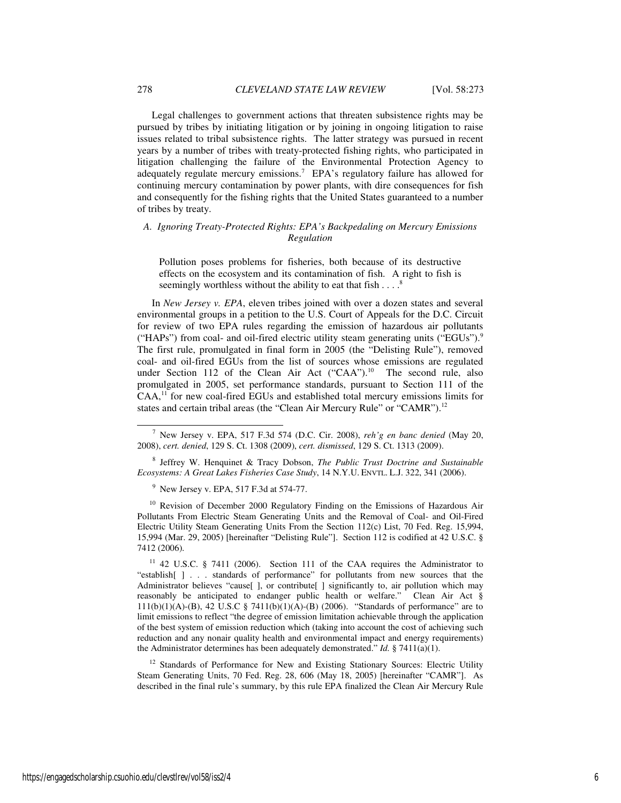Legal challenges to government actions that threaten subsistence rights may be pursued by tribes by initiating litigation or by joining in ongoing litigation to raise issues related to tribal subsistence rights. The latter strategy was pursued in recent years by a number of tribes with treaty-protected fishing rights, who participated in litigation challenging the failure of the Environmental Protection Agency to adequately regulate mercury emissions.<sup>7</sup> EPA's regulatory failure has allowed for continuing mercury contamination by power plants, with dire consequences for fish and consequently for the fishing rights that the United States guaranteed to a number of tribes by treaty.

## *A. Ignoring Treaty-Protected Rights: EPA's Backpedaling on Mercury Emissions Regulation*

Pollution poses problems for fisheries, both because of its destructive effects on the ecosystem and its contamination of fish. A right to fish is seemingly worthless without the ability to eat that fish  $\dots$ .<sup>8</sup>

In *New Jersey v. EPA*, eleven tribes joined with over a dozen states and several environmental groups in a petition to the U.S. Court of Appeals for the D.C. Circuit for review of two EPA rules regarding the emission of hazardous air pollutants ("HAPs") from coal- and oil-fired electric utility steam generating units ("EGUs"). $9$ The first rule, promulgated in final form in 2005 (the "Delisting Rule"), removed coal- and oil-fired EGUs from the list of sources whose emissions are regulated under Section 112 of the Clean Air Act  $("CAA").$ <sup>10</sup> The second rule, also promulgated in 2005, set performance standards, pursuant to Section 111 of the CAA,<sup>11</sup> for new coal-fired EGUs and established total mercury emissions limits for states and certain tribal areas (the "Clean Air Mercury Rule" or "CAMR").<sup>12</sup>

8 Jeffrey W. Henquinet & Tracy Dobson, *The Public Trust Doctrine and Sustainable Ecosystems: A Great Lakes Fisheries Case Study*, 14 N.Y.U. ENVTL. L.J. 322, 341 (2006).

9 New Jersey v. EPA, 517 F.3d at 574-77.

<sup>10</sup> Revision of December 2000 Regulatory Finding on the Emissions of Hazardous Air Pollutants From Electric Steam Generating Units and the Removal of Coal- and Oil-Fired Electric Utility Steam Generating Units From the Section 112(c) List, 70 Fed. Reg. 15,994, 15,994 (Mar. 29, 2005) [hereinafter "Delisting Rule"]. Section 112 is codified at 42 U.S.C. § 7412 (2006).

<sup>11</sup> 42 U.S.C. § 7411 (2006). Section 111 of the CAA requires the Administrator to "establish[ ] . . . standards of performance" for pollutants from new sources that the Administrator believes "cause[ ], or contribute[ ] significantly to, air pollution which may reasonably be anticipated to endanger public health or welfare." Clean Air Act § 111(b)(1)(A)-(B), 42 U.S.C § 7411(b)(1)(A)-(B) (2006). "Standards of performance" are to limit emissions to reflect "the degree of emission limitation achievable through the application of the best system of emission reduction which (taking into account the cost of achieving such reduction and any nonair quality health and environmental impact and energy requirements) the Administrator determines has been adequately demonstrated." *Id.* § 7411(a)(1).

<sup>12</sup> Standards of Performance for New and Existing Stationary Sources: Electric Utility Steam Generating Units, 70 Fed. Reg. 28, 606 (May 18, 2005) [hereinafter "CAMR"]. As described in the final rule's summary, by this rule EPA finalized the Clean Air Mercury Rule

<sup>7</sup> New Jersey v. EPA, 517 F.3d 574 (D.C. Cir. 2008), *reh'g en banc denied* (May 20, 2008), *cert. denied*, 129 S. Ct. 1308 (2009), *cert. dismissed*, 129 S. Ct. 1313 (2009).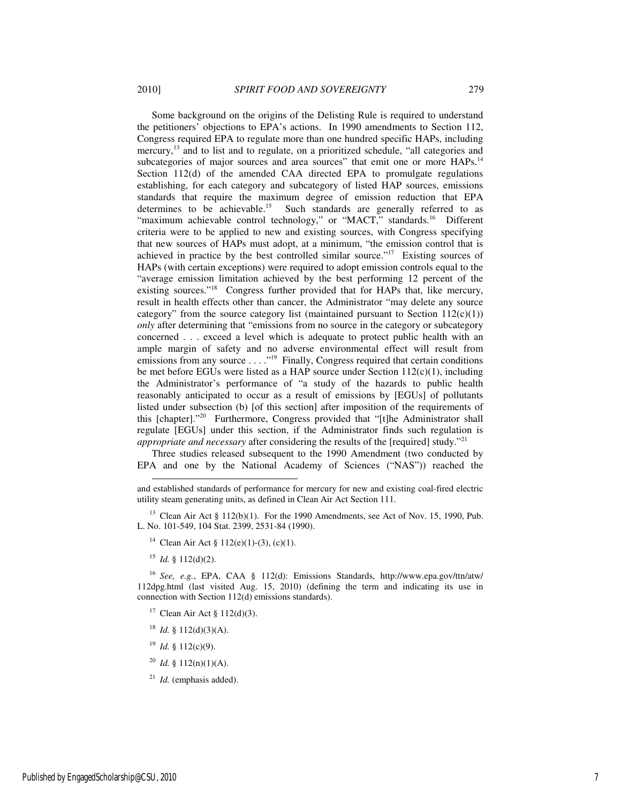Some background on the origins of the Delisting Rule is required to understand the petitioners' objections to EPA's actions. In 1990 amendments to Section 112, Congress required EPA to regulate more than one hundred specific HAPs, including mercury,<sup>13</sup> and to list and to regulate, on a prioritized schedule, "all categories and subcategories of major sources and area sources" that emit one or more HAPs.<sup>14</sup> Section 112(d) of the amended CAA directed EPA to promulgate regulations establishing, for each category and subcategory of listed HAP sources, emissions standards that require the maximum degree of emission reduction that EPA determines to be achievable.<sup>15</sup> Such standards are generally referred to as "maximum achievable control technology," or "MACT," standards.<sup>16</sup> Different criteria were to be applied to new and existing sources, with Congress specifying that new sources of HAPs must adopt, at a minimum, "the emission control that is achieved in practice by the best controlled similar source."<sup>17</sup> Existing sources of HAPs (with certain exceptions) were required to adopt emission controls equal to the "average emission limitation achieved by the best performing 12 percent of the existing sources."<sup>18</sup> Congress further provided that for HAPs that, like mercury, result in health effects other than cancer, the Administrator "may delete any source category" from the source category list (maintained pursuant to Section  $112(c)(1)$ ) *only* after determining that "emissions from no source in the category or subcategory concerned . . . exceed a level which is adequate to protect public health with an ample margin of safety and no adverse environmental effect will result from emissions from any source . . . . "<sup>19</sup> Finally, Congress required that certain conditions be met before EGUs were listed as a HAP source under Section 112(c)(1), including the Administrator's performance of "a study of the hazards to public health reasonably anticipated to occur as a result of emissions by [EGUs] of pollutants listed under subsection (b) [of this section] after imposition of the requirements of this [chapter]."<sup>20</sup> Furthermore, Congress provided that "[t]he Administrator shall regulate [EGUs] under this section, if the Administrator finds such regulation is *appropriate and necessary* after considering the results of the [required] study."<sup>21</sup>

Three studies released subsequent to the 1990 Amendment (two conducted by EPA and one by the National Academy of Sciences ("NAS")) reached the

<sup>13</sup> Clean Air Act § 112(b)(1). For the 1990 Amendments, see Act of Nov. 15, 1990, Pub. L. No. 101-549, 104 Stat. 2399, 2531-84 (1990).

 $15$  *Id.* § 112(d)(2).

-

<sup>16</sup> *See, e.g.*, EPA, CAA § 112(d): Emissions Standards, http://www.epa.gov/ttn/atw/ 112dpg.html (last visited Aug. 15, 2010) (defining the term and indicating its use in connection with Section 112(d) emissions standards).

<sup>17</sup> Clean Air Act § 112(d)(3).

- <sup>18</sup> *Id.* § 112(d)(3)(A).
- $19$  *Id.* § 112(c)(9).
- <sup>20</sup> *Id.* § 112(n)(1)(A).
- $21$  *Id.* (emphasis added).

and established standards of performance for mercury for new and existing coal-fired electric utility steam generating units, as defined in Clean Air Act Section 111.

<sup>&</sup>lt;sup>14</sup> Clean Air Act § 112(e)(1)-(3), (c)(1).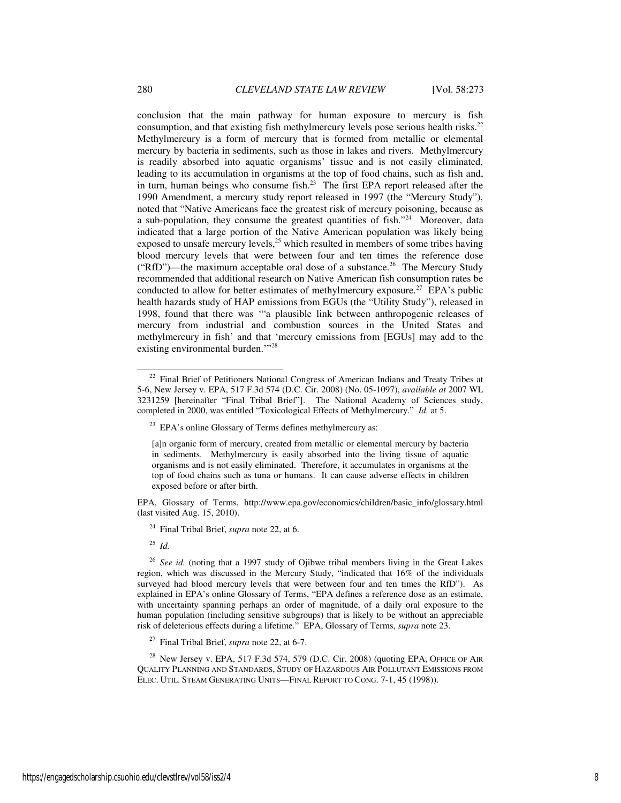conclusion that the main pathway for human exposure to mercury is fish consumption, and that existing fish methylmercury levels pose serious health risks.<sup>22</sup> Methylmercury is a form of mercury that is formed from metallic or elemental mercury by bacteria in sediments, such as those in lakes and rivers. Methylmercury is readily absorbed into aquatic organisms' tissue and is not easily eliminated, leading to its accumulation in organisms at the top of food chains, such as fish and, in turn, human beings who consume fish. $2<sup>3</sup>$  The first EPA report released after the 1990 Amendment, a mercury study report released in 1997 (the "Mercury Study"), noted that "Native Americans face the greatest risk of mercury poisoning, because as a sub-population, they consume the greatest quantities of fish."<sup>24</sup> Moreover, data indicated that a large portion of the Native American population was likely being exposed to unsafe mercury levels, $^{25}$  which resulted in members of some tribes having blood mercury levels that were between four and ten times the reference dose ("RfD")—the maximum acceptable oral dose of a substance.<sup>26</sup> The Mercury Study recommended that additional research on Native American fish consumption rates be conducted to allow for better estimates of methylmercury exposure.<sup>27</sup> EPA's public health hazards study of HAP emissions from EGUs (the "Utility Study"), released in 1998, found that there was '"a plausible link between anthropogenic releases of mercury from industrial and combustion sources in the United States and methylmercury in fish' and that 'mercury emissions from [EGUs] may add to the existing environmental burden."<sup>28</sup>

EPA, Glossary of Terms, http://www.epa.gov/economics/children/basic\_info/glossary.html (last visited Aug. 15, 2010).

<sup>24</sup> Final Tribal Brief, *supra* note 22, at 6.

<sup>25</sup> *Id.* 

-

<sup>26</sup> *See id.* (noting that a 1997 study of Ojibwe tribal members living in the Great Lakes region, which was discussed in the Mercury Study, "indicated that 16% of the individuals surveyed had blood mercury levels that were between four and ten times the RfD"). As explained in EPA's online Glossary of Terms, "EPA defines a reference dose as an estimate, with uncertainty spanning perhaps an order of magnitude, of a daily oral exposure to the human population (including sensitive subgroups) that is likely to be without an appreciable risk of deleterious effects during a lifetime." EPA, Glossary of Terms, *supra* note 23.

<sup>27</sup> Final Tribal Brief, *supra* note 22, at 6-7.

<sup>28</sup> New Jersey v. EPA, 517 F.3d 574, 579 (D.C. Cir. 2008) (quoting EPA, OFFICE OF AIR QUALITY PLANNING AND STANDARDS, STUDY OF HAZARDOUS AIR POLLUTANT EMISSIONS FROM ELEC. UTIL. STEAM GENERATING UNITS—FINAL REPORT TO CONG. 7-1, 45 (1998)).

<sup>&</sup>lt;sup>22</sup> Final Brief of Petitioners National Congress of American Indians and Treaty Tribes at 5-6, New Jersey v. EPA, 517 F.3d 574 (D.C. Cir. 2008) (No. 05-1097), *available at* 2007 WL 3231259 [hereinafter "Final Tribal Brief"]. The National Academy of Sciences study, completed in 2000, was entitled "Toxicological Effects of Methylmercury." *Id.* at 5.

<sup>&</sup>lt;sup>23</sup> EPA's online Glossary of Terms defines methylmercury as:

<sup>[</sup>a]n organic form of mercury, created from metallic or elemental mercury by bacteria in sediments. Methylmercury is easily absorbed into the living tissue of aquatic organisms and is not easily eliminated. Therefore, it accumulates in organisms at the top of food chains such as tuna or humans. It can cause adverse effects in children exposed before or after birth.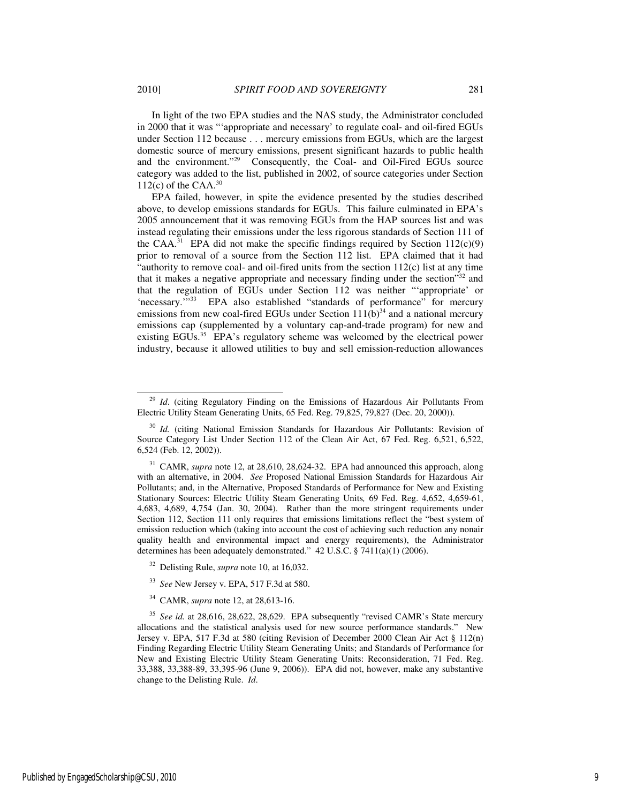In light of the two EPA studies and the NAS study, the Administrator concluded in 2000 that it was "'appropriate and necessary' to regulate coal- and oil-fired EGUs under Section 112 because . . . mercury emissions from EGUs, which are the largest domestic source of mercury emissions, present significant hazards to public health and the environment."<sup>29</sup> Consequently, the Coal- and Oil-Fired EGUs source category was added to the list, published in 2002, of source categories under Section  $112(c)$  of the CAA.<sup>30</sup>

EPA failed, however, in spite the evidence presented by the studies described above, to develop emissions standards for EGUs. This failure culminated in EPA's 2005 announcement that it was removing EGUs from the HAP sources list and was instead regulating their emissions under the less rigorous standards of Section 111 of the CAA.<sup>31</sup> EPA did not make the specific findings required by Section  $112(c)(9)$ prior to removal of a source from the Section 112 list. EPA claimed that it had "authority to remove coal- and oil-fired units from the section  $112(c)$  list at any time that it makes a negative appropriate and necessary finding under the section"<sup>32</sup> and that the regulation of EGUs under Section 112 was neither "'appropriate' or 'necessary.'"<sup>33</sup> EPA also established "standards of performance" for mercury emissions from new coal-fired EGUs under Section  $111(b)^{34}$  and a national mercury emissions cap (supplemented by a voluntary cap-and-trade program) for new and existing EGUs.<sup>35</sup> EPA's regulatory scheme was welcomed by the electrical power industry, because it allowed utilities to buy and sell emission-reduction allowances

- <sup>32</sup> Delisting Rule, *supra* note 10, at 16,032.
- <sup>33</sup> *See* New Jersey v. EPA, 517 F.3d at 580.
- <sup>34</sup> CAMR, *supra* note 12, at 28,613-16.

l

Id. (citing Regulatory Finding on the Emissions of Hazardous Air Pollutants From Electric Utility Steam Generating Units, 65 Fed. Reg. 79,825, 79,827 (Dec. 20, 2000)).

<sup>&</sup>lt;sup>30</sup> *Id.* (citing National Emission Standards for Hazardous Air Pollutants: Revision of Source Category List Under Section 112 of the Clean Air Act, 67 Fed. Reg. 6,521, 6,522, 6,524 (Feb. 12, 2002)).

<sup>&</sup>lt;sup>31</sup> CAMR, *supra* note 12, at 28,610, 28,624-32. EPA had announced this approach, along with an alternative, in 2004. *See* Proposed National Emission Standards for Hazardous Air Pollutants; and, in the Alternative, Proposed Standards of Performance for New and Existing Stationary Sources: Electric Utility Steam Generating Units*,* 69 Fed. Reg. 4,652, 4,659-61, 4,683, 4,689, 4,754 (Jan. 30, 2004). Rather than the more stringent requirements under Section 112, Section 111 only requires that emissions limitations reflect the "best system of emission reduction which (taking into account the cost of achieving such reduction any nonair quality health and environmental impact and energy requirements), the Administrator determines has been adequately demonstrated." 42 U.S.C. § 7411(a)(1) (2006).

<sup>35</sup> *See id.* at 28,616, 28,622, 28,629. EPA subsequently "revised CAMR's State mercury allocations and the statistical analysis used for new source performance standards." New Jersey v. EPA, 517 F.3d at 580 (citing Revision of December 2000 Clean Air Act § 112(n) Finding Regarding Electric Utility Steam Generating Units; and Standards of Performance for New and Existing Electric Utility Steam Generating Units: Reconsideration, 71 Fed. Reg. 33,388, 33,388-89, 33,395-96 (June 9, 2006)). EPA did not, however, make any substantive change to the Delisting Rule. *Id*.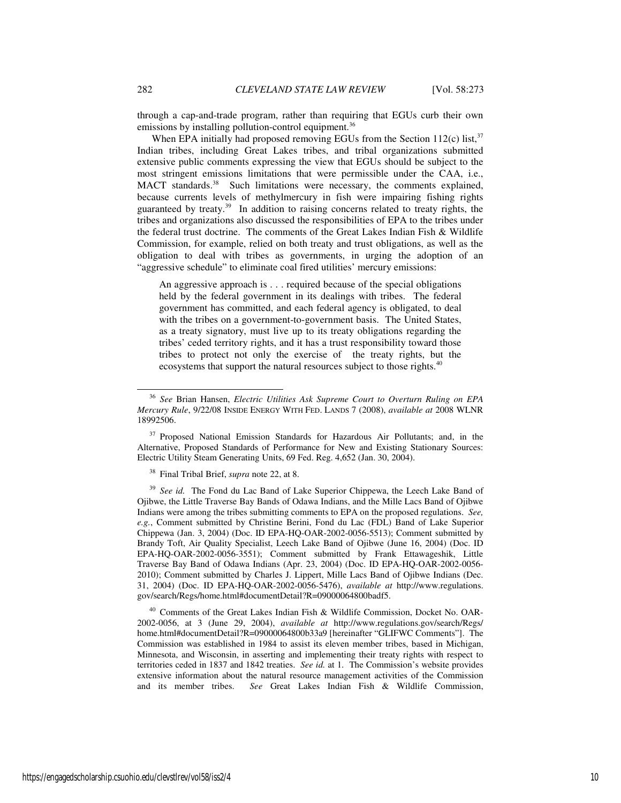through a cap-and-trade program, rather than requiring that EGUs curb their own emissions by installing pollution-control equipment.<sup>36</sup>

When EPA initially had proposed removing EGUs from the Section  $112(c)$  list,  $37$ Indian tribes, including Great Lakes tribes, and tribal organizations submitted extensive public comments expressing the view that EGUs should be subject to the most stringent emissions limitations that were permissible under the CAA, i.e., MACT standards.<sup>38</sup> Such limitations were necessary, the comments explained, because currents levels of methylmercury in fish were impairing fishing rights guaranteed by treaty.<sup>39</sup> In addition to raising concerns related to treaty rights, the tribes and organizations also discussed the responsibilities of EPA to the tribes under the federal trust doctrine. The comments of the Great Lakes Indian Fish & Wildlife Commission, for example, relied on both treaty and trust obligations, as well as the obligation to deal with tribes as governments, in urging the adoption of an "aggressive schedule" to eliminate coal fired utilities' mercury emissions:

An aggressive approach is . . . required because of the special obligations held by the federal government in its dealings with tribes. The federal government has committed, and each federal agency is obligated, to deal with the tribes on a government-to-government basis. The United States, as a treaty signatory, must live up to its treaty obligations regarding the tribes' ceded territory rights, and it has a trust responsibility toward those tribes to protect not only the exercise of the treaty rights, but the ecosystems that support the natural resources subject to those rights.<sup>40</sup>

<sup>38</sup> Final Tribal Brief, *supra* note 22, at 8.

<sup>39</sup> See id. The Fond du Lac Band of Lake Superior Chippewa, the Leech Lake Band of Ojibwe, the Little Traverse Bay Bands of Odawa Indians, and the Mille Lacs Band of Ojibwe Indians were among the tribes submitting comments to EPA on the proposed regulations. *See, e.g.*, Comment submitted by Christine Berini, Fond du Lac (FDL) Band of Lake Superior Chippewa (Jan. 3, 2004) (Doc. ID EPA-HQ-OAR-2002-0056-5513); Comment submitted by Brandy Toft, Air Quality Specialist, Leech Lake Band of Ojibwe (June 16, 2004) (Doc. ID EPA-HQ-OAR-2002-0056-3551); Comment submitted by Frank Ettawageshik, Little Traverse Bay Band of Odawa Indians (Apr. 23, 2004) (Doc. ID EPA-HQ-OAR-2002-0056- 2010); Comment submitted by Charles J. Lippert, Mille Lacs Band of Ojibwe Indians (Dec. 31, 2004) (Doc. ID EPA-HQ-OAR-2002-0056-5476), *available at* http://www.regulations. gov/search/Regs/home.html#documentDetail?R=09000064800badf5.

<sup>40</sup> Comments of the Great Lakes Indian Fish & Wildlife Commission, Docket No. OAR-2002-0056, at 3 (June 29, 2004), *available at* http://www.regulations.gov/search/Regs/ home.html#documentDetail?R=09000064800b33a9 [hereinafter "GLIFWC Comments"]. The Commission was established in 1984 to assist its eleven member tribes, based in Michigan, Minnesota, and Wisconsin, in asserting and implementing their treaty rights with respect to territories ceded in 1837 and 1842 treaties. *See id.* at 1. The Commission's website provides extensive information about the natural resource management activities of the Commission and its member tribes. *See* Great Lakes Indian Fish & Wildlife Commission,

l

<sup>36</sup> *See* Brian Hansen, *Electric Utilities Ask Supreme Court to Overturn Ruling on EPA Mercury Rule*, 9/22/08 INSIDE ENERGY WITH FED. LANDS 7 (2008), *available at* 2008 WLNR 18992506.

<sup>&</sup>lt;sup>37</sup> Proposed National Emission Standards for Hazardous Air Pollutants; and, in the Alternative, Proposed Standards of Performance for New and Existing Stationary Sources: Electric Utility Steam Generating Units, 69 Fed. Reg. 4,652 (Jan. 30, 2004).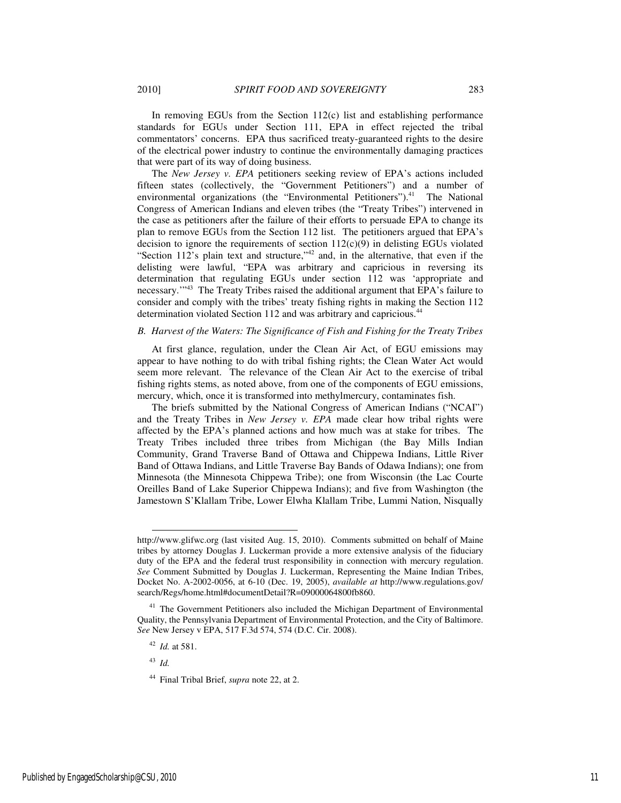In removing EGUs from the Section  $112(c)$  list and establishing performance standards for EGUs under Section 111, EPA in effect rejected the tribal commentators' concerns. EPA thus sacrificed treaty-guaranteed rights to the desire of the electrical power industry to continue the environmentally damaging practices that were part of its way of doing business.

The *New Jersey v. EPA* petitioners seeking review of EPA's actions included fifteen states (collectively, the "Government Petitioners") and a number of environmental organizations (the "Environmental Petitioners").<sup>41</sup> The National Congress of American Indians and eleven tribes (the "Treaty Tribes") intervened in the case as petitioners after the failure of their efforts to persuade EPA to change its plan to remove EGUs from the Section 112 list. The petitioners argued that EPA's decision to ignore the requirements of section  $112(c)(9)$  in delisting EGUs violated "Section 112's plain text and structure,"<sup>42</sup> and, in the alternative, that even if the delisting were lawful, "EPA was arbitrary and capricious in reversing its determination that regulating EGUs under section 112 was 'appropriate and necessary.'"<sup>43</sup> The Treaty Tribes raised the additional argument that EPA's failure to consider and comply with the tribes' treaty fishing rights in making the Section 112 determination violated Section 112 and was arbitrary and capricious.<sup>44</sup>

#### *B. Harvest of the Waters: The Significance of Fish and Fishing for the Treaty Tribes*

At first glance, regulation, under the Clean Air Act, of EGU emissions may appear to have nothing to do with tribal fishing rights; the Clean Water Act would seem more relevant. The relevance of the Clean Air Act to the exercise of tribal fishing rights stems, as noted above, from one of the components of EGU emissions, mercury, which, once it is transformed into methylmercury, contaminates fish.

The briefs submitted by the National Congress of American Indians ("NCAI") and the Treaty Tribes in *New Jersey v. EPA* made clear how tribal rights were affected by the EPA's planned actions and how much was at stake for tribes. The Treaty Tribes included three tribes from Michigan (the Bay Mills Indian Community, Grand Traverse Band of Ottawa and Chippewa Indians, Little River Band of Ottawa Indians, and Little Traverse Bay Bands of Odawa Indians); one from Minnesota (the Minnesota Chippewa Tribe); one from Wisconsin (the Lac Courte Oreilles Band of Lake Superior Chippewa Indians); and five from Washington (the Jamestown S'Klallam Tribe, Lower Elwha Klallam Tribe, Lummi Nation, Nisqually

<sup>43</sup> *Id.* 

http://www.glifwc.org (last visited Aug. 15, 2010). Comments submitted on behalf of Maine tribes by attorney Douglas J. Luckerman provide a more extensive analysis of the fiduciary duty of the EPA and the federal trust responsibility in connection with mercury regulation. *See* Comment Submitted by Douglas J. Luckerman, Representing the Maine Indian Tribes, Docket No. A-2002-0056, at 6-10 (Dec. 19, 2005), *available at* http://www.regulations.gov/ search/Regs/home.html#documentDetail?R=09000064800fb860.

<sup>&</sup>lt;sup>41</sup> The Government Petitioners also included the Michigan Department of Environmental Quality, the Pennsylvania Department of Environmental Protection, and the City of Baltimore. *See* New Jersey v EPA, 517 F.3d 574, 574 (D.C. Cir. 2008).

<sup>42</sup> *Id.* at 581.

<sup>44</sup> Final Tribal Brief, *supra* note 22, at 2.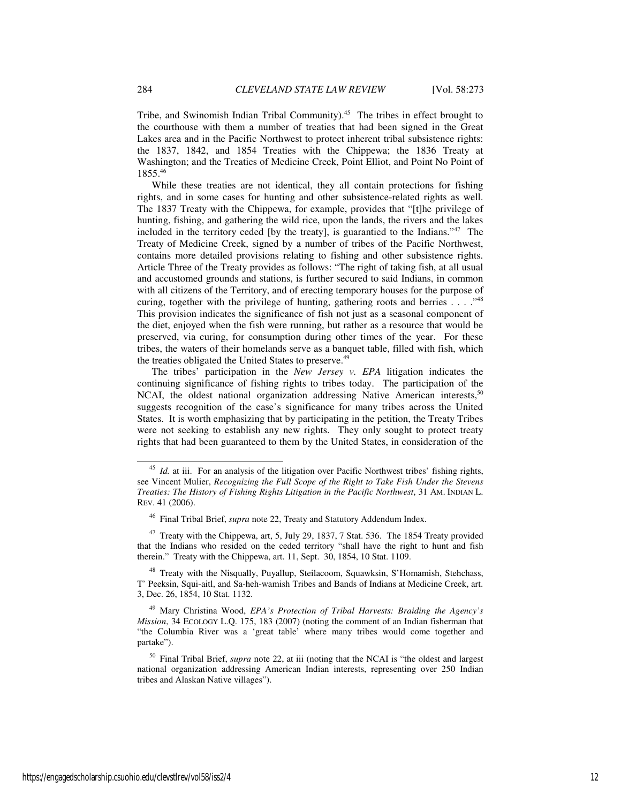Tribe, and Swinomish Indian Tribal Community).<sup>45</sup> The tribes in effect brought to the courthouse with them a number of treaties that had been signed in the Great Lakes area and in the Pacific Northwest to protect inherent tribal subsistence rights: the 1837, 1842, and 1854 Treaties with the Chippewa; the 1836 Treaty at Washington; and the Treaties of Medicine Creek, Point Elliot, and Point No Point of 1855.<sup>46</sup>

While these treaties are not identical, they all contain protections for fishing rights, and in some cases for hunting and other subsistence-related rights as well. The 1837 Treaty with the Chippewa, for example, provides that "[t]he privilege of hunting, fishing, and gathering the wild rice, upon the lands, the rivers and the lakes included in the territory ceded [by the treaty], is guarantied to the Indians."<sup>47</sup> The Treaty of Medicine Creek, signed by a number of tribes of the Pacific Northwest, contains more detailed provisions relating to fishing and other subsistence rights. Article Three of the Treaty provides as follows: "The right of taking fish, at all usual and accustomed grounds and stations, is further secured to said Indians, in common with all citizens of the Territory, and of erecting temporary houses for the purpose of curing, together with the privilege of hunting, gathering roots and berries  $\dots$ ."<sup>48</sup> This provision indicates the significance of fish not just as a seasonal component of the diet, enjoyed when the fish were running, but rather as a resource that would be preserved, via curing, for consumption during other times of the year. For these tribes, the waters of their homelands serve as a banquet table, filled with fish, which the treaties obligated the United States to preserve.<sup>49</sup>

The tribes' participation in the *New Jersey v. EPA* litigation indicates the continuing significance of fishing rights to tribes today. The participation of the NCAI, the oldest national organization addressing Native American interests,<sup>50</sup> suggests recognition of the case's significance for many tribes across the United States. It is worth emphasizing that by participating in the petition, the Treaty Tribes were not seeking to establish any new rights. They only sought to protect treaty rights that had been guaranteed to them by the United States, in consideration of the

j

<sup>&</sup>lt;sup>45</sup> *Id.* at iii. For an analysis of the litigation over Pacific Northwest tribes' fishing rights, see Vincent Mulier, *Recognizing the Full Scope of the Right to Take Fish Under the Stevens Treaties: The History of Fishing Rights Litigation in the Pacific Northwest*, 31 AM. INDIAN L. REV. 41 (2006).

<sup>46</sup> Final Tribal Brief, *supra* note 22, Treaty and Statutory Addendum Index.

<sup>&</sup>lt;sup>47</sup> Treaty with the Chippewa, art, 5, July 29, 1837, 7 Stat. 536. The 1854 Treaty provided that the Indians who resided on the ceded territory "shall have the right to hunt and fish therein." Treaty with the Chippewa, art. 11, Sept. 30, 1854, 10 Stat. 1109.

<sup>&</sup>lt;sup>48</sup> Treaty with the Nisqually, Puyallup, Steilacoom, Squawksin, S'Homamish, Stehchass, T' Peeksin, Squi-aitl, and Sa-heh-wamish Tribes and Bands of Indians at Medicine Creek, art. 3, Dec. 26, 1854, 10 Stat. 1132.

<sup>49</sup> Mary Christina Wood, *EPA's Protection of Tribal Harvests: Braiding the Agency's Mission*, 34 ECOLOGY L.Q. 175, 183 (2007) (noting the comment of an Indian fisherman that "the Columbia River was a 'great table' where many tribes would come together and partake").

<sup>&</sup>lt;sup>50</sup> Final Tribal Brief, *supra* note 22, at iii (noting that the NCAI is "the oldest and largest national organization addressing American Indian interests, representing over 250 Indian tribes and Alaskan Native villages").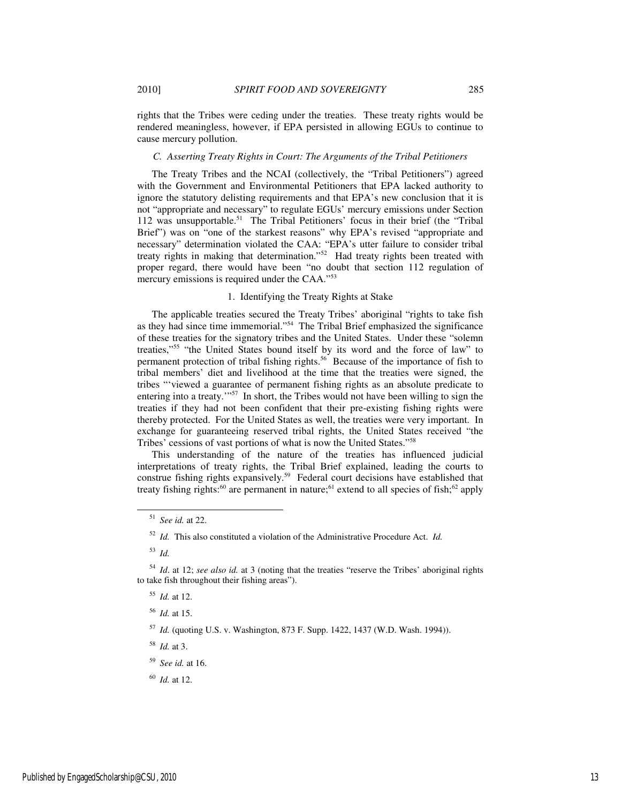rights that the Tribes were ceding under the treaties. These treaty rights would be rendered meaningless, however, if EPA persisted in allowing EGUs to continue to cause mercury pollution.

## *C. Asserting Treaty Rights in Court: The Arguments of the Tribal Petitioners*

The Treaty Tribes and the NCAI (collectively, the "Tribal Petitioners") agreed with the Government and Environmental Petitioners that EPA lacked authority to ignore the statutory delisting requirements and that EPA's new conclusion that it is not "appropriate and necessary" to regulate EGUs' mercury emissions under Section 112 was unsupportable.<sup>51</sup> The Tribal Petitioners' focus in their brief (the "Tribal Brief") was on "one of the starkest reasons" why EPA's revised "appropriate and necessary" determination violated the CAA: "EPA's utter failure to consider tribal treaty rights in making that determination."<sup>52</sup> Had treaty rights been treated with proper regard, there would have been "no doubt that section 112 regulation of mercury emissions is required under the CAA."<sup>53</sup>

# 1. Identifying the Treaty Rights at Stake

The applicable treaties secured the Treaty Tribes' aboriginal "rights to take fish as they had since time immemorial."<sup>54</sup> The Tribal Brief emphasized the significance of these treaties for the signatory tribes and the United States. Under these "solemn treaties,"<sup>55</sup> "the United States bound itself by its word and the force of law" to permanent protection of tribal fishing rights.<sup>56</sup> Because of the importance of fish to tribal members' diet and livelihood at the time that the treaties were signed, the tribes "'viewed a guarantee of permanent fishing rights as an absolute predicate to entering into a treaty."<sup>57</sup> In short, the Tribes would not have been willing to sign the treaties if they had not been confident that their pre-existing fishing rights were thereby protected. For the United States as well, the treaties were very important. In exchange for guaranteeing reserved tribal rights, the United States received "the Tribes' cessions of vast portions of what is now the United States."<sup>58</sup>

This understanding of the nature of the treaties has influenced judicial interpretations of treaty rights, the Tribal Brief explained, leading the courts to construe fishing rights expansively.<sup>59</sup> Federal court decisions have established that treaty fishing rights:<sup>60</sup> are permanent in nature;<sup>61</sup> extend to all species of fish;<sup>62</sup> apply

j

<sup>58</sup> *Id.* at 3.

<sup>51</sup> *See id.* at 22.

<sup>52</sup> *Id.* This also constituted a violation of the Administrative Procedure Act. *Id.*

<sup>53</sup> *Id.*

<sup>54</sup> *Id*. at 12; *see also id.* at 3 (noting that the treaties "reserve the Tribes' aboriginal rights to take fish throughout their fishing areas").

<sup>55</sup> *Id.* at 12.

<sup>56</sup> *Id.* at 15.

<sup>57</sup> *Id.* (quoting U.S. v. Washington, 873 F. Supp. 1422, 1437 (W.D. Wash. 1994)).

<sup>59</sup> *See id.* at 16.

<sup>60</sup> *Id.* at 12.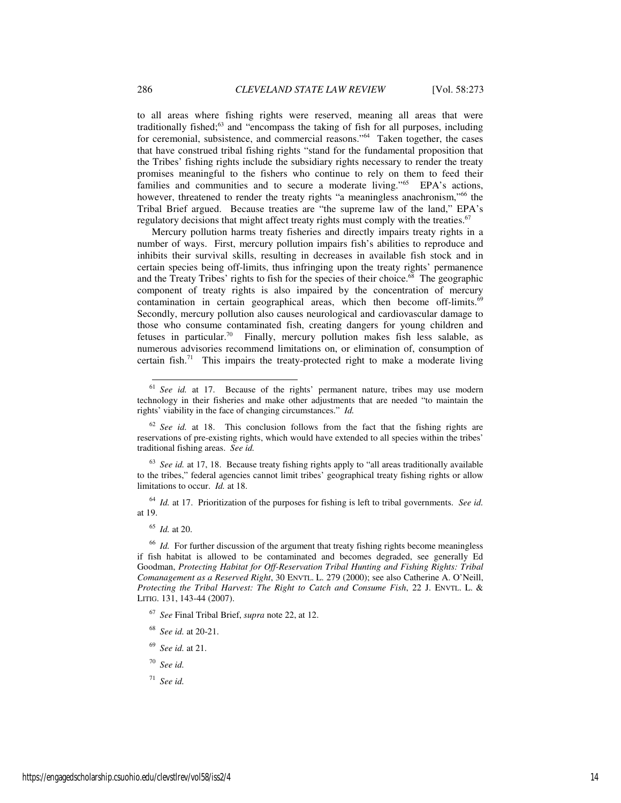to all areas where fishing rights were reserved, meaning all areas that were traditionally fished; $63$  and "encompass the taking of fish for all purposes, including for ceremonial, subsistence, and commercial reasons."<sup>64</sup> Taken together, the cases that have construed tribal fishing rights "stand for the fundamental proposition that the Tribes' fishing rights include the subsidiary rights necessary to render the treaty promises meaningful to the fishers who continue to rely on them to feed their families and communities and to secure a moderate living."<sup>65</sup> EPA's actions, however, threatened to render the treaty rights "a meaningless anachronism,"<sup>66</sup> the Tribal Brief argued. Because treaties are "the supreme law of the land," EPA's regulatory decisions that might affect treaty rights must comply with the treaties.<sup>67</sup>

Mercury pollution harms treaty fisheries and directly impairs treaty rights in a number of ways. First, mercury pollution impairs fish's abilities to reproduce and inhibits their survival skills, resulting in decreases in available fish stock and in certain species being off-limits, thus infringing upon the treaty rights' permanence and the Treaty Tribes' rights to fish for the species of their choice.<sup>68</sup> The geographic component of treaty rights is also impaired by the concentration of mercury contamination in certain geographical areas, which then become off-limits.<sup>69</sup> Secondly, mercury pollution also causes neurological and cardiovascular damage to those who consume contaminated fish, creating dangers for young children and fetuses in particular.<sup>70</sup> Finally, mercury pollution makes fish less salable, as numerous advisories recommend limitations on, or elimination of, consumption of certain fish.<sup>71</sup> This impairs the treaty-protected right to make a moderate living

<sup>63</sup> *See id.* at 17, 18. Because treaty fishing rights apply to "all areas traditionally available to the tribes," federal agencies cannot limit tribes' geographical treaty fishing rights or allow limitations to occur. *Id.* at 18.

<sup>64</sup> *Id.* at 17. Prioritization of the purposes for fishing is left to tribal governments. *See id.* at 19.

<sup>65</sup> *Id.* at 20.

j

<sup>66</sup> *Id.* For further discussion of the argument that treaty fishing rights become meaningless if fish habitat is allowed to be contaminated and becomes degraded, see generally Ed Goodman, *Protecting Habitat for Off-Reservation Tribal Hunting and Fishing Rights: Tribal Comanagement as a Reserved Right*, 30 ENVTL. L. 279 (2000); see also Catherine A. O'Neill, *Protecting the Tribal Harvest: The Right to Catch and Consume Fish*, 22 J. ENVTL. L. & LITIG. 131, 143-44 (2007).

<sup>67</sup> *See* Final Tribal Brief, *supra* note 22, at 12.

- <sup>68</sup> *See id.* at 20-21.
- <sup>69</sup> *See id.* at 21.
- <sup>70</sup> *See id.*
- <sup>71</sup> *See id.*

<sup>61</sup> *See id.* at 17. Because of the rights' permanent nature, tribes may use modern technology in their fisheries and make other adjustments that are needed "to maintain the rights' viability in the face of changing circumstances." *Id.*

<sup>&</sup>lt;sup>62</sup> See id. at 18. This conclusion follows from the fact that the fishing rights are reservations of pre-existing rights, which would have extended to all species within the tribes' traditional fishing areas. *See id.*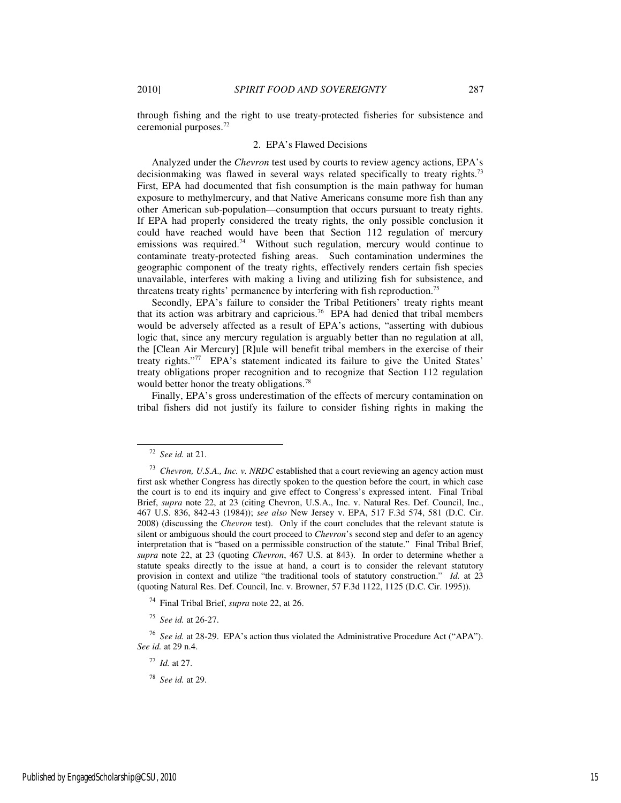through fishing and the right to use treaty-protected fisheries for subsistence and

#### 2. EPA's Flawed Decisions

Analyzed under the *Chevron* test used by courts to review agency actions, EPA's decisionmaking was flawed in several ways related specifically to treaty rights.<sup>73</sup> First, EPA had documented that fish consumption is the main pathway for human exposure to methylmercury, and that Native Americans consume more fish than any other American sub-population—consumption that occurs pursuant to treaty rights. If EPA had properly considered the treaty rights, the only possible conclusion it could have reached would have been that Section 112 regulation of mercury emissions was required.<sup>74</sup> Without such regulation, mercury would continue to contaminate treaty-protected fishing areas. Such contamination undermines the geographic component of the treaty rights, effectively renders certain fish species unavailable, interferes with making a living and utilizing fish for subsistence, and threatens treaty rights' permanence by interfering with fish reproduction.<sup>75</sup>

Secondly, EPA's failure to consider the Tribal Petitioners' treaty rights meant that its action was arbitrary and capricious.<sup>76</sup> EPA had denied that tribal members would be adversely affected as a result of EPA's actions, "asserting with dubious logic that, since any mercury regulation is arguably better than no regulation at all, the [Clean Air Mercury] [R]ule will benefit tribal members in the exercise of their treaty rights."<sup>77</sup> EPA's statement indicated its failure to give the United States' treaty obligations proper recognition and to recognize that Section 112 regulation would better honor the treaty obligations.<sup>78</sup>

Finally, EPA's gross underestimation of the effects of mercury contamination on tribal fishers did not justify its failure to consider fishing rights in making the

l

ceremonial purposes.<sup>72</sup>

<sup>72</sup> *See id.* at 21.

<sup>73</sup> *Chevron, U.S.A., Inc. v. NRDC* established that a court reviewing an agency action must first ask whether Congress has directly spoken to the question before the court, in which case the court is to end its inquiry and give effect to Congress's expressed intent. Final Tribal Brief, *supra* note 22, at 23 (citing Chevron, U.S.A., Inc. v. Natural Res. Def. Council, Inc., 467 U.S. 836, 842-43 (1984)); *see also* New Jersey v. EPA, 517 F.3d 574, 581 (D.C. Cir. 2008) (discussing the *Chevron* test). Only if the court concludes that the relevant statute is silent or ambiguous should the court proceed to *Chevron*'s second step and defer to an agency interpretation that is "based on a permissible construction of the statute." Final Tribal Brief, *supra* note 22, at 23 (quoting *Chevron*, 467 U.S. at 843). In order to determine whether a statute speaks directly to the issue at hand, a court is to consider the relevant statutory provision in context and utilize "the traditional tools of statutory construction." *Id.* at 23 (quoting Natural Res. Def. Council, Inc. v. Browner, 57 F.3d 1122, 1125 (D.C. Cir. 1995)).

<sup>74</sup> Final Tribal Brief, *supra* note 22, at 26.

<sup>75</sup> *See id.* at 26-27.

<sup>76</sup> *See id.* at 28-29. EPA's action thus violated the Administrative Procedure Act ("APA"). *See id.* at 29 n.4.

<sup>77</sup> *Id.* at 27.

<sup>78</sup> *See id.* at 29.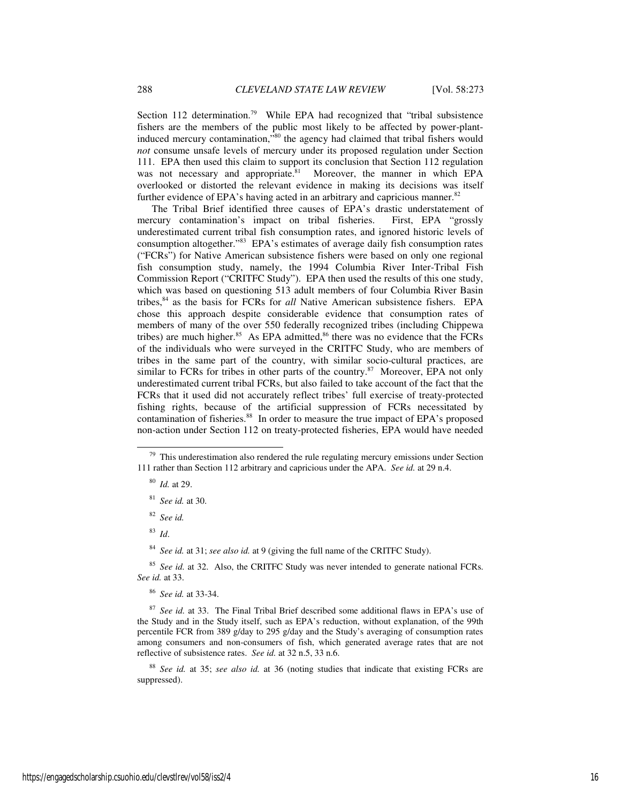Section 112 determination.<sup>79</sup> While EPA had recognized that "tribal subsistence" fishers are the members of the public most likely to be affected by power-plantinduced mercury contamination,"<sup>80</sup> the agency had claimed that tribal fishers would *not* consume unsafe levels of mercury under its proposed regulation under Section 111. EPA then used this claim to support its conclusion that Section 112 regulation was not necessary and appropriate.<sup>81</sup> Moreover, the manner in which EPA overlooked or distorted the relevant evidence in making its decisions was itself further evidence of EPA's having acted in an arbitrary and capricious manner.<sup>82</sup>

The Tribal Brief identified three causes of EPA's drastic understatement of mercury contamination's impact on tribal fisheries. First, EPA "grossly underestimated current tribal fish consumption rates, and ignored historic levels of consumption altogether."<sup>83</sup> EPA's estimates of average daily fish consumption rates ("FCRs") for Native American subsistence fishers were based on only one regional fish consumption study, namely, the 1994 Columbia River Inter-Tribal Fish Commission Report ("CRITFC Study"). EPA then used the results of this one study, which was based on questioning 513 adult members of four Columbia River Basin tribes,<sup>84</sup> as the basis for FCRs for *all* Native American subsistence fishers. EPA chose this approach despite considerable evidence that consumption rates of members of many of the over 550 federally recognized tribes (including Chippewa tribes) are much higher.<sup>85</sup> As EPA admitted, $86$  there was no evidence that the FCRs of the individuals who were surveyed in the CRITFC Study, who are members of tribes in the same part of the country, with similar socio-cultural practices, are similar to FCRs for tribes in other parts of the country. $87$  Moreover, EPA not only underestimated current tribal FCRs, but also failed to take account of the fact that the FCRs that it used did not accurately reflect tribes' full exercise of treaty-protected fishing rights, because of the artificial suppression of FCRs necessitated by contamination of fisheries.<sup>88</sup> In order to measure the true impact of EPA's proposed non-action under Section 112 on treaty-protected fisheries, EPA would have needed

<sup>83</sup> *Id*.

-

<sup>84</sup> *See id.* at 31; *see also id.* at 9 (giving the full name of the CRITFC Study).

<sup>86</sup> *See id.* at 33-34.

 $79$  This underestimation also rendered the rule regulating mercury emissions under Section 111 rather than Section 112 arbitrary and capricious under the APA. *See id.* at 29 n.4.

<sup>80</sup> *Id.* at 29.

<sup>81</sup> *See id.* at 30.

<sup>82</sup> *See id.*

<sup>&</sup>lt;sup>85</sup> *See id.* at 32. Also, the CRITFC Study was never intended to generate national FCRs. *See id.* at 33.

<sup>87</sup> *See id.* at 33. The Final Tribal Brief described some additional flaws in EPA's use of the Study and in the Study itself, such as EPA's reduction, without explanation, of the 99th percentile FCR from 389 g/day to 295 g/day and the Study's averaging of consumption rates among consumers and non-consumers of fish, which generated average rates that are not reflective of subsistence rates. *See id.* at 32 n.5, 33 n.6.

<sup>88</sup> *See id.* at 35; *see also id.* at 36 (noting studies that indicate that existing FCRs are suppressed).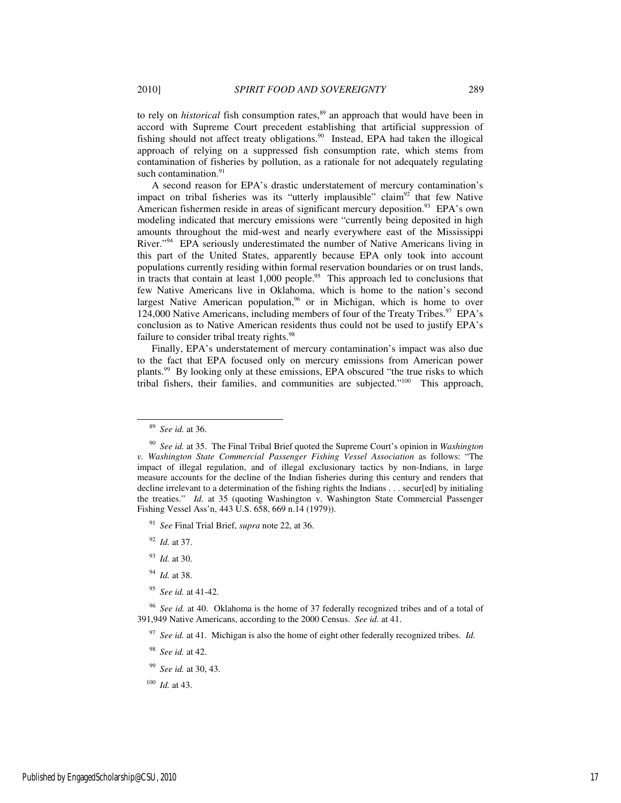to rely on *historical* fish consumption rates,<sup>89</sup> an approach that would have been in accord with Supreme Court precedent establishing that artificial suppression of fishing should not affect treaty obligations.<sup>90</sup> Instead, EPA had taken the illogical approach of relying on a suppressed fish consumption rate, which stems from contamination of fisheries by pollution, as a rationale for not adequately regulating such contamination.<sup>91</sup>

A second reason for EPA's drastic understatement of mercury contamination's impact on tribal fisheries was its "utterly implausible" claim<sup>92</sup> that few Native American fishermen reside in areas of significant mercury deposition.<sup>93</sup> EPA's own modeling indicated that mercury emissions were "currently being deposited in high amounts throughout the mid-west and nearly everywhere east of the Mississippi River."<sup>94</sup> EPA seriously underestimated the number of Native Americans living in this part of the United States, apparently because EPA only took into account populations currently residing within formal reservation boundaries or on trust lands, in tracts that contain at least  $1,000$  people.<sup>95</sup> This approach led to conclusions that few Native Americans live in Oklahoma, which is home to the nation's second largest Native American population,<sup>96</sup> or in Michigan, which is home to over 124,000 Native Americans, including members of four of the Treaty Tribes.<sup>97</sup> EPA's conclusion as to Native American residents thus could not be used to justify EPA's failure to consider tribal treaty rights.<sup>98</sup>

Finally, EPA's understatement of mercury contamination's impact was also due to the fact that EPA focused only on mercury emissions from American power plants.<sup>99</sup> By looking only at these emissions, EPA obscured "the true risks to which tribal fishers, their families, and communities are subjected."<sup>100</sup> This approach,

j

- <sup>94</sup> *Id.* at 38.
- <sup>95</sup> *See id.* at 41-42.

- <sup>98</sup> *See id.* at 42.
- <sup>99</sup> *See id.* at 30, 43.
- <sup>100</sup> *Id.* at 43.

<sup>89</sup> *See id.* at 36.

<sup>90</sup> *See id.* at 35. The Final Tribal Brief quoted the Supreme Court's opinion in *Washington v. Washington State Commercial Passenger Fishing Vessel Association* as follows: "The impact of illegal regulation, and of illegal exclusionary tactics by non-Indians, in large measure accounts for the decline of the Indian fisheries during this century and renders that decline irrelevant to a determination of the fishing rights the Indians . . . secur[ed] by initialing the treaties." *Id.* at 35 (quoting Washington v. Washington State Commercial Passenger Fishing Vessel Ass'n, 443 U.S. 658, 669 n.14 (1979)).

<sup>91</sup> *See* Final Trial Brief, *supra* note 22, at 36.

<sup>92</sup> *Id.* at 37.

<sup>93</sup> *Id.* at 30.

<sup>96</sup> *See id.* at 40. Oklahoma is the home of 37 federally recognized tribes and of a total of 391,949 Native Americans, according to the 2000 Census. *See id.* at 41.

<sup>97</sup> *See id.* at 41. Michigan is also the home of eight other federally recognized tribes. *Id.*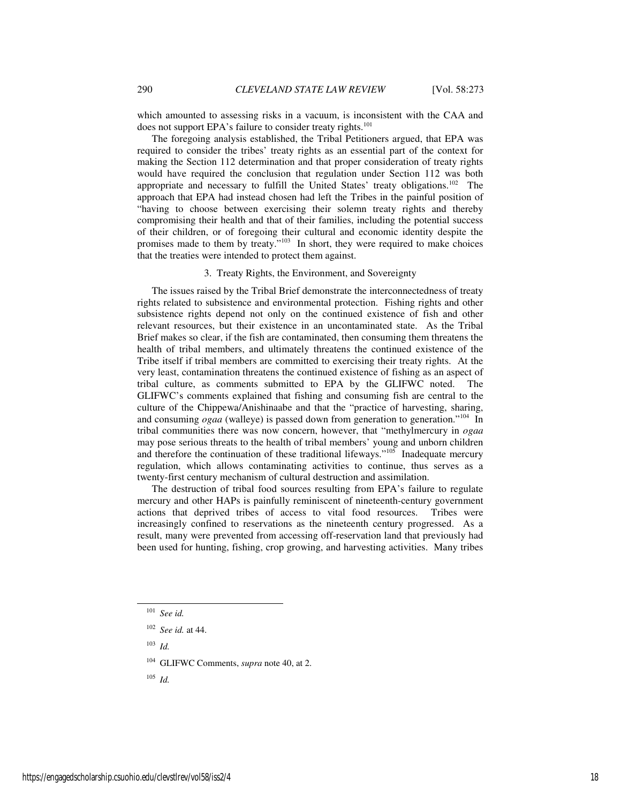which amounted to assessing risks in a vacuum, is inconsistent with the CAA and does not support EPA's failure to consider treaty rights.<sup>101</sup>

The foregoing analysis established, the Tribal Petitioners argued, that EPA was required to consider the tribes' treaty rights as an essential part of the context for making the Section 112 determination and that proper consideration of treaty rights would have required the conclusion that regulation under Section 112 was both appropriate and necessary to fulfill the United States' treaty obligations.<sup>102</sup> The approach that EPA had instead chosen had left the Tribes in the painful position of "having to choose between exercising their solemn treaty rights and thereby compromising their health and that of their families, including the potential success of their children, or of foregoing their cultural and economic identity despite the promises made to them by treaty."<sup>103</sup> In short, they were required to make choices that the treaties were intended to protect them against.

3. Treaty Rights, the Environment, and Sovereignty

The issues raised by the Tribal Brief demonstrate the interconnectedness of treaty rights related to subsistence and environmental protection. Fishing rights and other subsistence rights depend not only on the continued existence of fish and other relevant resources, but their existence in an uncontaminated state. As the Tribal Brief makes so clear, if the fish are contaminated, then consuming them threatens the health of tribal members, and ultimately threatens the continued existence of the Tribe itself if tribal members are committed to exercising their treaty rights. At the very least, contamination threatens the continued existence of fishing as an aspect of tribal culture, as comments submitted to EPA by the GLIFWC noted. The GLIFWC's comments explained that fishing and consuming fish are central to the culture of the Chippewa/Anishinaabe and that the "practice of harvesting, sharing, and consuming *ogaa* (walleye) is passed down from generation to generation."<sup>104</sup> In tribal communities there was now concern, however, that "methylmercury in *ogaa* may pose serious threats to the health of tribal members' young and unborn children and therefore the continuation of these traditional lifeways."<sup>105</sup> Inadequate mercury regulation, which allows contaminating activities to continue, thus serves as a twenty-first century mechanism of cultural destruction and assimilation.

The destruction of tribal food sources resulting from EPA's failure to regulate mercury and other HAPs is painfully reminiscent of nineteenth-century government actions that deprived tribes of access to vital food resources. Tribes were increasingly confined to reservations as the nineteenth century progressed. As a result, many were prevented from accessing off-reservation land that previously had been used for hunting, fishing, crop growing, and harvesting activities. Many tribes

<sup>103</sup> *Id.*

-

<sup>104</sup> GLIFWC Comments, *supra* note 40, at 2.

<sup>105</sup> *Id.*

<sup>101</sup> *See id.*

<sup>102</sup> *See id.* at 44.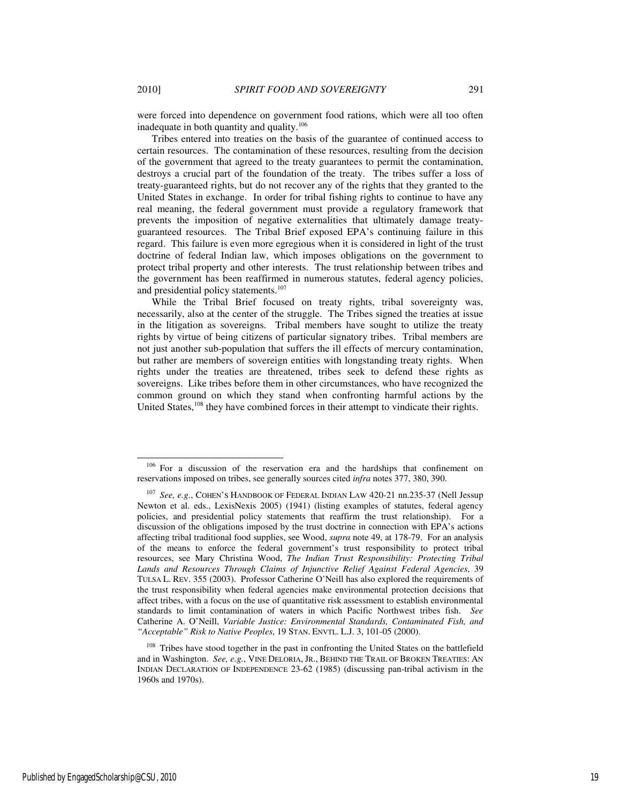-

were forced into dependence on government food rations, which were all too often inadequate in both quantity and quality.<sup>106</sup>

Tribes entered into treaties on the basis of the guarantee of continued access to certain resources. The contamination of these resources, resulting from the decision of the government that agreed to the treaty guarantees to permit the contamination, destroys a crucial part of the foundation of the treaty. The tribes suffer a loss of treaty-guaranteed rights, but do not recover any of the rights that they granted to the United States in exchange. In order for tribal fishing rights to continue to have any real meaning, the federal government must provide a regulatory framework that prevents the imposition of negative externalities that ultimately damage treatyguaranteed resources. The Tribal Brief exposed EPA's continuing failure in this regard. This failure is even more egregious when it is considered in light of the trust doctrine of federal Indian law, which imposes obligations on the government to protect tribal property and other interests. The trust relationship between tribes and the government has been reaffirmed in numerous statutes, federal agency policies, and presidential policy statements.<sup>107</sup>

While the Tribal Brief focused on treaty rights, tribal sovereignty was, necessarily, also at the center of the struggle. The Tribes signed the treaties at issue in the litigation as sovereigns. Tribal members have sought to utilize the treaty rights by virtue of being citizens of particular signatory tribes. Tribal members are not just another sub-population that suffers the ill effects of mercury contamination, but rather are members of sovereign entities with longstanding treaty rights. When rights under the treaties are threatened, tribes seek to defend these rights as sovereigns. Like tribes before them in other circumstances, who have recognized the common ground on which they stand when confronting harmful actions by the United States,<sup>108</sup> they have combined forces in their attempt to vindicate their rights.

<sup>&</sup>lt;sup>106</sup> For a discussion of the reservation era and the hardships that confinement on reservations imposed on tribes, see generally sources cited *infra* notes 377, 380, 390.

<sup>107</sup> *See, e.g.*, COHEN'S HANDBOOK OF FEDERAL INDIAN LAW 420-21 nn.235-37 (Nell Jessup Newton et al. eds., LexisNexis 2005) (1941) (listing examples of statutes, federal agency policies, and presidential policy statements that reaffirm the trust relationship). For a discussion of the obligations imposed by the trust doctrine in connection with EPA's actions affecting tribal traditional food supplies, see Wood, *supra* note 49, at 178-79. For an analysis of the means to enforce the federal government's trust responsibility to protect tribal resources, see Mary Christina Wood, *The Indian Trust Responsibility: Protecting Tribal Lands and Resources Through Claims of Injunctive Relief Against Federal Agencies*, 39 TULSA L. REV. 355 (2003). Professor Catherine O'Neill has also explored the requirements of the trust responsibility when federal agencies make environmental protection decisions that affect tribes, with a focus on the use of quantitative risk assessment to establish environmental standards to limit contamination of waters in which Pacific Northwest tribes fish. *See* Catherine A. O'Neill, *Variable Justice: Environmental Standards, Contaminated Fish, and "Acceptable" Risk to Native Peoples*, 19 STAN. ENVTL. L.J. 3, 101-05 (2000).

<sup>&</sup>lt;sup>108</sup> Tribes have stood together in the past in confronting the United States on the battlefield and in Washington. *See, e.g.*, VINE DELORIA, JR., BEHIND THE TRAIL OF BROKEN TREATIES: AN INDIAN DECLARATION OF INDEPENDENCE 23-62 (1985) (discussing pan-tribal activism in the 1960s and 1970s).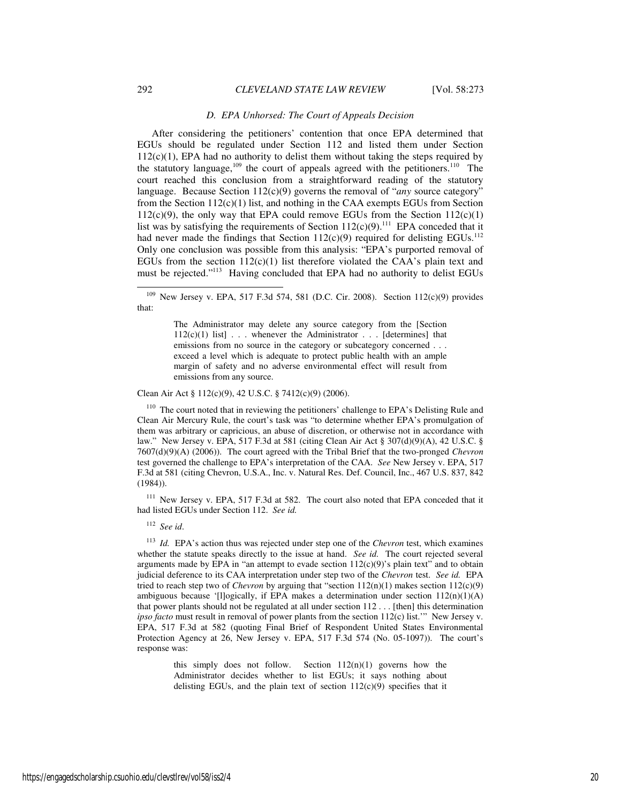#### *D. EPA Unhorsed: The Court of Appeals Decision*

After considering the petitioners' contention that once EPA determined that EGUs should be regulated under Section 112 and listed them under Section  $112(c)(1)$ , EPA had no authority to delist them without taking the steps required by the statutory language, $109$  the court of appeals agreed with the petitioners.<sup>110</sup> The court reached this conclusion from a straightforward reading of the statutory language. Because Section 112(c)(9) governs the removal of "*any* source category" from the Section  $112(c)(1)$  list, and nothing in the CAA exempts EGUs from Section  $112(c)(9)$ , the only way that EPA could remove EGUs from the Section  $112(c)(1)$ list was by satisfying the requirements of Section  $112(c)(9)$ .<sup>111</sup> EPA conceded that it had never made the findings that Section  $112(c)(9)$  required for delisting EGUs.<sup>112</sup> Only one conclusion was possible from this analysis: "EPA's purported removal of EGUs from the section  $112(c)(1)$  list therefore violated the CAA's plain text and must be rejected."<sup>113</sup> Having concluded that EPA had no authority to delist EGUs

Clean Air Act § 112(c)(9), 42 U.S.C. § 7412(c)(9) (2006).

 $110$  The court noted that in reviewing the petitioners' challenge to EPA's Delisting Rule and Clean Air Mercury Rule, the court's task was "to determine whether EPA's promulgation of them was arbitrary or capricious, an abuse of discretion, or otherwise not in accordance with law." New Jersey v. EPA, 517 F.3d at 581 (citing Clean Air Act § 307(d)(9)(A), 42 U.S.C. § 7607(d)(9)(A) (2006)). The court agreed with the Tribal Brief that the two-pronged *Chevron* test governed the challenge to EPA's interpretation of the CAA. *See* New Jersey v. EPA, 517 F.3d at 581 (citing Chevron, U.S.A., Inc. v. Natural Res. Def. Council, Inc., 467 U.S. 837, 842 (1984)).

<sup>111</sup> New Jersey v. EPA, 517 F.3d at 582. The court also noted that EPA conceded that it had listed EGUs under Section 112. *See id.*

<sup>112</sup> *See id*.

<sup>113</sup> *Id.* EPA's action thus was rejected under step one of the *Chevron* test, which examines whether the statute speaks directly to the issue at hand. *See id.* The court rejected several arguments made by EPA in "an attempt to evade section  $112(c)(9)$ " splain text" and to obtain judicial deference to its CAA interpretation under step two of the *Chevron* test. *See id.* EPA tried to reach step two of *Chevron* by arguing that "section 112(n)(1) makes section 112(c)(9) ambiguous because '[l]ogically, if EPA makes a determination under section 112(n)(1)(A) that power plants should not be regulated at all under section 112 . . . [then] this determination *ipso facto* must result in removal of power plants from the section 112(c) list.'" New Jersey v. EPA, 517 F.3d at 582 (quoting Final Brief of Respondent United States Environmental Protection Agency at 26, New Jersey v. EPA, 517 F.3d 574 (No. 05-1097)). The court's response was:

> this simply does not follow. Section  $112(n)(1)$  governs how the Administrator decides whether to list EGUs; it says nothing about delisting EGUs, and the plain text of section 112(c)(9) specifies that it

<sup>109</sup> New Jersey v. EPA, 517 F.3d 574, 581 (D.C. Cir. 2008). Section 112(c)(9) provides that:

The Administrator may delete any source category from the [Section  $112(c)(1)$  list] . . . whenever the Administrator . . . [determines] that emissions from no source in the category or subcategory concerned . . . exceed a level which is adequate to protect public health with an ample margin of safety and no adverse environmental effect will result from emissions from any source.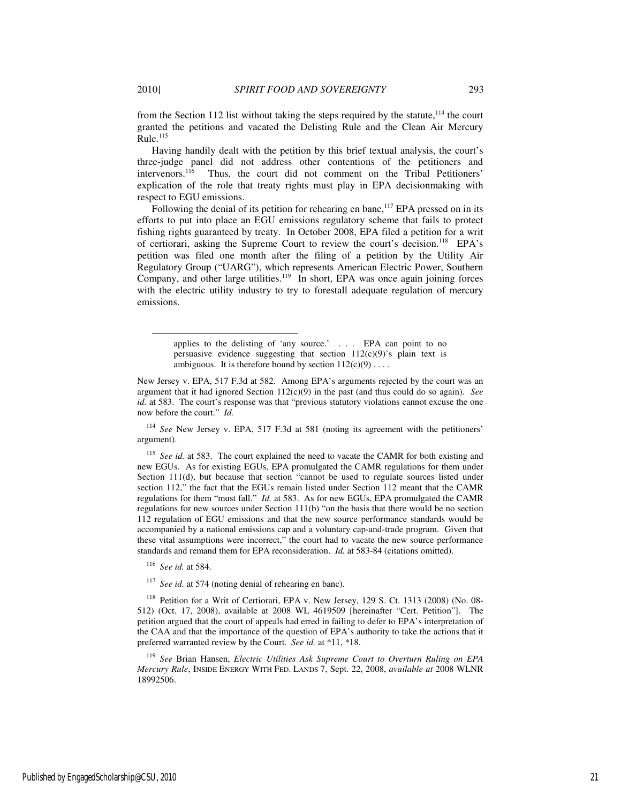from the Section 112 list without taking the steps required by the statute, $114$  the court granted the petitions and vacated the Delisting Rule and the Clean Air Mercury  $Rule.$ <sup>115</sup>

Having handily dealt with the petition by this brief textual analysis, the court's three-judge panel did not address other contentions of the petitioners and intervenors.<sup>116</sup> Thus, the court did not comment on the Tribal Petitioners' Thus, the court did not comment on the Tribal Petitioners' explication of the role that treaty rights must play in EPA decisionmaking with respect to EGU emissions.

Following the denial of its petition for rehearing en banc,<sup>117</sup> EPA pressed on in its efforts to put into place an EGU emissions regulatory scheme that fails to protect fishing rights guaranteed by treaty. In October 2008, EPA filed a petition for a writ of certiorari, asking the Supreme Court to review the court's decision.<sup>118</sup> EPA's petition was filed one month after the filing of a petition by the Utility Air Regulatory Group ("UARG"), which represents American Electric Power, Southern Company, and other large utilities.<sup>119</sup> In short, EPA was once again joining forces with the electric utility industry to try to forestall adequate regulation of mercury emissions.

<sup>114</sup> *See* New Jersey v. EPA, 517 F.3d at 581 (noting its agreement with the petitioners' argument).

<sup>115</sup> See id. at 583. The court explained the need to vacate the CAMR for both existing and new EGUs. As for existing EGUs, EPA promulgated the CAMR regulations for them under Section 111(d), but because that section "cannot be used to regulate sources listed under section 112," the fact that the EGUs remain listed under Section 112 meant that the CAMR regulations for them "must fall." *Id.* at 583. As for new EGUs, EPA promulgated the CAMR regulations for new sources under Section 111(b) "on the basis that there would be no section 112 regulation of EGU emissions and that the new source performance standards would be accompanied by a national emissions cap and a voluntary cap-and-trade program. Given that these vital assumptions were incorrect," the court had to vacate the new source performance standards and remand them for EPA reconsideration. *Id.* at 583-84 (citations omitted).

<sup>116</sup> *See id.* at 584.

<sup>117</sup> *See id.* at 574 (noting denial of rehearing en banc).

<sup>118</sup> Petition for a Writ of Certiorari, EPA v. New Jersey, 129 S. Ct. 1313 (2008) (No. 08-512) (Oct. 17, 2008), available at 2008 WL 4619509 [hereinafter "Cert. Petition"]. The petition argued that the court of appeals had erred in failing to defer to EPA's interpretation of the CAA and that the importance of the question of EPA's authority to take the actions that it preferred warranted review by the Court. *See id.* at \*11, \*18.

<sup>119</sup> *See* Brian Hansen, *Electric Utilities Ask Supreme Court to Overturn Ruling on EPA Mercury Rule*, INSIDE ENERGY WITH FED. LANDS 7, Sept. 22, 2008, *available at* 2008 WLNR 18992506.

 $\overline{a}$ 

applies to the delisting of 'any source.' . . . EPA can point to no persuasive evidence suggesting that section  $112(c)(9)$ 's plain text is ambiguous. It is therefore bound by section  $112(c)(9) \ldots$ .

New Jersey v. EPA, 517 F.3d at 582. Among EPA's arguments rejected by the court was an argument that it had ignored Section 112(c)(9) in the past (and thus could do so again). *See id.* at 583. The court's response was that "previous statutory violations cannot excuse the one now before the court." *Id.*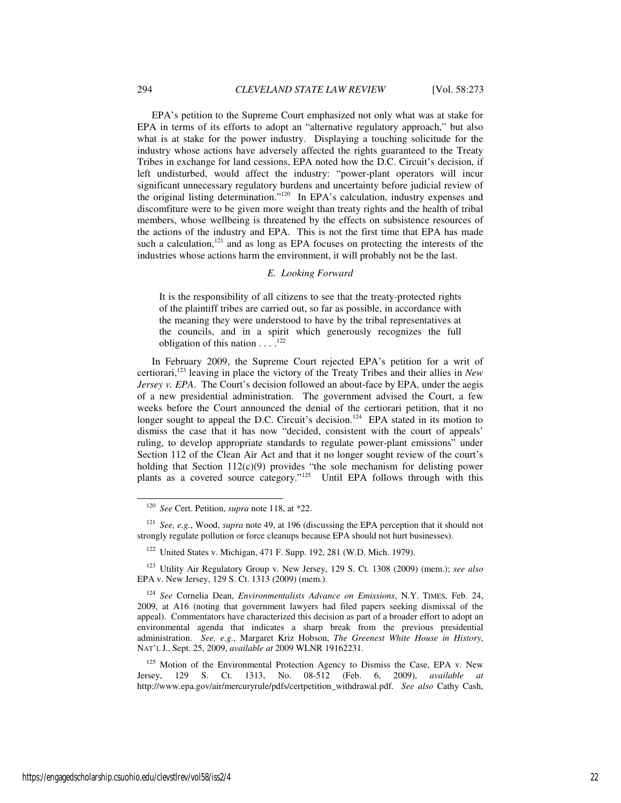EPA's petition to the Supreme Court emphasized not only what was at stake for EPA in terms of its efforts to adopt an "alternative regulatory approach," but also what is at stake for the power industry. Displaying a touching solicitude for the industry whose actions have adversely affected the rights guaranteed to the Treaty Tribes in exchange for land cessions, EPA noted how the D.C. Circuit's decision, if left undisturbed, would affect the industry: "power-plant operators will incur significant unnecessary regulatory burdens and uncertainty before judicial review of the original listing determination."<sup>120</sup> In EPA's calculation, industry expenses and discomfiture were to be given more weight than treaty rights and the health of tribal members, whose wellbeing is threatened by the effects on subsistence resources of the actions of the industry and EPA. This is not the first time that EPA has made such a calculation, $121$  and as long as EPA focuses on protecting the interests of the industries whose actions harm the environment, it will probably not be the last.

#### *E. Looking Forward*

It is the responsibility of all citizens to see that the treaty-protected rights of the plaintiff tribes are carried out, so far as possible, in accordance with the meaning they were understood to have by the tribal representatives at the councils, and in a spirit which generously recognizes the full obligation of this nation  $\dots$ .<sup>122</sup>

In February 2009, the Supreme Court rejected EPA's petition for a writ of certiorari,<sup>123</sup> leaving in place the victory of the Treaty Tribes and their allies in *New Jersey v. EPA.* The Court's decision followed an about-face by EPA, under the aegis of a new presidential administration. The government advised the Court, a few weeks before the Court announced the denial of the certiorari petition, that it no longer sought to appeal the D.C. Circuit's decision.<sup>124</sup> EPA stated in its motion to dismiss the case that it has now "decided, consistent with the court of appeals' ruling, to develop appropriate standards to regulate power-plant emissions" under Section 112 of the Clean Air Act and that it no longer sought review of the court's holding that Section 112(c)(9) provides "the sole mechanism for delisting power plants as a covered source category."<sup>125</sup> Until EPA follows through with this

 $125$  Motion of the Environmental Protection Agency to Dismiss the Case, EPA v. New Jersey, 129 S. Ct. 1313, No. 08-512 (Feb. 6, 2009), *available at* http://www.epa.gov/air/mercuryrule/pdfs/certpetition\_withdrawal.pdf. *See also* Cathy Cash,

<sup>120</sup> *See* Cert. Petition, *supra* note 118, at \*22.

<sup>121</sup> *See, e.g.*, Wood, *supra* note 49, at 196 (discussing the EPA perception that it should not strongly regulate pollution or force cleanups because EPA should not hurt businesses).

<sup>122</sup> United States v. Michigan, 471 F. Supp. 192, 281 (W.D. Mich. 1979).

<sup>123</sup> Utility Air Regulatory Group v. New Jersey, 129 S. Ct. 1308 (2009) (mem.); *see also*  EPA v. New Jersey, 129 S. Ct. 1313 (2009) (mem.).

<sup>124</sup> *See* Cornelia Dean, *Environmentalists Advance on Emissions*, N.Y. TIMES, Feb. 24, 2009, at A16 (noting that government lawyers had filed papers seeking dismissal of the appeal). Commentators have characterized this decision as part of a broader effort to adopt an environmental agenda that indicates a sharp break from the previous presidential administration. *See, e.g.*, Margaret Kriz Hobson, *The Greenest White House in History*, NAT'L J., Sept. 25, 2009, *available at* 2009 WLNR 19162231.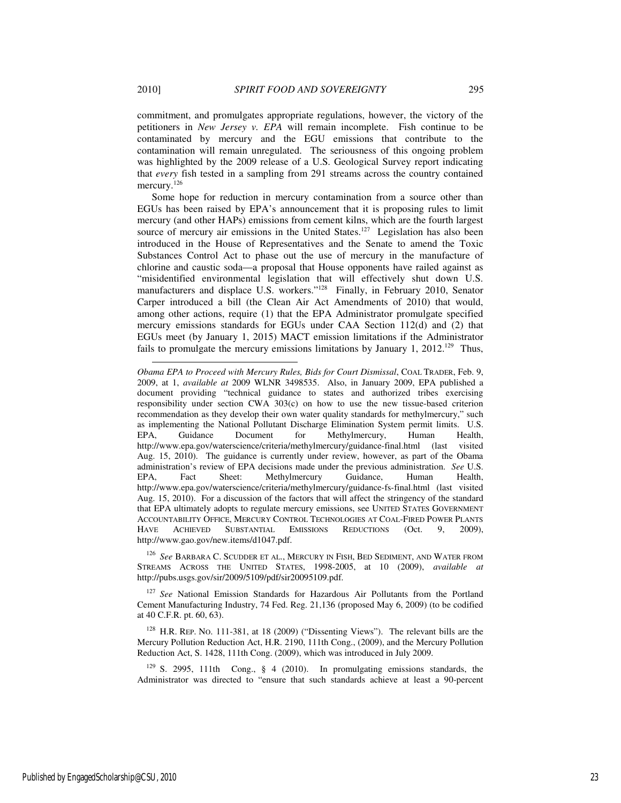commitment, and promulgates appropriate regulations, however, the victory of the petitioners in *New Jersey v. EPA* will remain incomplete. Fish continue to be contaminated by mercury and the EGU emissions that contribute to the contamination will remain unregulated. The seriousness of this ongoing problem was highlighted by the 2009 release of a U.S. Geological Survey report indicating that *every* fish tested in a sampling from 291 streams across the country contained mercury.<sup>126</sup>

Some hope for reduction in mercury contamination from a source other than EGUs has been raised by EPA's announcement that it is proposing rules to limit mercury (and other HAPs) emissions from cement kilns, which are the fourth largest source of mercury air emissions in the United States.<sup>127</sup> Legislation has also been introduced in the House of Representatives and the Senate to amend the Toxic Substances Control Act to phase out the use of mercury in the manufacture of chlorine and caustic soda—a proposal that House opponents have railed against as "misidentified environmental legislation that will effectively shut down U.S. manufacturers and displace U.S. workers."<sup>128</sup> Finally, in February 2010, Senator Carper introduced a bill (the Clean Air Act Amendments of 2010) that would, among other actions, require (1) that the EPA Administrator promulgate specified mercury emissions standards for EGUs under CAA Section 112(d) and (2) that EGUs meet (by January 1, 2015) MACT emission limitations if the Administrator fails to promulgate the mercury emissions limitations by January 1, 2012.<sup>129</sup> Thus,

<sup>126</sup> *See* BARBARA C. SCUDDER ET AL., MERCURY IN FISH, BED SEDIMENT, AND WATER FROM STREAMS ACROSS THE UNITED STATES, 1998-2005, at 10 (2009), *available at* http://pubs.usgs.gov/sir/2009/5109/pdf/sir20095109.pdf.

<sup>127</sup> See National Emission Standards for Hazardous Air Pollutants from the Portland Cement Manufacturing Industry, 74 Fed. Reg. 21,136 (proposed May 6, 2009) (to be codified at 40 C.F.R. pt. 60, 63).

<sup>128</sup> H.R. REP. NO. 111-381, at 18 (2009) ("Dissenting Views"). The relevant bills are the Mercury Pollution Reduction Act, H.R. 2190, 111th Cong., (2009), and the Mercury Pollution Reduction Act, S. 1428, 111th Cong. (2009), which was introduced in July 2009.

 $129$  S. 2995, 111th Cong., § 4 (2010). In promulgating emissions standards, the Administrator was directed to "ensure that such standards achieve at least a 90-percent

*Obama EPA to Proceed with Mercury Rules, Bids for Court Dismissal*, COAL TRADER, Feb. 9, 2009, at 1, *available at* 2009 WLNR 3498535. Also, in January 2009, EPA published a document providing "technical guidance to states and authorized tribes exercising responsibility under section CWA  $303(c)$  on how to use the new tissue-based criterion recommendation as they develop their own water quality standards for methylmercury," such as implementing the National Pollutant Discharge Elimination System permit limits. U.S. EPA, Guidance Document for Methylmercury, Human Health, http://www.epa.gov/waterscience/criteria/methylmercury/guidance-final.html (last visited Aug. 15, 2010). The guidance is currently under review, however, as part of the Obama administration's review of EPA decisions made under the previous administration. *See* U.S. EPA, Fact Sheet: Methylmercury Guidance, Human Health, http://www.epa.gov/waterscience/criteria/methylmercury/guidance-fs-final.html (last visited Aug. 15, 2010). For a discussion of the factors that will affect the stringency of the standard that EPA ultimately adopts to regulate mercury emissions, see UNITED STATES GOVERNMENT ACCOUNTABILITY OFFICE, MERCURY CONTROL TECHNOLOGIES AT COAL-FIRED POWER PLANTS HAVE ACHIEVED SUBSTANTIAL EMISSIONS REDUCTIONS (Oct. 9, 2009), http://www.gao.gov/new.items/d1047.pdf.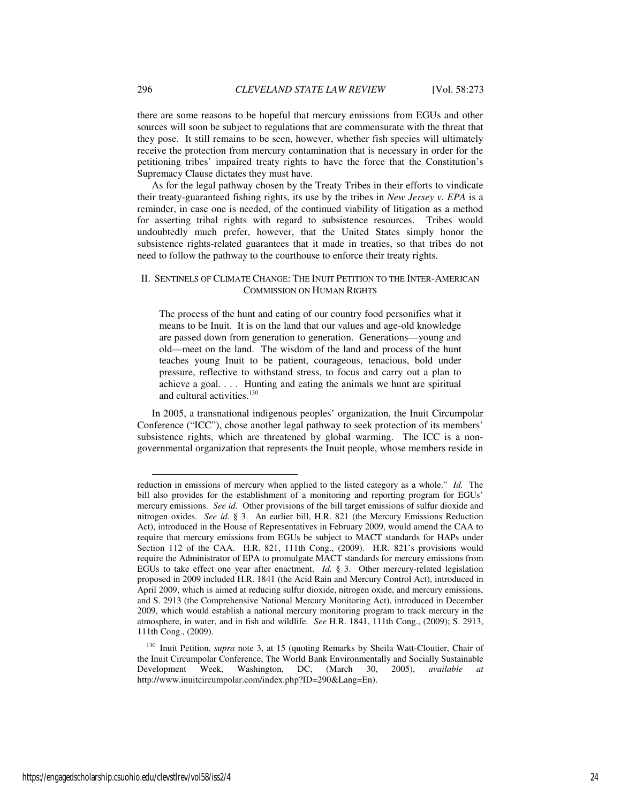there are some reasons to be hopeful that mercury emissions from EGUs and other sources will soon be subject to regulations that are commensurate with the threat that they pose. It still remains to be seen, however, whether fish species will ultimately receive the protection from mercury contamination that is necessary in order for the petitioning tribes' impaired treaty rights to have the force that the Constitution's Supremacy Clause dictates they must have.

As for the legal pathway chosen by the Treaty Tribes in their efforts to vindicate their treaty-guaranteed fishing rights, its use by the tribes in *New Jersey v. EPA* is a reminder, in case one is needed, of the continued viability of litigation as a method for asserting tribal rights with regard to subsistence resources. Tribes would undoubtedly much prefer, however, that the United States simply honor the subsistence rights-related guarantees that it made in treaties, so that tribes do not need to follow the pathway to the courthouse to enforce their treaty rights.

# II. SENTINELS OF CLIMATE CHANGE: THE INUIT PETITION TO THE INTER-AMERICAN COMMISSION ON HUMAN RIGHTS

The process of the hunt and eating of our country food personifies what it means to be Inuit. It is on the land that our values and age-old knowledge are passed down from generation to generation. Generations—young and old—meet on the land. The wisdom of the land and process of the hunt teaches young Inuit to be patient, courageous, tenacious, bold under pressure, reflective to withstand stress, to focus and carry out a plan to achieve a goal. . . . Hunting and eating the animals we hunt are spiritual and cultural activities.<sup>130</sup>

In 2005, a transnational indigenous peoples' organization, the Inuit Circumpolar Conference ("ICC"), chose another legal pathway to seek protection of its members' subsistence rights, which are threatened by global warming. The ICC is a nongovernmental organization that represents the Inuit people, whose members reside in

l

reduction in emissions of mercury when applied to the listed category as a whole." *Id.* The bill also provides for the establishment of a monitoring and reporting program for EGUs' mercury emissions. *See id.* Other provisions of the bill target emissions of sulfur dioxide and nitrogen oxides. *See id.* § 3. An earlier bill, H.R. 821 (the Mercury Emissions Reduction Act), introduced in the House of Representatives in February 2009, would amend the CAA to require that mercury emissions from EGUs be subject to MACT standards for HAPs under Section 112 of the CAA. H.R. 821, 111th Cong., (2009). H.R. 821's provisions would require the Administrator of EPA to promulgate MACT standards for mercury emissions from EGUs to take effect one year after enactment. *Id.* § 3. Other mercury-related legislation proposed in 2009 included H.R. 1841 (the Acid Rain and Mercury Control Act), introduced in April 2009, which is aimed at reducing sulfur dioxide, nitrogen oxide, and mercury emissions, and S. 2913 (the Comprehensive National Mercury Monitoring Act), introduced in December 2009, which would establish a national mercury monitoring program to track mercury in the atmosphere, in water, and in fish and wildlife. *See* H.R. 1841, 111th Cong., (2009); S. 2913, 111th Cong., (2009).

<sup>130</sup> Inuit Petition, *supra* note 3, at 15 (quoting Remarks by Sheila Watt-Cloutier, Chair of the Inuit Circumpolar Conference, The World Bank Environmentally and Socially Sustainable Development Week, Washington, DC, (March 30, 2005), *available at*  http://www.inuitcircumpolar.com/index.php?ID=290&Lang=En).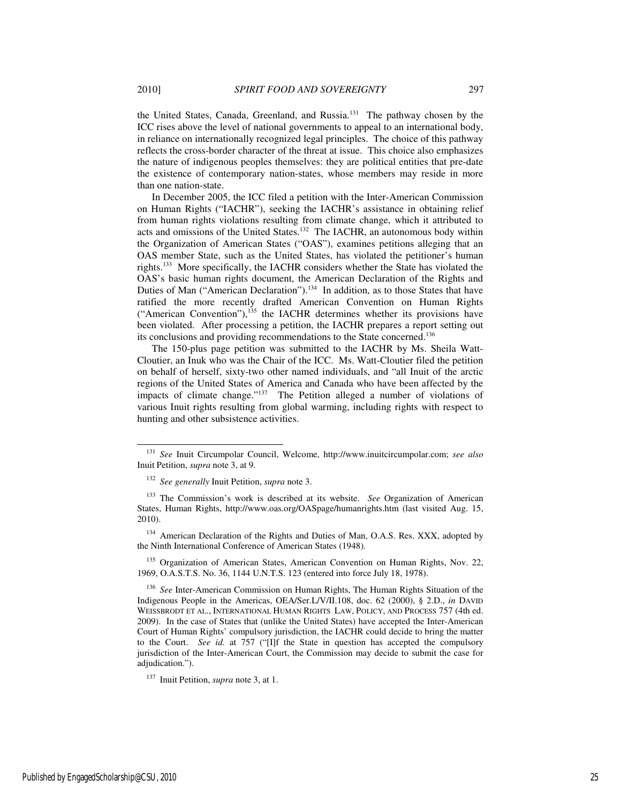the United States, Canada, Greenland, and Russia.<sup>131</sup> The pathway chosen by the ICC rises above the level of national governments to appeal to an international body, in reliance on internationally recognized legal principles. The choice of this pathway reflects the cross-border character of the threat at issue. This choice also emphasizes the nature of indigenous peoples themselves: they are political entities that pre-date the existence of contemporary nation-states, whose members may reside in more than one nation-state.

In December 2005, the ICC filed a petition with the Inter-American Commission on Human Rights ("IACHR"), seeking the IACHR's assistance in obtaining relief from human rights violations resulting from climate change, which it attributed to acts and omissions of the United States.<sup>132</sup> The IACHR, an autonomous body within the Organization of American States ("OAS"), examines petitions alleging that an OAS member State, such as the United States, has violated the petitioner's human rights.<sup>133</sup> More specifically, the IACHR considers whether the State has violated the OAS's basic human rights document, the American Declaration of the Rights and Duties of Man ("American Declaration").<sup>134</sup> In addition, as to those States that have ratified the more recently drafted American Convention on Human Rights ("American Convention"), $135$  the IACHR determines whether its provisions have been violated. After processing a petition, the IACHR prepares a report setting out its conclusions and providing recommendations to the State concerned.<sup>136</sup>

The 150-plus page petition was submitted to the IACHR by Ms. Sheila Watt-Cloutier, an Inuk who was the Chair of the ICC. Ms. Watt-Cloutier filed the petition on behalf of herself, sixty-two other named individuals, and "all Inuit of the arctic regions of the United States of America and Canada who have been affected by the impacts of climate change."<sup>137</sup> The Petition alleged a number of violations of various Inuit rights resulting from global warming, including rights with respect to hunting and other subsistence activities.

<sup>134</sup> American Declaration of the Rights and Duties of Man, O.A.S. Res. XXX, adopted by the Ninth International Conference of American States (1948).

<sup>135</sup> Organization of American States, American Convention on Human Rights, Nov. 22, 1969, O.A.S.T.S. No. 36, 1144 U.N.T.S. 123 (entered into force July 18, 1978).

<sup>136</sup> *See* Inter-American Commission on Human Rights, The Human Rights Situation of the Indigenous People in the Americas, OEA/Ser.L/V/II.108, doc. 62 (2000), § 2.D., *in* DAVID WEISSBRODT ET AL., INTERNATIONAL HUMAN RIGHTS LAW, POLICY, AND PROCESS 757 (4th ed. 2009). In the case of States that (unlike the United States) have accepted the Inter-American Court of Human Rights' compulsory jurisdiction, the IACHR could decide to bring the matter to the Court. *See id.* at 757 ("[I]f the State in question has accepted the compulsory jurisdiction of the Inter-American Court, the Commission may decide to submit the case for adjudication.").

<sup>137</sup> Inuit Petition, *supra* note 3, at 1.

l

<sup>131</sup> *See* Inuit Circumpolar Council, Welcome, http://www.inuitcircumpolar.com; *see also* Inuit Petition, *supra* note 3, at 9.

<sup>132</sup> *See generally* Inuit Petition, *supra* note 3.

<sup>133</sup> The Commission's work is described at its website. *See* Organization of American States, Human Rights, http://www.oas.org/OASpage/humanrights.htm (last visited Aug. 15, 2010).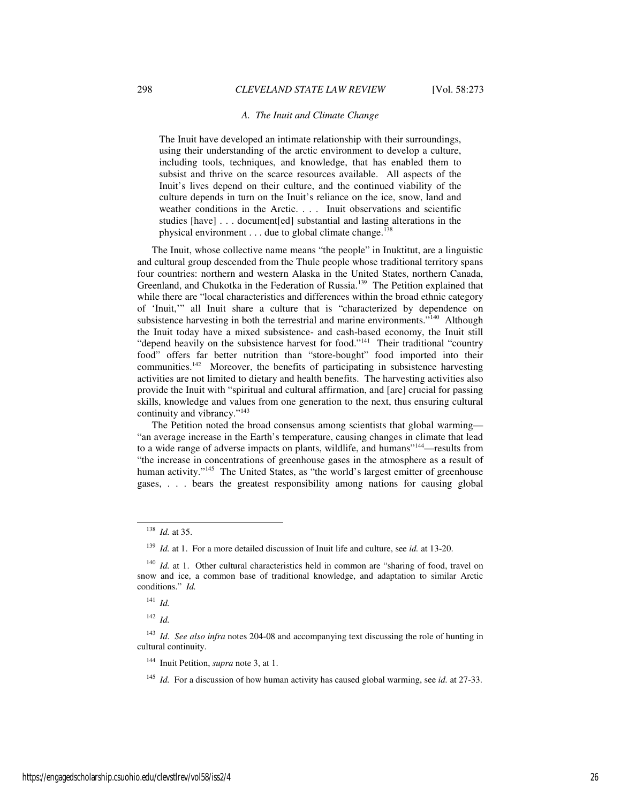#### *A. The Inuit and Climate Change*

The Inuit have developed an intimate relationship with their surroundings, using their understanding of the arctic environment to develop a culture, including tools, techniques, and knowledge, that has enabled them to subsist and thrive on the scarce resources available. All aspects of the Inuit's lives depend on their culture, and the continued viability of the culture depends in turn on the Inuit's reliance on the ice, snow, land and weather conditions in the Arctic. . . . Inuit observations and scientific studies [have] . . . document[ed] substantial and lasting alterations in the physical environment  $\dots$  due to global climate change.<sup>138</sup>

The Inuit, whose collective name means "the people" in Inuktitut, are a linguistic and cultural group descended from the Thule people whose traditional territory spans four countries: northern and western Alaska in the United States, northern Canada, Greenland, and Chukotka in the Federation of Russia.<sup>139</sup> The Petition explained that while there are "local characteristics and differences within the broad ethnic category of 'Inuit,'" all Inuit share a culture that is "characterized by dependence on subsistence harvesting in both the terrestrial and marine environments."<sup>140</sup> Although the Inuit today have a mixed subsistence- and cash-based economy, the Inuit still "depend heavily on the subsistence harvest for food."<sup>141</sup> Their traditional "country food" offers far better nutrition than "store-bought" food imported into their communities.<sup>142</sup> Moreover, the benefits of participating in subsistence harvesting activities are not limited to dietary and health benefits. The harvesting activities also provide the Inuit with "spiritual and cultural affirmation, and [are] crucial for passing skills, knowledge and values from one generation to the next, thus ensuring cultural continuity and vibrancy."<sup>143</sup>

The Petition noted the broad consensus among scientists that global warming— "an average increase in the Earth's temperature, causing changes in climate that lead to a wide range of adverse impacts on plants, wildlife, and humans"<sup>144</sup>—results from "the increase in concentrations of greenhouse gases in the atmosphere as a result of human activity."<sup>145</sup> The United States, as "the world's largest emitter of greenhouse gases, . . . bears the greatest responsibility among nations for causing global

j

<sup>142</sup> *Id.*

<sup>138</sup> *Id.* at 35.

<sup>139</sup> *Id.* at 1. For a more detailed discussion of Inuit life and culture, see *id.* at 13-20.

<sup>&</sup>lt;sup>140</sup> *Id.* at 1. Other cultural characteristics held in common are "sharing of food, travel on snow and ice, a common base of traditional knowledge, and adaptation to similar Arctic conditions." *Id.*

<sup>141</sup> *Id.*

<sup>143</sup> *Id*. *See also infra* notes 204-08 and accompanying text discussing the role of hunting in cultural continuity.

<sup>144</sup> Inuit Petition, *supra* note 3, at 1.

<sup>145</sup> *Id.* For a discussion of how human activity has caused global warming, see *id.* at 27-33.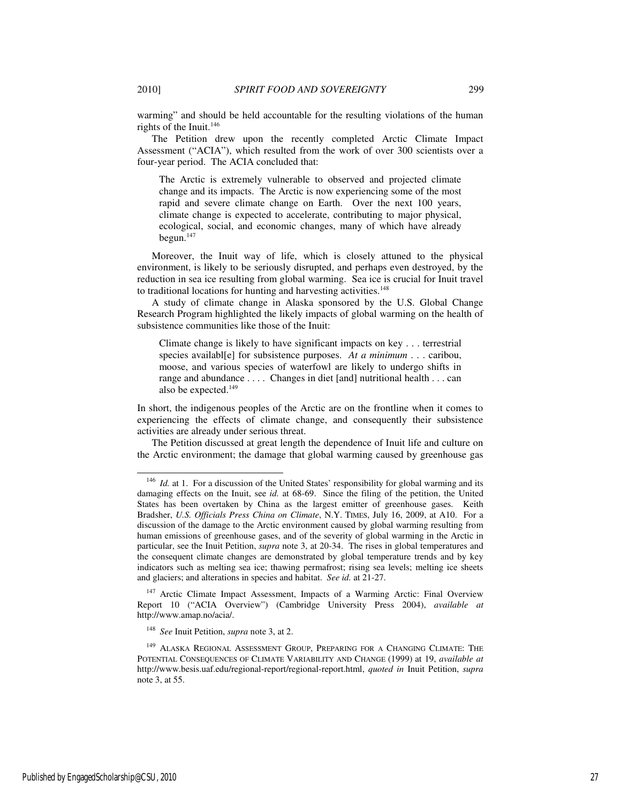j

warming" and should be held accountable for the resulting violations of the human rights of the Inuit.<sup>146</sup>

The Petition drew upon the recently completed Arctic Climate Impact Assessment ("ACIA"), which resulted from the work of over 300 scientists over a four-year period. The ACIA concluded that:

The Arctic is extremely vulnerable to observed and projected climate change and its impacts. The Arctic is now experiencing some of the most rapid and severe climate change on Earth. Over the next 100 years, climate change is expected to accelerate, contributing to major physical, ecological, social, and economic changes, many of which have already begun. $147$ 

Moreover, the Inuit way of life, which is closely attuned to the physical environment, is likely to be seriously disrupted, and perhaps even destroyed, by the reduction in sea ice resulting from global warming. Sea ice is crucial for Inuit travel to traditional locations for hunting and harvesting activities.<sup>148</sup>

A study of climate change in Alaska sponsored by the U.S. Global Change Research Program highlighted the likely impacts of global warming on the health of subsistence communities like those of the Inuit:

Climate change is likely to have significant impacts on key . . . terrestrial species availabl[e] for subsistence purposes. *At a minimum* . . . caribou, moose, and various species of waterfowl are likely to undergo shifts in range and abundance . . . . Changes in diet [and] nutritional health . . . can also be expected.<sup>149</sup>

In short, the indigenous peoples of the Arctic are on the frontline when it comes to experiencing the effects of climate change, and consequently their subsistence activities are already under serious threat.

The Petition discussed at great length the dependence of Inuit life and culture on the Arctic environment; the damage that global warming caused by greenhouse gas

<sup>147</sup> Arctic Climate Impact Assessment, Impacts of a Warming Arctic: Final Overview Report 10 ("ACIA Overview") (Cambridge University Press 2004), *available at*  http://www.amap.no/acia/.

<sup>148</sup> *See* Inuit Petition, *supra* note 3, at 2.

<sup>&</sup>lt;sup>146</sup> *Id.* at 1. For a discussion of the United States' responsibility for global warming and its damaging effects on the Inuit, see *id.* at 68-69. Since the filing of the petition, the United States has been overtaken by China as the largest emitter of greenhouse gases. Keith Bradsher, *U.S. Officials Press China on Climate*, N.Y. TIMES, July 16, 2009, at A10. For a discussion of the damage to the Arctic environment caused by global warming resulting from human emissions of greenhouse gases, and of the severity of global warming in the Arctic in particular, see the Inuit Petition, *supra* note 3, at 20-34. The rises in global temperatures and the consequent climate changes are demonstrated by global temperature trends and by key indicators such as melting sea ice; thawing permafrost; rising sea levels; melting ice sheets and glaciers; and alterations in species and habitat. *See id.* at 21-27.

<sup>149</sup> ALASKA REGIONAL ASSESSMENT GROUP, PREPARING FOR A CHANGING CLIMATE: THE POTENTIAL CONSEQUENCES OF CLIMATE VARIABILITY AND CHANGE (1999) at 19, *available at*  http://www.besis.uaf.edu/regional-report/regional-report.html, *quoted in* Inuit Petition, *supra* note 3, at 55.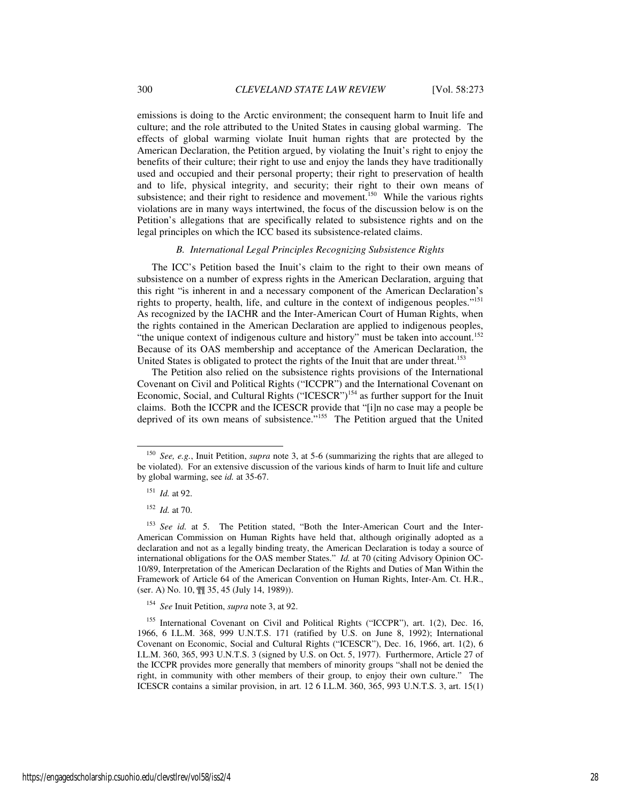emissions is doing to the Arctic environment; the consequent harm to Inuit life and culture; and the role attributed to the United States in causing global warming. The effects of global warming violate Inuit human rights that are protected by the American Declaration, the Petition argued, by violating the Inuit's right to enjoy the benefits of their culture; their right to use and enjoy the lands they have traditionally used and occupied and their personal property; their right to preservation of health and to life, physical integrity, and security; their right to their own means of subsistence; and their right to residence and movement.<sup>150</sup> While the various rights violations are in many ways intertwined, the focus of the discussion below is on the Petition's allegations that are specifically related to subsistence rights and on the legal principles on which the ICC based its subsistence-related claims.

## *B. International Legal Principles Recognizing Subsistence Rights*

The ICC's Petition based the Inuit's claim to the right to their own means of subsistence on a number of express rights in the American Declaration, arguing that this right "is inherent in and a necessary component of the American Declaration's rights to property, health, life, and culture in the context of indigenous peoples."<sup>151</sup> As recognized by the IACHR and the Inter-American Court of Human Rights, when the rights contained in the American Declaration are applied to indigenous peoples, "the unique context of indigenous culture and history" must be taken into account.<sup>152</sup> Because of its OAS membership and acceptance of the American Declaration, the United States is obligated to protect the rights of the Inuit that are under threat.<sup>153</sup>

The Petition also relied on the subsistence rights provisions of the International Covenant on Civil and Political Rights ("ICCPR") and the International Covenant on Economic, Social, and Cultural Rights ("ICESCR")<sup>154</sup> as further support for the Inuit claims. Both the ICCPR and the ICESCR provide that "[i]n no case may a people be deprived of its own means of subsistence."<sup>155</sup> The Petition argued that the United

<sup>150</sup> *See, e.g.*, Inuit Petition, *supra* note 3, at 5-6 (summarizing the rights that are alleged to be violated). For an extensive discussion of the various kinds of harm to Inuit life and culture by global warming, see *id.* at 35-67.

<sup>151</sup> *Id.* at 92.

<sup>152</sup> *Id.* at 70.

<sup>&</sup>lt;sup>153</sup> See id. at 5. The Petition stated, "Both the Inter-American Court and the Inter-American Commission on Human Rights have held that, although originally adopted as a declaration and not as a legally binding treaty, the American Declaration is today a source of international obligations for the OAS member States." *Id.* at 70 (citing Advisory Opinion OC-10/89, Interpretation of the American Declaration of the Rights and Duties of Man Within the Framework of Article 64 of the American Convention on Human Rights, Inter-Am. Ct. H.R., (ser. A) No. 10, ¶¶ 35, 45 (July 14, 1989)).

<sup>154</sup> *See* Inuit Petition, *supra* note 3, at 92.

<sup>&</sup>lt;sup>155</sup> International Covenant on Civil and Political Rights ("ICCPR"), art. 1(2), Dec. 16, 1966, 6 I.L.M. 368, 999 U.N.T.S. 171 (ratified by U.S. on June 8, 1992); International Covenant on Economic, Social and Cultural Rights ("ICESCR"), Dec. 16, 1966, art. 1(2), 6 I.L.M. 360, 365, 993 U.N.T.S. 3 (signed by U.S. on Oct. 5, 1977). Furthermore, Article 27 of the ICCPR provides more generally that members of minority groups "shall not be denied the right, in community with other members of their group, to enjoy their own culture." The ICESCR contains a similar provision, in art. 12 6 I.L.M. 360, 365, 993 U.N.T.S. 3, art. 15(1)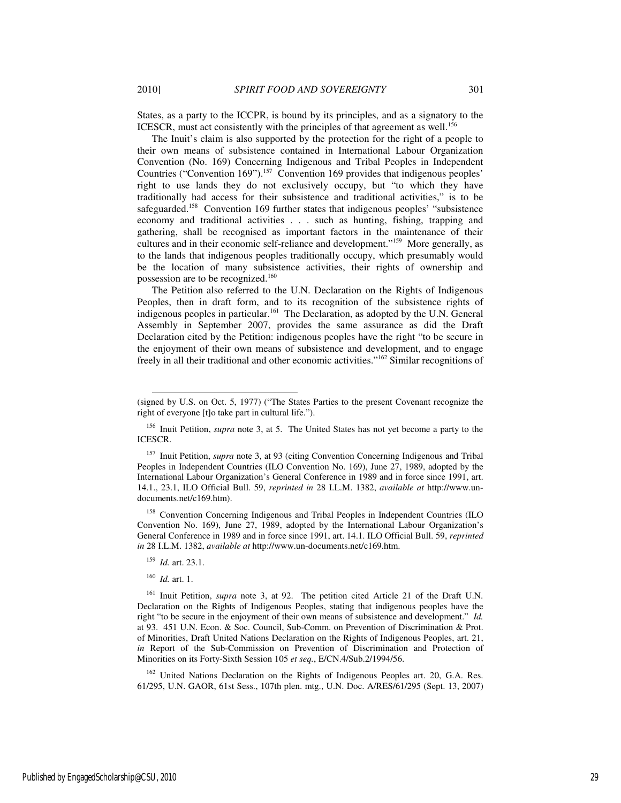States, as a party to the ICCPR, is bound by its principles, and as a signatory to the ICESCR, must act consistently with the principles of that agreement as well.<sup>156</sup>

The Inuit's claim is also supported by the protection for the right of a people to their own means of subsistence contained in International Labour Organization Convention (No. 169) Concerning Indigenous and Tribal Peoples in Independent Countries ("Convention 169").<sup>157</sup> Convention 169 provides that indigenous peoples' right to use lands they do not exclusively occupy, but "to which they have traditionally had access for their subsistence and traditional activities," is to be safeguarded.<sup>158</sup> Convention 169 further states that indigenous peoples' "subsistence economy and traditional activities . . . such as hunting, fishing, trapping and gathering, shall be recognised as important factors in the maintenance of their cultures and in their economic self-reliance and development."<sup>159</sup> More generally, as to the lands that indigenous peoples traditionally occupy, which presumably would be the location of many subsistence activities, their rights of ownership and possession are to be recognized.<sup>160</sup>

The Petition also referred to the U.N. Declaration on the Rights of Indigenous Peoples, then in draft form, and to its recognition of the subsistence rights of indigenous peoples in particular.<sup>161</sup> The Declaration, as adopted by the U.N. General Assembly in September 2007, provides the same assurance as did the Draft Declaration cited by the Petition: indigenous peoples have the right "to be secure in the enjoyment of their own means of subsistence and development, and to engage freely in all their traditional and other economic activities."<sup>162</sup> Similar recognitions of

<sup>158</sup> Convention Concerning Indigenous and Tribal Peoples in Independent Countries (ILO Convention No. 169), June 27, 1989, adopted by the International Labour Organization's General Conference in 1989 and in force since 1991, art. 14.1. ILO Official Bull. 59, *reprinted in* 28 I.L.M. 1382, *available at* http://www.un-documents.net/c169.htm.

<sup>159</sup> *Id.* art. 23.1.

<sup>160</sup> *Id.* art. 1.

l

<sup>161</sup> Inuit Petition, *supra* note 3, at 92. The petition cited Article 21 of the Draft U.N. Declaration on the Rights of Indigenous Peoples, stating that indigenous peoples have the right "to be secure in the enjoyment of their own means of subsistence and development." *Id.*  at 93. 451 U.N. Econ. & Soc. Council, Sub-Comm. on Prevention of Discrimination & Prot. of Minorities, Draft United Nations Declaration on the Rights of Indigenous Peoples, art. 21, *in* Report of the Sub-Commission on Prevention of Discrimination and Protection of Minorities on its Forty-Sixth Session 105 *et seq.*, E/CN.4/Sub.2/1994/56.

<sup>162</sup> United Nations Declaration on the Rights of Indigenous Peoples art. 20, G.A. Res. 61/295, U.N. GAOR, 61st Sess., 107th plen. mtg., U.N. Doc. A/RES/61/295 (Sept. 13, 2007)

<sup>(</sup>signed by U.S. on Oct. 5, 1977) ("The States Parties to the present Covenant recognize the right of everyone [t]o take part in cultural life.").

<sup>156</sup> Inuit Petition, *supra* note 3, at 5. The United States has not yet become a party to the ICESCR.

<sup>&</sup>lt;sup>157</sup> Inuit Petition, *supra* note 3, at 93 (citing Convention Concerning Indigenous and Tribal Peoples in Independent Countries (ILO Convention No. 169), June 27, 1989, adopted by the International Labour Organization's General Conference in 1989 and in force since 1991, art. 14.1., 23.1, ILO Official Bull. 59, *reprinted in* 28 I.L.M. 1382, *available at* http://www.undocuments.net/c169.htm).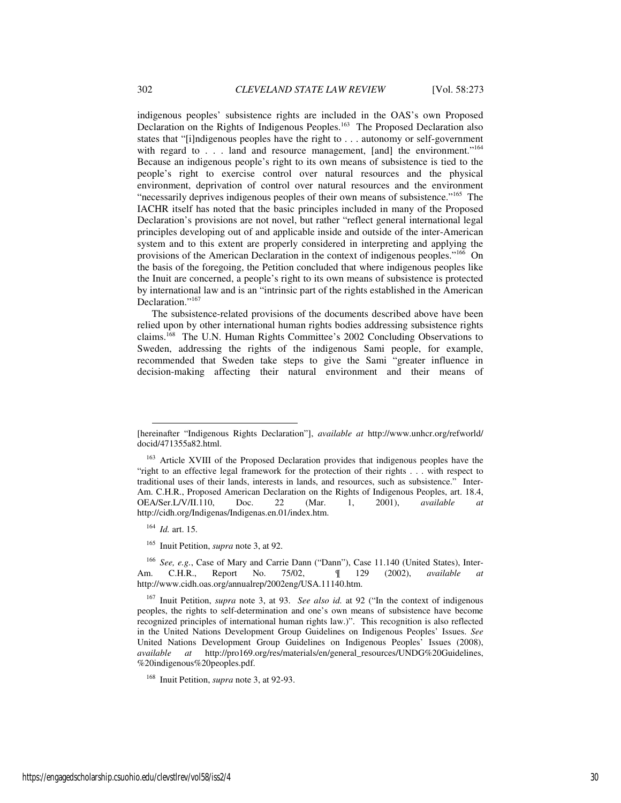indigenous peoples' subsistence rights are included in the OAS's own Proposed Declaration on the Rights of Indigenous Peoples.<sup>163</sup> The Proposed Declaration also states that "[i]ndigenous peoples have the right to . . . autonomy or self-government with regard to . . . land and resource management, [and] the environment."<sup>164</sup> Because an indigenous people's right to its own means of subsistence is tied to the people's right to exercise control over natural resources and the physical environment, deprivation of control over natural resources and the environment "necessarily deprives indigenous peoples of their own means of subsistence."<sup>165</sup> The IACHR itself has noted that the basic principles included in many of the Proposed Declaration's provisions are not novel, but rather "reflect general international legal principles developing out of and applicable inside and outside of the inter-American system and to this extent are properly considered in interpreting and applying the provisions of the American Declaration in the context of indigenous peoples."<sup>166</sup> On the basis of the foregoing, the Petition concluded that where indigenous peoples like the Inuit are concerned, a people's right to its own means of subsistence is protected by international law and is an "intrinsic part of the rights established in the American Declaration."<sup>167</sup>

The subsistence-related provisions of the documents described above have been relied upon by other international human rights bodies addressing subsistence rights claims.<sup>168</sup> The U.N. Human Rights Committee's 2002 Concluding Observations to Sweden, addressing the rights of the indigenous Sami people, for example, recommended that Sweden take steps to give the Sami "greater influence in decision-making affecting their natural environment and their means of

l

<sup>[</sup>hereinafter "Indigenous Rights Declaration"], *available at* http://www.unhcr.org/refworld/ docid/471355a82.html.

<sup>&</sup>lt;sup>163</sup> Article XVIII of the Proposed Declaration provides that indigenous peoples have the "right to an effective legal framework for the protection of their rights . . . with respect to traditional uses of their lands, interests in lands, and resources, such as subsistence." Inter-Am. C.H.R., Proposed American Declaration on the Rights of Indigenous Peoples, art. 18.4, OEA/Ser.L/V/II.110, Doc. 22 (Mar. 1, 2001), *available* http://cidh.org/Indigenas/Indigenas.en.01/index.htm.

<sup>164</sup> *Id.* art. 15.

<sup>165</sup> Inuit Petition, *supra* note 3, at 92.

See, e.g., Case of Mary and Carrie Dann ("Dann"), Case 11.140 (United States), Inter-Am. C.H.R., Report No. 75/02, ¶ 129 (2002), *available at*  http://www.cidh.oas.org/annualrep/2002eng/USA.11140.htm.

<sup>167</sup> Inuit Petition, *supra* note 3, at 93. *See also id.* at 92 ("In the context of indigenous peoples, the rights to self-determination and one's own means of subsistence have become recognized principles of international human rights law.)". This recognition is also reflected in the United Nations Development Group Guidelines on Indigenous Peoples' Issues. *See* United Nations Development Group Guidelines on Indigenous Peoples' Issues (2008), *available at* http://pro169.org/res/materials/en/general\_resources/UNDG%20Guidelines, %20indigenous%20peoples.pdf.

<sup>168</sup> Inuit Petition, *supra* note 3, at 92-93.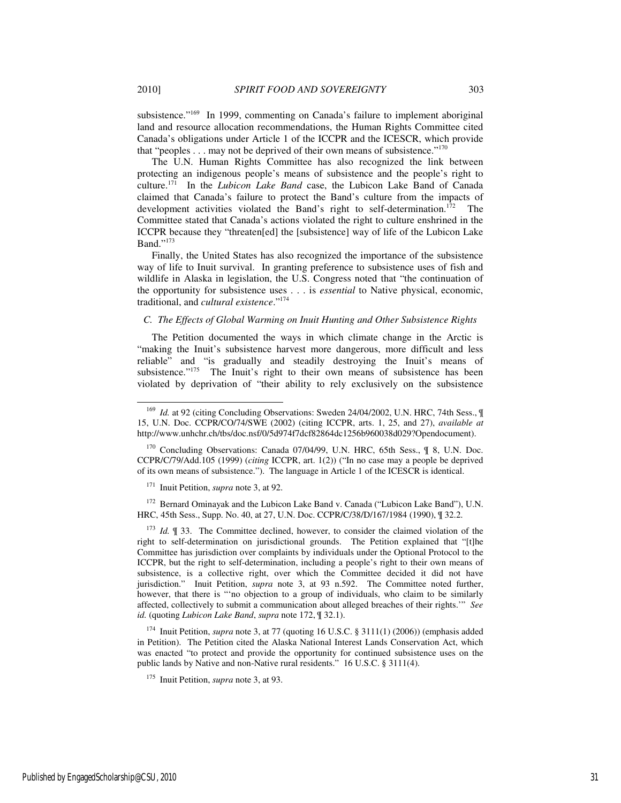subsistence."<sup>169</sup> In 1999, commenting on Canada's failure to implement aboriginal land and resource allocation recommendations, the Human Rights Committee cited Canada's obligations under Article 1 of the ICCPR and the ICESCR, which provide that "peoples  $\dots$  may not be deprived of their own means of subsistence."<sup>170</sup>

The U.N. Human Rights Committee has also recognized the link between protecting an indigenous people's means of subsistence and the people's right to culture.<sup>171</sup> In the *Lubicon Lake Band* case, the Lubicon Lake Band of Canada claimed that Canada's failure to protect the Band's culture from the impacts of development activities violated the Band's right to self-determination.<sup>172</sup> The Committee stated that Canada's actions violated the right to culture enshrined in the ICCPR because they "threaten[ed] the [subsistence] way of life of the Lubicon Lake Band."173

Finally, the United States has also recognized the importance of the subsistence way of life to Inuit survival. In granting preference to subsistence uses of fish and wildlife in Alaska in legislation, the U.S. Congress noted that "the continuation of the opportunity for subsistence uses . . . is *essential* to Native physical, economic, traditional, and *cultural existence*."<sup>174</sup>

#### *C. The Effects of Global Warming on Inuit Hunting and Other Subsistence Rights*

The Petition documented the ways in which climate change in the Arctic is "making the Inuit's subsistence harvest more dangerous, more difficult and less reliable" and "is gradually and steadily destroying the Inuit's means of subsistence."<sup>175</sup> The Inuit's right to their own means of subsistence has been violated by deprivation of "their ability to rely exclusively on the subsistence

<sup>170</sup> Concluding Observations: Canada 07/04/99, U.N. HRC, 65th Sess., ¶ 8, U.N. Doc. CCPR/C/79/Add.105 (1999) (*citing* ICCPR, art. 1(2)) ("In no case may a people be deprived of its own means of subsistence."). The language in Article 1 of the ICESCR is identical.

<sup>171</sup> Inuit Petition, *supra* note 3, at 92.

<sup>172</sup> Bernard Ominayak and the Lubicon Lake Band v. Canada ("Lubicon Lake Band"), U.N. HRC, 45th Sess., Supp. No. 40, at 27, U.N. Doc. CCPR/C/38/D/167/1984 (1990), ¶ 32.2.

<sup>173</sup> *Id.* ¶ 33. The Committee declined, however, to consider the claimed violation of the right to self-determination on jurisdictional grounds. The Petition explained that "[t]he Committee has jurisdiction over complaints by individuals under the Optional Protocol to the ICCPR, but the right to self-determination, including a people's right to their own means of subsistence, is a collective right, over which the Committee decided it did not have jurisdiction." Inuit Petition, *supra* note 3, at 93 n.592. The Committee noted further, however, that there is "'no objection to a group of individuals, who claim to be similarly affected, collectively to submit a communication about alleged breaches of their rights.'" *See id.* (quoting *Lubicon Lake Band*, *supra* note 172, ¶ 32.1).

<sup>174</sup> Inuit Petition, *supra* note 3, at 77 (quoting 16 U.S.C. § 3111(1) (2006)) (emphasis added in Petition). The Petition cited the Alaska National Interest Lands Conservation Act, which was enacted "to protect and provide the opportunity for continued subsistence uses on the public lands by Native and non-Native rural residents." 16 U.S.C. § 3111(4).

<sup>&</sup>lt;sup>169</sup> *Id.* at 92 (citing Concluding Observations: Sweden 24/04/2002, U.N. HRC, 74th Sess., ¶ 15, U.N. Doc. CCPR/CO/74/SWE (2002) (citing ICCPR, arts. 1, 25, and 27), *available at*  http://www.unhchr.ch/tbs/doc.nsf/0/5d974f7dcf82864dc1256b960038d029?Opendocument).

<sup>175</sup> Inuit Petition, *supra* note 3, at 93.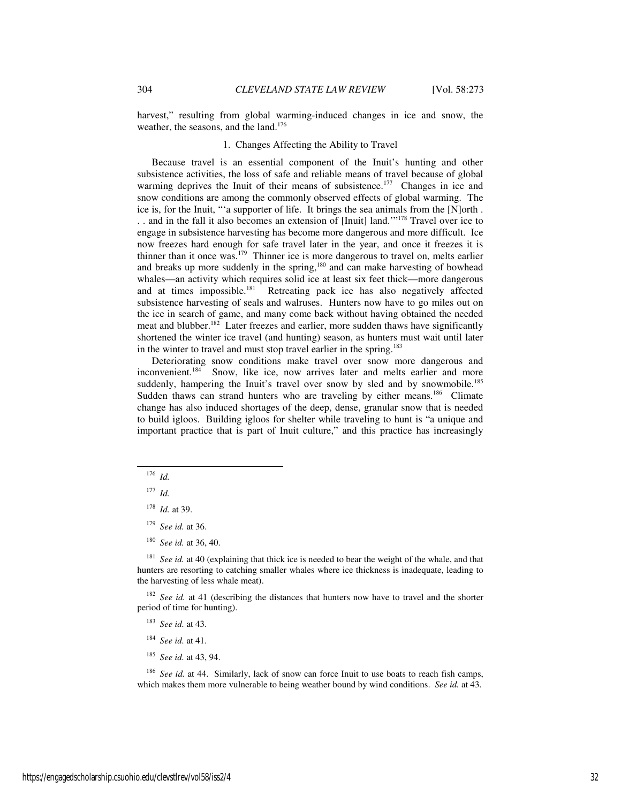harvest," resulting from global warming-induced changes in ice and snow, the weather, the seasons, and the land.<sup>176</sup>

# 1. Changes Affecting the Ability to Travel

Because travel is an essential component of the Inuit's hunting and other subsistence activities, the loss of safe and reliable means of travel because of global warming deprives the Inuit of their means of subsistence.<sup>177</sup> Changes in ice and snow conditions are among the commonly observed effects of global warming. The ice is, for the Inuit, "'a supporter of life. It brings the sea animals from the [N]orth . . . and in the fall it also becomes an extension of [Inuit] land.'"<sup>178</sup> Travel over ice to engage in subsistence harvesting has become more dangerous and more difficult. Ice now freezes hard enough for safe travel later in the year, and once it freezes it is thinner than it once was.<sup>179</sup> Thinner ice is more dangerous to travel on, melts earlier and breaks up more suddenly in the spring,<sup>180</sup> and can make harvesting of bowhead whales—an activity which requires solid ice at least six feet thick—more dangerous and at times impossible.<sup>181</sup> Retreating pack ice has also negatively affected subsistence harvesting of seals and walruses. Hunters now have to go miles out on the ice in search of game, and many come back without having obtained the needed meat and blubber.<sup>182</sup> Later freezes and earlier, more sudden thaws have significantly shortened the winter ice travel (and hunting) season, as hunters must wait until later in the winter to travel and must stop travel earlier in the spring.<sup>183</sup>

Deteriorating snow conditions make travel over snow more dangerous and inconvenient.<sup>184</sup> Snow, like ice, now arrives later and melts earlier and more suddenly, hampering the Inuit's travel over snow by sled and by snowmobile.<sup>185</sup> Sudden thaws can strand hunters who are traveling by either means.<sup>186</sup> Climate change has also induced shortages of the deep, dense, granular snow that is needed to build igloos. Building igloos for shelter while traveling to hunt is "a unique and important practice that is part of Inuit culture," and this practice has increasingly

 $176$  *Id.* 

-

- <sup>179</sup> *See id.* at 36.
- <sup>180</sup> *See id.* at 36, 40.

<sup>181</sup> *See id.* at 40 (explaining that thick ice is needed to bear the weight of the whale, and that hunters are resorting to catching smaller whales where ice thickness is inadequate, leading to the harvesting of less whale meat).

<sup>182</sup> *See id.* at 41 (describing the distances that hunters now have to travel and the shorter period of time for hunting).

- <sup>183</sup> *See id.* at 43.
- <sup>184</sup> *See id.* at 41.
- <sup>185</sup> *See id.* at 43, 94.

<sup>186</sup> *See id.* at 44. Similarly, lack of snow can force Inuit to use boats to reach fish camps, which makes them more vulnerable to being weather bound by wind conditions. *See id.* at 43.

 $177$  *Id.* 

<sup>178</sup> *Id.* at 39.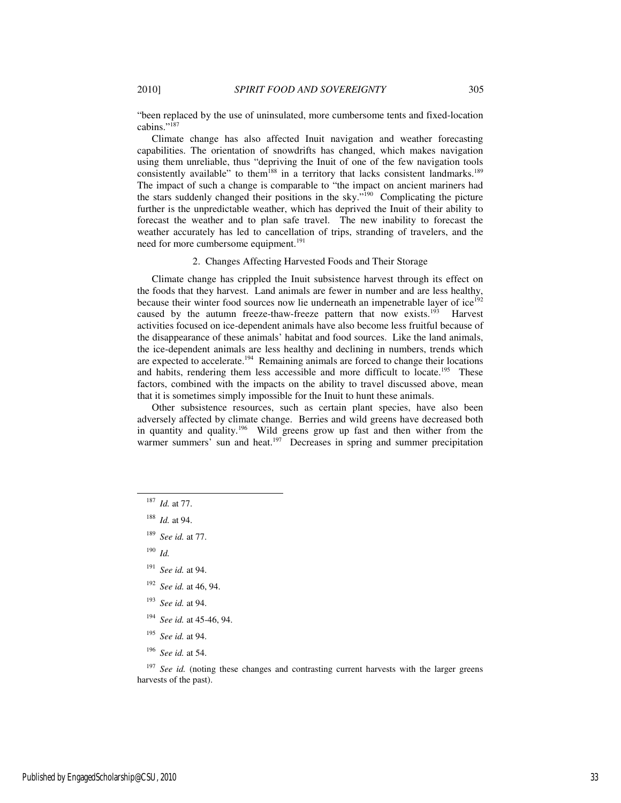"been replaced by the use of uninsulated, more cumbersome tents and fixed-location cabins."<sup>187</sup>

Climate change has also affected Inuit navigation and weather forecasting capabilities. The orientation of snowdrifts has changed, which makes navigation using them unreliable, thus "depriving the Inuit of one of the few navigation tools consistently available" to them<sup>188</sup> in a territory that lacks consistent landmarks.<sup>189</sup> The impact of such a change is comparable to "the impact on ancient mariners had the stars suddenly changed their positions in the sky."<sup>190</sup> Complicating the picture further is the unpredictable weather, which has deprived the Inuit of their ability to forecast the weather and to plan safe travel. The new inability to forecast the weather accurately has led to cancellation of trips, stranding of travelers, and the need for more cumbersome equipment.<sup>191</sup>

#### 2. Changes Affecting Harvested Foods and Their Storage

Climate change has crippled the Inuit subsistence harvest through its effect on the foods that they harvest. Land animals are fewer in number and are less healthy, because their winter food sources now lie underneath an impenetrable layer of  $\mathrm{ice}^{192}$ caused by the autumn freeze-thaw-freeze pattern that now exists.<sup>193</sup> Harvest activities focused on ice-dependent animals have also become less fruitful because of the disappearance of these animals' habitat and food sources. Like the land animals, the ice-dependent animals are less healthy and declining in numbers, trends which are expected to accelerate.<sup>194</sup> Remaining animals are forced to change their locations and habits, rendering them less accessible and more difficult to locate.<sup>195</sup> These factors, combined with the impacts on the ability to travel discussed above, mean that it is sometimes simply impossible for the Inuit to hunt these animals.

Other subsistence resources, such as certain plant species, have also been adversely affected by climate change. Berries and wild greens have decreased both in quantity and quality.<sup>196</sup> Wild greens grow up fast and then wither from the warmer summers' sun and heat.<sup>197</sup> Decreases in spring and summer precipitation

<sup>190</sup> *Id.*

- <sup>191</sup> *See id.* at 94.
- <sup>192</sup> *See id.* at 46, 94.
- <sup>193</sup> *See id.* at 94.
- <sup>194</sup> *See id.* at 45-46, 94.
- <sup>195</sup> *See id.* at 94.
- <sup>196</sup> *See id.* at 54.

<sup>187</sup> *Id.* at 77.

<sup>188</sup> *Id.* at 94.

<sup>189</sup> *See id.* at 77.

<sup>&</sup>lt;sup>197</sup> See id. (noting these changes and contrasting current harvests with the larger greens harvests of the past).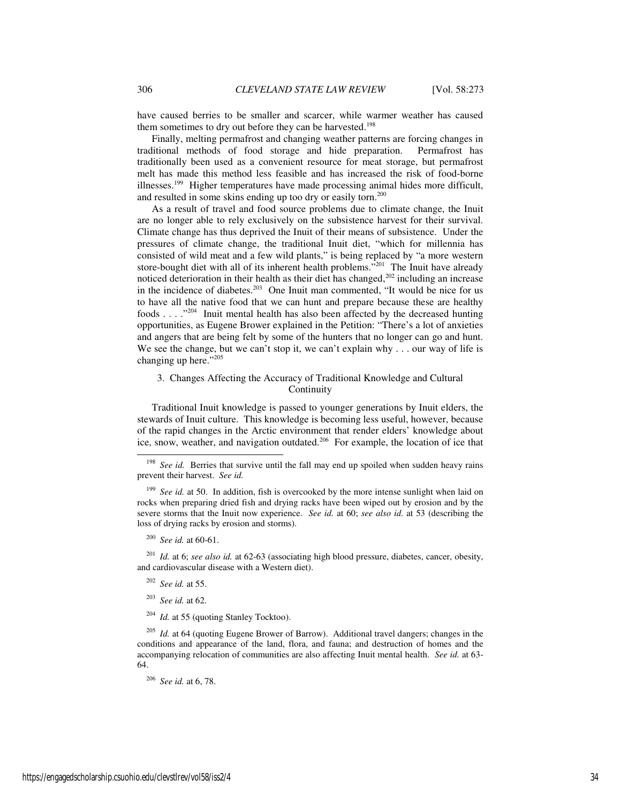have caused berries to be smaller and scarcer, while warmer weather has caused them sometimes to dry out before they can be harvested.<sup>198</sup>

Finally, melting permafrost and changing weather patterns are forcing changes in traditional methods of food storage and hide preparation. Permafrost has traditionally been used as a convenient resource for meat storage, but permafrost melt has made this method less feasible and has increased the risk of food-borne illnesses.<sup>199</sup> Higher temperatures have made processing animal hides more difficult, and resulted in some skins ending up too dry or easily torn.<sup>200</sup>

As a result of travel and food source problems due to climate change, the Inuit are no longer able to rely exclusively on the subsistence harvest for their survival. Climate change has thus deprived the Inuit of their means of subsistence. Under the pressures of climate change, the traditional Inuit diet, "which for millennia has consisted of wild meat and a few wild plants," is being replaced by "a more western store-bought diet with all of its inherent health problems."<sup>201</sup> The Inuit have already noticed deterioration in their health as their diet has changed, $202$  including an increase in the incidence of diabetes.<sup>203</sup> One Inuit man commented, "It would be nice for us to have all the native food that we can hunt and prepare because these are healthy foods . . . ."<sup>204</sup> Inuit mental health has also been affected by the decreased hunting opportunities, as Eugene Brower explained in the Petition: "There's a lot of anxieties and angers that are being felt by some of the hunters that no longer can go and hunt. We see the change, but we can't stop it, we can't explain why . . . our way of life is changing up here."<sup>205</sup>

# 3. Changes Affecting the Accuracy of Traditional Knowledge and Cultural Continuity

Traditional Inuit knowledge is passed to younger generations by Inuit elders, the stewards of Inuit culture. This knowledge is becoming less useful, however, because of the rapid changes in the Arctic environment that render elders' knowledge about ice, snow, weather, and navigation outdated.<sup>206</sup> For example, the location of ice that

<sup>199</sup> See id. at 50. In addition, fish is overcooked by the more intense sunlight when laid on rocks when preparing dried fish and drying racks have been wiped out by erosion and by the severe storms that the Inuit now experience. *See id.* at 60; *see also id.* at 53 (describing the loss of drying racks by erosion and storms).

j

<sup>201</sup> *Id.* at 6; *see also id.* at 62-63 (associating high blood pressure, diabetes, cancer, obesity, and cardiovascular disease with a Western diet).

<sup>202</sup> *See id.* at 55.

<sup>203</sup> *See id.* at 62.

<sup>204</sup> *Id.* at 55 (quoting Stanley Tocktoo).

<sup>205</sup> *Id.* at 64 (quoting Eugene Brower of Barrow). Additional travel dangers; changes in the conditions and appearance of the land, flora, and fauna; and destruction of homes and the accompanying relocation of communities are also affecting Inuit mental health. *See id.* at 63- 64.

<sup>206</sup> *See id.* at 6, 78.

<sup>&</sup>lt;sup>198</sup> *See id.* Berries that survive until the fall may end up spoiled when sudden heavy rains prevent their harvest. *See id.*

<sup>200</sup> *See id.* at 60-61.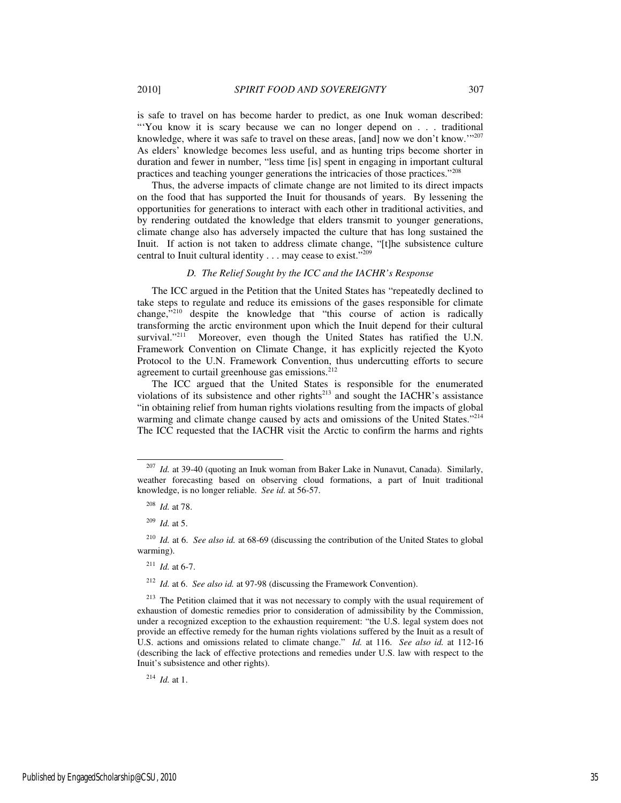is safe to travel on has become harder to predict, as one Inuk woman described: "You know it is scary because we can no longer depend on . . . traditional knowledge, where it was safe to travel on these areas, [and] now we don't know."<sup>207</sup> As elders' knowledge becomes less useful, and as hunting trips become shorter in

duration and fewer in number, "less time [is] spent in engaging in important cultural

practices and teaching younger generations the intricacies of those practices."<sup>208</sup> Thus, the adverse impacts of climate change are not limited to its direct impacts on the food that has supported the Inuit for thousands of years. By lessening the opportunities for generations to interact with each other in traditional activities, and by rendering outdated the knowledge that elders transmit to younger generations, climate change also has adversely impacted the culture that has long sustained the Inuit. If action is not taken to address climate change, "[t]he subsistence culture

#### *D. The Relief Sought by the ICC and the IACHR's Response*

central to Inuit cultural identity . . . may cease to exist."<sup>209</sup>

The ICC argued in the Petition that the United States has "repeatedly declined to take steps to regulate and reduce its emissions of the gases responsible for climate change, $^{3210}$  despite the knowledge that "this course of action is radically transforming the arctic environment upon which the Inuit depend for their cultural survival."<sup>211</sup> Moreover, even though the United States has ratified the U.N. Framework Convention on Climate Change, it has explicitly rejected the Kyoto Protocol to the U.N. Framework Convention, thus undercutting efforts to secure agreement to curtail greenhouse gas emissions.<sup>212</sup>

The ICC argued that the United States is responsible for the enumerated violations of its subsistence and other rights $^{213}$  and sought the IACHR's assistance "in obtaining relief from human rights violations resulting from the impacts of global warming and climate change caused by acts and omissions of the United States."<sup>214</sup> The ICC requested that the IACHR visit the Arctic to confirm the harms and rights

-

<sup>212</sup> *Id.* at 6. *See also id.* at 97-98 (discussing the Framework Convention).

<sup>214</sup> *Id.* at 1.

<sup>207</sup> *Id.* at 39-40 (quoting an Inuk woman from Baker Lake in Nunavut, Canada). Similarly, weather forecasting based on observing cloud formations, a part of Inuit traditional knowledge, is no longer reliable. *See id.* at 56-57.

<sup>208</sup> *Id.* at 78.

<sup>209</sup> *Id.* at 5.

<sup>210</sup> *Id.* at 6. *See also id.* at 68-69 (discussing the contribution of the United States to global warming).

<sup>211</sup> *Id.* at 6-7.

<sup>&</sup>lt;sup>213</sup> The Petition claimed that it was not necessary to comply with the usual requirement of exhaustion of domestic remedies prior to consideration of admissibility by the Commission, under a recognized exception to the exhaustion requirement: "the U.S. legal system does not provide an effective remedy for the human rights violations suffered by the Inuit as a result of U.S. actions and omissions related to climate change." *Id.* at 116. *See also id.* at 112-16 (describing the lack of effective protections and remedies under U.S. law with respect to the Inuit's subsistence and other rights).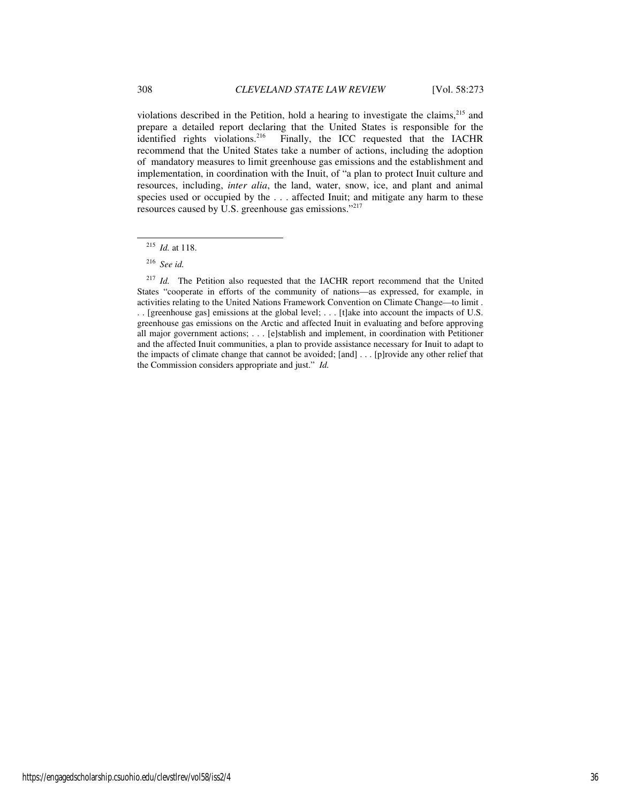violations described in the Petition, hold a hearing to investigate the claims,<sup>215</sup> and prepare a detailed report declaring that the United States is responsible for the identified rights violations.<sup>216</sup> Finally, the ICC requested that the IACHR recommend that the United States take a number of actions, including the adoption of mandatory measures to limit greenhouse gas emissions and the establishment and implementation, in coordination with the Inuit, of "a plan to protect Inuit culture and resources, including, *inter alia*, the land, water, snow, ice, and plant and animal species used or occupied by the . . . affected Inuit; and mitigate any harm to these resources caused by U.S. greenhouse gas emissions."<sup>217</sup>

l

<sup>215</sup> *Id.* at 118.

<sup>216</sup> *See id.*

<sup>&</sup>lt;sup>217</sup> *Id.* The Petition also requested that the IACHR report recommend that the United States "cooperate in efforts of the community of nations—as expressed, for example, in activities relating to the United Nations Framework Convention on Climate Change—to limit . . . [greenhouse gas] emissions at the global level; . . . [t]ake into account the impacts of U.S. greenhouse gas emissions on the Arctic and affected Inuit in evaluating and before approving all major government actions; . . . [e]stablish and implement, in coordination with Petitioner and the affected Inuit communities, a plan to provide assistance necessary for Inuit to adapt to the impacts of climate change that cannot be avoided; [and] . . . [p]rovide any other relief that the Commission considers appropriate and just." *Id.*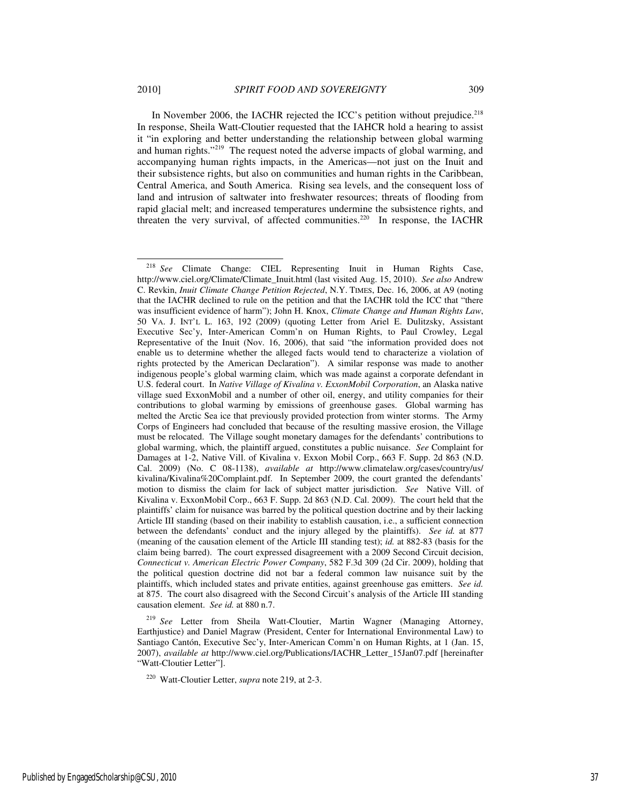In November 2006, the IACHR rejected the ICC's petition without prejudice.<sup>218</sup> In response, Sheila Watt-Cloutier requested that the IAHCR hold a hearing to assist it "in exploring and better understanding the relationship between global warming and human rights."<sup>219</sup> The request noted the adverse impacts of global warming, and accompanying human rights impacts, in the Americas—not just on the Inuit and their subsistence rights, but also on communities and human rights in the Caribbean, Central America, and South America. Rising sea levels, and the consequent loss of land and intrusion of saltwater into freshwater resources; threats of flooding from rapid glacial melt; and increased temperatures undermine the subsistence rights, and threaten the very survival, of affected communities.<sup>220</sup> In response, the IACHR

<sup>218</sup> *See* Climate Change: CIEL Representing Inuit in Human Rights Case, http://www.ciel.org/Climate/Climate\_Inuit.html (last visited Aug. 15, 2010). *See also* Andrew C. Revkin, *Inuit Climate Change Petition Rejected*, N.Y. TIMES, Dec. 16, 2006, at A9 (noting that the IACHR declined to rule on the petition and that the IACHR told the ICC that "there was insufficient evidence of harm"); John H. Knox, *Climate Change and Human Rights Law*, 50 VA. J. INT'L L. 163, 192 (2009) (quoting Letter from Ariel E. Dulitzsky, Assistant Executive Sec'y, Inter-American Comm'n on Human Rights, to Paul Crowley, Legal Representative of the Inuit (Nov. 16, 2006), that said "the information provided does not enable us to determine whether the alleged facts would tend to characterize a violation of rights protected by the American Declaration"). A similar response was made to another indigenous people's global warming claim, which was made against a corporate defendant in U.S. federal court. In *Native Village of Kivalina v. ExxonMobil Corporation*, an Alaska native village sued ExxonMobil and a number of other oil, energy, and utility companies for their contributions to global warming by emissions of greenhouse gases. Global warming has melted the Arctic Sea ice that previously provided protection from winter storms. The Army Corps of Engineers had concluded that because of the resulting massive erosion, the Village must be relocated. The Village sought monetary damages for the defendants' contributions to global warming, which, the plaintiff argued, constitutes a public nuisance. *See* Complaint for Damages at 1-2, Native Vill. of Kivalina v. Exxon Mobil Corp., 663 F. Supp. 2d 863 (N.D. Cal. 2009) (No. C 08-1138), *available at* http://www.climatelaw.org/cases/country/us/ kivalina/Kivalina%20Complaint.pdf. In September 2009, the court granted the defendants' motion to dismiss the claim for lack of subject matter jurisdiction. *See* Native Vill. of Kivalina v. ExxonMobil Corp., 663 F. Supp. 2d 863 (N.D. Cal. 2009). The court held that the plaintiffs' claim for nuisance was barred by the political question doctrine and by their lacking Article III standing (based on their inability to establish causation, i.e., a sufficient connection between the defendants' conduct and the injury alleged by the plaintiffs). *See id.* at 877 (meaning of the causation element of the Article III standing test); *id.* at 882-83 (basis for the claim being barred). The court expressed disagreement with a 2009 Second Circuit decision, *Connecticut v. American Electric Power Company*, 582 F.3d 309 (2d Cir. 2009), holding that the political question doctrine did not bar a federal common law nuisance suit by the plaintiffs, which included states and private entities, against greenhouse gas emitters. *See id.* at 875. The court also disagreed with the Second Circuit's analysis of the Article III standing causation element. *See id.* at 880 n.7.

<sup>219</sup> *See* Letter from Sheila Watt-Cloutier, Martin Wagner (Managing Attorney, Earthjustice) and Daniel Magraw (President, Center for International Environmental Law) to Santiago Cantón, Executive Sec'y, Inter-American Comm'n on Human Rights, at 1 (Jan. 15, 2007), *available at* http://www.ciel.org/Publications/IACHR\_Letter\_15Jan07.pdf [hereinafter "Watt-Cloutier Letter"].

<sup>220</sup> Watt-Cloutier Letter, *supra* note 219, at 2-3.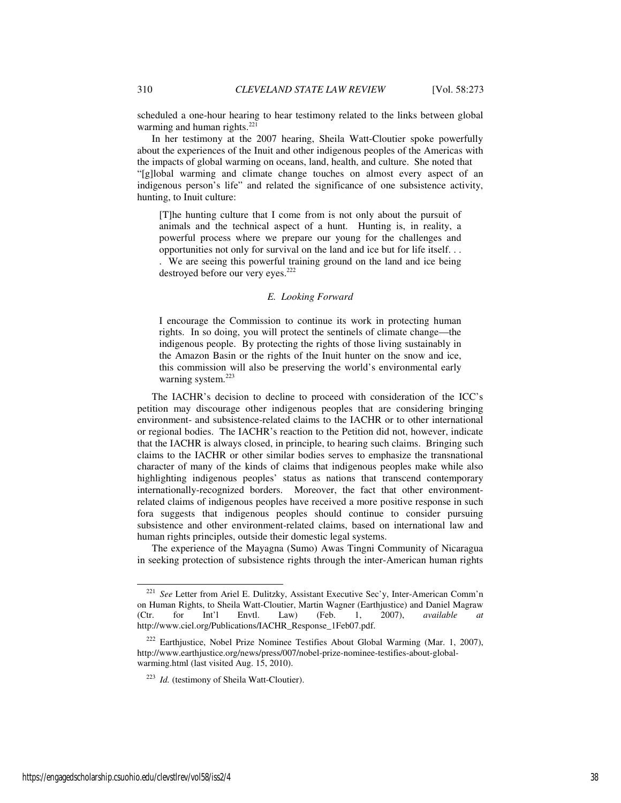scheduled a one-hour hearing to hear testimony related to the links between global warming and human rights. $221$ 

In her testimony at the 2007 hearing, Sheila Watt-Cloutier spoke powerfully about the experiences of the Inuit and other indigenous peoples of the Americas with the impacts of global warming on oceans, land, health, and culture. She noted that "[g]lobal warming and climate change touches on almost every aspect of an indigenous person's life" and related the significance of one subsistence activity, hunting, to Inuit culture:

[T]he hunting culture that I come from is not only about the pursuit of animals and the technical aspect of a hunt. Hunting is, in reality, a powerful process where we prepare our young for the challenges and opportunities not only for survival on the land and ice but for life itself. . .

. We are seeing this powerful training ground on the land and ice being destroyed before our very eyes.<sup>222</sup>

## *E. Looking Forward*

I encourage the Commission to continue its work in protecting human rights. In so doing, you will protect the sentinels of climate change—the indigenous people. By protecting the rights of those living sustainably in the Amazon Basin or the rights of the Inuit hunter on the snow and ice, this commission will also be preserving the world's environmental early warning system.<sup>223</sup>

The IACHR's decision to decline to proceed with consideration of the ICC's petition may discourage other indigenous peoples that are considering bringing environment- and subsistence-related claims to the IACHR or to other international or regional bodies. The IACHR's reaction to the Petition did not, however, indicate that the IACHR is always closed, in principle, to hearing such claims. Bringing such claims to the IACHR or other similar bodies serves to emphasize the transnational character of many of the kinds of claims that indigenous peoples make while also highlighting indigenous peoples' status as nations that transcend contemporary internationally-recognized borders. Moreover, the fact that other environmentrelated claims of indigenous peoples have received a more positive response in such fora suggests that indigenous peoples should continue to consider pursuing subsistence and other environment-related claims, based on international law and human rights principles, outside their domestic legal systems.

The experience of the Mayagna (Sumo) Awas Tingni Community of Nicaragua in seeking protection of subsistence rights through the inter-American human rights

<sup>221</sup> *See* Letter from Ariel E. Dulitzky, Assistant Executive Sec'y, Inter-American Comm'n on Human Rights, to Sheila Watt-Cloutier, Martin Wagner (Earthjustice) and Daniel Magraw (Ctr. for Int'l Envtl. Law) (Feb. 1, 2007), *available at* http://www.ciel.org/Publications/IACHR\_Response\_1Feb07.pdf.

<sup>222</sup> Earthjustice, Nobel Prize Nominee Testifies About Global Warming (Mar. 1, 2007), http://www.earthjustice.org/news/press/007/nobel-prize-nominee-testifies-about-globalwarming.html (last visited Aug. 15, 2010).

<sup>223</sup> *Id.* (testimony of Sheila Watt-Cloutier).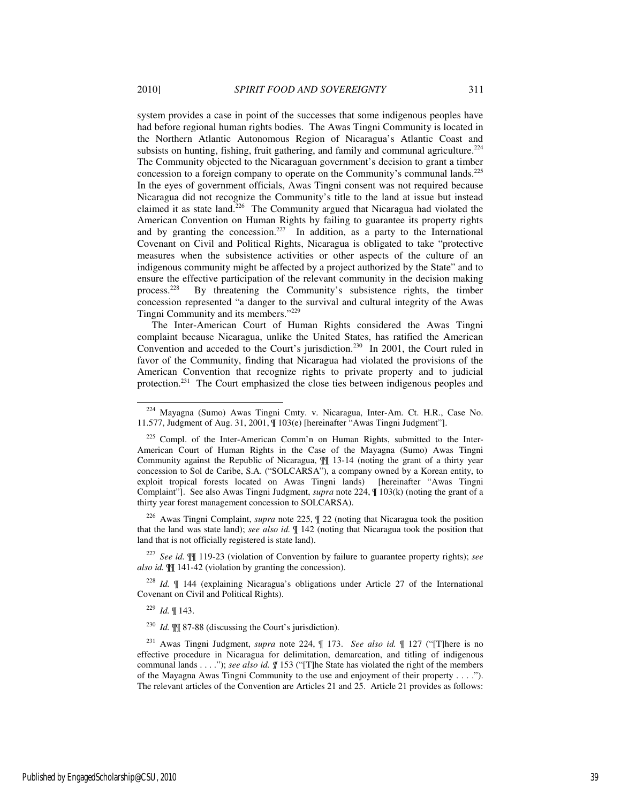system provides a case in point of the successes that some indigenous peoples have had before regional human rights bodies. The Awas Tingni Community is located in the Northern Atlantic Autonomous Region of Nicaragua's Atlantic Coast and subsists on hunting, fishing, fruit gathering, and family and communal agriculture.<sup>224</sup> The Community objected to the Nicaraguan government's decision to grant a timber concession to a foreign company to operate on the Community's communal lands.<sup>225</sup> In the eyes of government officials, Awas Tingni consent was not required because Nicaragua did not recognize the Community's title to the land at issue but instead claimed it as state land.<sup>226</sup> The Community argued that Nicaragua had violated the American Convention on Human Rights by failing to guarantee its property rights and by granting the concession.<sup>227</sup> In addition, as a party to the International Covenant on Civil and Political Rights, Nicaragua is obligated to take "protective measures when the subsistence activities or other aspects of the culture of an indigenous community might be affected by a project authorized by the State" and to ensure the effective participation of the relevant community in the decision making process.<sup>228</sup> By threatening the Community's subsistence rights, the timber By threatening the Community's subsistence rights, the timber concession represented "a danger to the survival and cultural integrity of the Awas Tingni Community and its members."<sup>229</sup>

The Inter-American Court of Human Rights considered the Awas Tingni complaint because Nicaragua, unlike the United States, has ratified the American Convention and acceded to the Court's jurisdiction.<sup>230</sup> In 2001, the Court ruled in favor of the Community, finding that Nicaragua had violated the provisions of the American Convention that recognize rights to private property and to judicial protection.<sup>231</sup> The Court emphasized the close ties between indigenous peoples and

<sup>226</sup> Awas Tingni Complaint, *supra* note 225, ¶ 22 (noting that Nicaragua took the position that the land was state land); *see also id.* ¶ 142 (noting that Nicaragua took the position that land that is not officially registered is state land).

<sup>227</sup> *See id.* ¶¶ 119-23 (violation of Convention by failure to guarantee property rights); *see also id.* ¶¶ 141-42 (violation by granting the concession).

<sup>228</sup> *Id.* ¶ 144 (explaining Nicaragua's obligations under Article 27 of the International Covenant on Civil and Political Rights).

<sup>229</sup> *Id.* ¶ 143.

<sup>224</sup> Mayagna (Sumo) Awas Tingni Cmty. v. Nicaragua, Inter-Am. Ct. H.R., Case No. 11.577, Judgment of Aug. 31, 2001, ¶ 103(e) [hereinafter "Awas Tingni Judgment"].

<sup>&</sup>lt;sup>225</sup> Compl. of the Inter-American Comm'n on Human Rights, submitted to the Inter-American Court of Human Rights in the Case of the Mayagna (Sumo) Awas Tingni Community against the Republic of Nicaragua, ¶¶ 13-14 (noting the grant of a thirty year concession to Sol de Caribe, S.A. ("SOLCARSA"), a company owned by a Korean entity, to exploit tropical forests located on Awas Tingni lands) [hereinafter "Awas Tingni Complaint"]. See also Awas Tingni Judgment, *supra* note 224, ¶ 103(k) (noting the grant of a thirty year forest management concession to SOLCARSA).

<sup>230</sup> *Id.* ¶¶ 87-88 (discussing the Court's jurisdiction).

<sup>231</sup> Awas Tingni Judgment, *supra* note 224, ¶ 173. *See also id.* ¶ 127 ("[T]here is no effective procedure in Nicaragua for delimitation, demarcation, and titling of indigenous communal lands . . . ."); *see also id. ¶* 153 ("[T]he State has violated the right of the members of the Mayagna Awas Tingni Community to the use and enjoyment of their property . . . ."). The relevant articles of the Convention are Articles 21 and 25. Article 21 provides as follows: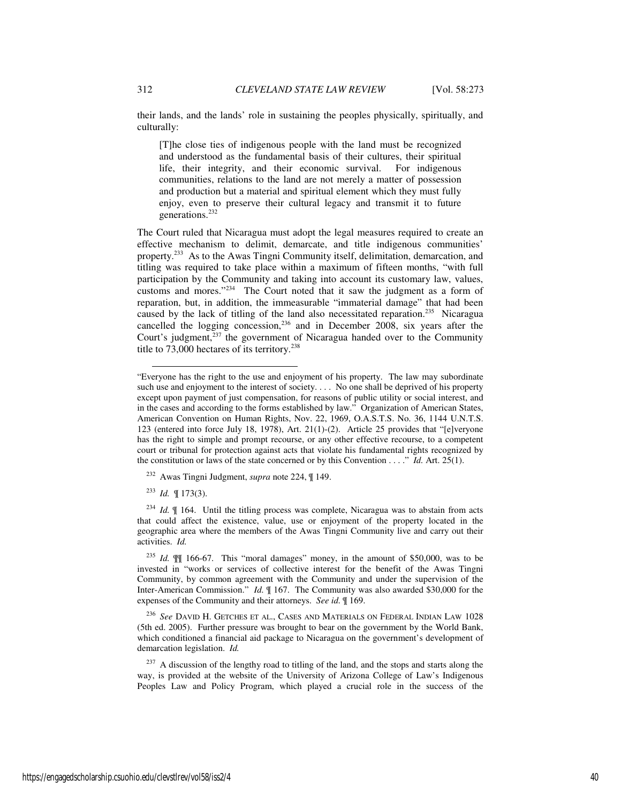their lands, and the lands' role in sustaining the peoples physically, spiritually, and culturally:

[T]he close ties of indigenous people with the land must be recognized and understood as the fundamental basis of their cultures, their spiritual life, their integrity, and their economic survival. For indigenous communities, relations to the land are not merely a matter of possession and production but a material and spiritual element which they must fully enjoy, even to preserve their cultural legacy and transmit it to future generations.<sup>232</sup>

The Court ruled that Nicaragua must adopt the legal measures required to create an effective mechanism to delimit, demarcate, and title indigenous communities' property.<sup>233</sup> As to the Awas Tingni Community itself, delimitation, demarcation, and titling was required to take place within a maximum of fifteen months, "with full participation by the Community and taking into account its customary law, values, customs and mores."<sup>234</sup> The Court noted that it saw the judgment as a form of reparation, but, in addition, the immeasurable "immaterial damage" that had been caused by the lack of titling of the land also necessitated reparation.<sup>235</sup> Nicaragua cancelled the logging concession,<sup>236</sup> and in December 2008, six years after the Court's judgment,<sup>237</sup> the government of Nicaragua handed over to the Community title to  $73,000$  hectares of its territory.<sup>238</sup>

<sup>232</sup> Awas Tingni Judgment, *supra* note 224, ¶ 149.

<sup>233</sup> *Id.* ¶ 173(3).

-

<sup>234</sup> *Id.* ¶ 164. Until the titling process was complete, Nicaragua was to abstain from acts that could affect the existence, value, use or enjoyment of the property located in the geographic area where the members of the Awas Tingni Community live and carry out their activities. *Id.*

<sup>236</sup> *See* DAVID H. GETCHES ET AL., CASES AND MATERIALS ON FEDERAL INDIAN LAW 1028 (5th ed. 2005). Further pressure was brought to bear on the government by the World Bank, which conditioned a financial aid package to Nicaragua on the government's development of demarcation legislation. *Id.* 

<sup>237</sup> A discussion of the lengthy road to titling of the land, and the stops and starts along the way, is provided at the website of the University of Arizona College of Law's Indigenous Peoples Law and Policy Program, which played a crucial role in the success of the

<sup>&</sup>quot;Everyone has the right to the use and enjoyment of his property. The law may subordinate such use and enjoyment to the interest of society.... No one shall be deprived of his property except upon payment of just compensation, for reasons of public utility or social interest, and in the cases and according to the forms established by law." Organization of American States, American Convention on Human Rights, Nov. 22, 1969, O.A.S.T.S. No. 36, 1144 U.N.T.S. 123 (entered into force July 18, 1978), Art. 21(1)-(2). Article 25 provides that "[e]veryone has the right to simple and prompt recourse, or any other effective recourse, to a competent court or tribunal for protection against acts that violate his fundamental rights recognized by the constitution or laws of the state concerned or by this Convention . . . ." *Id.* Art. 25(1).

<sup>235</sup> *Id.* ¶¶ 166-67. This "moral damages" money, in the amount of \$50,000, was to be invested in "works or services of collective interest for the benefit of the Awas Tingni Community, by common agreement with the Community and under the supervision of the Inter-American Commission." *Id.* ¶ 167. The Community was also awarded \$30,000 for the expenses of the Community and their attorneys. *See id.* ¶ 169.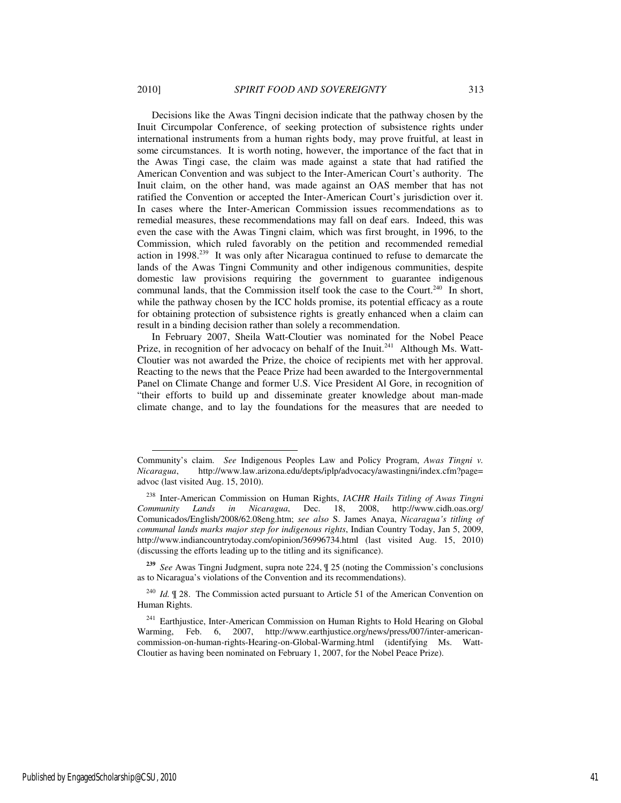Decisions like the Awas Tingni decision indicate that the pathway chosen by the Inuit Circumpolar Conference, of seeking protection of subsistence rights under international instruments from a human rights body, may prove fruitful, at least in some circumstances. It is worth noting, however, the importance of the fact that in the Awas Tingi case, the claim was made against a state that had ratified the American Convention and was subject to the Inter-American Court's authority. The Inuit claim, on the other hand, was made against an OAS member that has not ratified the Convention or accepted the Inter-American Court's jurisdiction over it. In cases where the Inter-American Commission issues recommendations as to remedial measures, these recommendations may fall on deaf ears. Indeed, this was even the case with the Awas Tingni claim, which was first brought, in 1996, to the Commission, which ruled favorably on the petition and recommended remedial action in 1998.<sup>239</sup> It was only after Nicaragua continued to refuse to demarcate the lands of the Awas Tingni Community and other indigenous communities, despite domestic law provisions requiring the government to guarantee indigenous

communal lands, that the Commission itself took the case to the Court.<sup>240</sup> In short, while the pathway chosen by the ICC holds promise, its potential efficacy as a route for obtaining protection of subsistence rights is greatly enhanced when a claim can result in a binding decision rather than solely a recommendation.

In February 2007, Sheila Watt-Cloutier was nominated for the Nobel Peace Prize, in recognition of her advocacy on behalf of the Inuit.<sup>241</sup> Although Ms. Watt-Cloutier was not awarded the Prize, the choice of recipients met with her approval. Reacting to the news that the Peace Prize had been awarded to the Intergovernmental Panel on Climate Change and former U.S. Vice President Al Gore, in recognition of "their efforts to build up and disseminate greater knowledge about man-made climate change, and to lay the foundations for the measures that are needed to

l

Community's claim. *See* Indigenous Peoples Law and Policy Program, *Awas Tingni v. Nicaragua*, http://www.law.arizona.edu/depts/iplp/advocacy/awastingni/index.cfm?page= advoc (last visited Aug. 15, 2010).

<sup>238</sup> Inter-American Commission on Human Rights, *IACHR Hails Titling of Awas Tingni Community Lands in Nicaragua*, Dec. 18, 2008, http://www.cidh.oas.org/ Comunicados/English/2008/62.08eng.htm; *see also* S. James Anaya, *Nicaragua's titling of communal lands marks major step for indigenous rights*, Indian Country Today, Jan 5, 2009, http://www.indiancountrytoday.com/opinion/36996734.html (last visited Aug. 15, 2010) (discussing the efforts leading up to the titling and its significance).

**<sup>239</sup>** *See* Awas Tingni Judgment, supra note 224, ¶ 25 (noting the Commission's conclusions as to Nicaragua's violations of the Convention and its recommendations).

<sup>240</sup> *Id.* ¶ 28. The Commission acted pursuant to Article 51 of the American Convention on Human Rights.

<sup>&</sup>lt;sup>241</sup> Earthjustice, Inter-American Commission on Human Rights to Hold Hearing on Global Warming, Feb. 6, 2007, http://www.earthjustice.org/news/press/007/inter-americancommission-on-human-rights-Hearing-on-Global-Warming.html (identifying Ms. Watt-Cloutier as having been nominated on February 1, 2007, for the Nobel Peace Prize).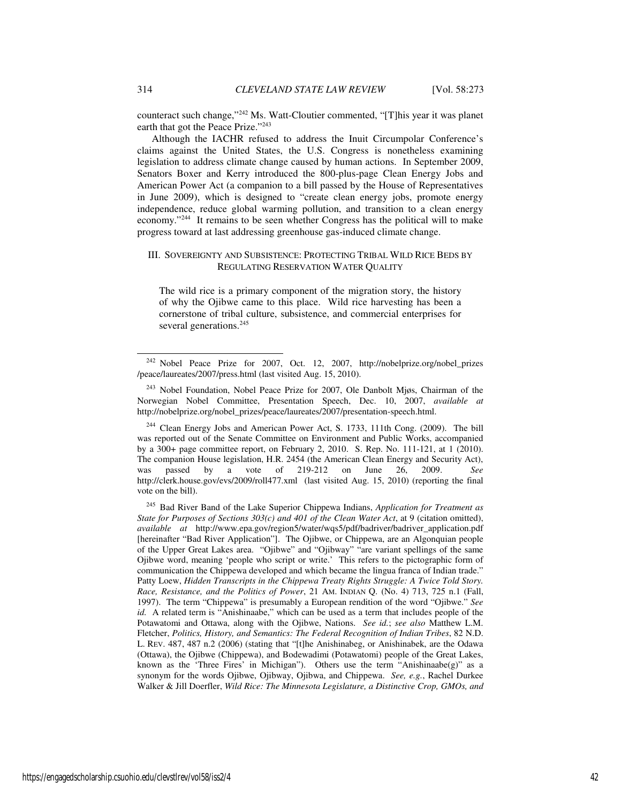counteract such change,"<sup>242</sup> Ms. Watt-Cloutier commented, "[T]his year it was planet earth that got the Peace Prize."<sup>243</sup>

Although the IACHR refused to address the Inuit Circumpolar Conference's claims against the United States, the U.S. Congress is nonetheless examining legislation to address climate change caused by human actions. In September 2009, Senators Boxer and Kerry introduced the 800-plus-page Clean Energy Jobs and American Power Act (a companion to a bill passed by the House of Representatives in June 2009), which is designed to "create clean energy jobs, promote energy independence, reduce global warming pollution, and transition to a clean energy economy."<sup>244</sup> It remains to be seen whether Congress has the political will to make progress toward at last addressing greenhouse gas-induced climate change.

## III. SOVEREIGNTY AND SUBSISTENCE: PROTECTING TRIBAL WILD RICE BEDS BY REGULATING RESERVATION WATER QUALITY

The wild rice is a primary component of the migration story, the history of why the Ojibwe came to this place. Wild rice harvesting has been a cornerstone of tribal culture, subsistence, and commercial enterprises for several generations.<sup>245</sup>

<sup>244</sup> Clean Energy Jobs and American Power Act, S. 1733, 111th Cong. (2009). The bill was reported out of the Senate Committee on Environment and Public Works, accompanied by a 300+ page committee report, on February 2, 2010. S. Rep. No. 111-121, at 1 (2010). The companion House legislation, H.R. 2454 (the American Clean Energy and Security Act), was passed by a vote of 219-212 on June 26, 2009. *See* http://clerk.house.gov/evs/2009/roll477.xml (last visited Aug. 15, 2010) (reporting the final vote on the bill).

<sup>245</sup> Bad River Band of the Lake Superior Chippewa Indians, *Application for Treatment as State for Purposes of Sections 303(c) and 401 of the Clean Water Act*, at 9 (citation omitted), *available at* http://www.epa.gov/region5/water/wqs5/pdf/badriver/badriver\_application.pdf [hereinafter "Bad River Application"]. The Ojibwe, or Chippewa, are an Algonquian people of the Upper Great Lakes area. "Ojibwe" and "Ojibway" "are variant spellings of the same Ojibwe word, meaning 'people who script or write.' This refers to the pictographic form of communication the Chippewa developed and which became the lingua franca of Indian trade." Patty Loew, *Hidden Transcripts in the Chippewa Treaty Rights Struggle: A Twice Told Story. Race, Resistance, and the Politics of Power*, 21 AM. INDIAN Q. (No. 4) 713, 725 n.1 (Fall, 1997). The term "Chippewa" is presumably a European rendition of the word "Ojibwe." *See id.* A related term is "Anishinaabe," which can be used as a term that includes people of the Potawatomi and Ottawa, along with the Ojibwe, Nations. *See id.*; *see also* Matthew L.M. Fletcher, *Politics, History, and Semantics: The Federal Recognition of Indian Tribes*, 82 N.D. L. REV. 487, 487 n.2 (2006) (stating that "[t]he Anishinabeg, or Anishinabek, are the Odawa (Ottawa), the Ojibwe (Chippewa), and Bodewadimi (Potawatomi) people of the Great Lakes, known as the 'Three Fires' in Michigan"). Others use the term "Anishinaabe(g)" as a synonym for the words Ojibwe, Ojibway, Ojibwa, and Chippewa. *See, e.g.*, Rachel Durkee Walker & Jill Doerfler, *Wild Rice: The Minnesota Legislature, a Distinctive Crop, GMOs, and* 

<sup>&</sup>lt;sup>242</sup> Nobel Peace Prize for 2007, Oct. 12, 2007, http://nobelprize.org/nobel\_prizes /peace/laureates/2007/press.html (last visited Aug. 15, 2010).

<sup>243</sup> Nobel Foundation, Nobel Peace Prize for 2007, Ole Danbolt Mjøs, Chairman of the Norwegian Nobel Committee, Presentation Speech, Dec. 10, 2007, *available at* http://nobelprize.org/nobel\_prizes/peace/laureates/2007/presentation-speech.html.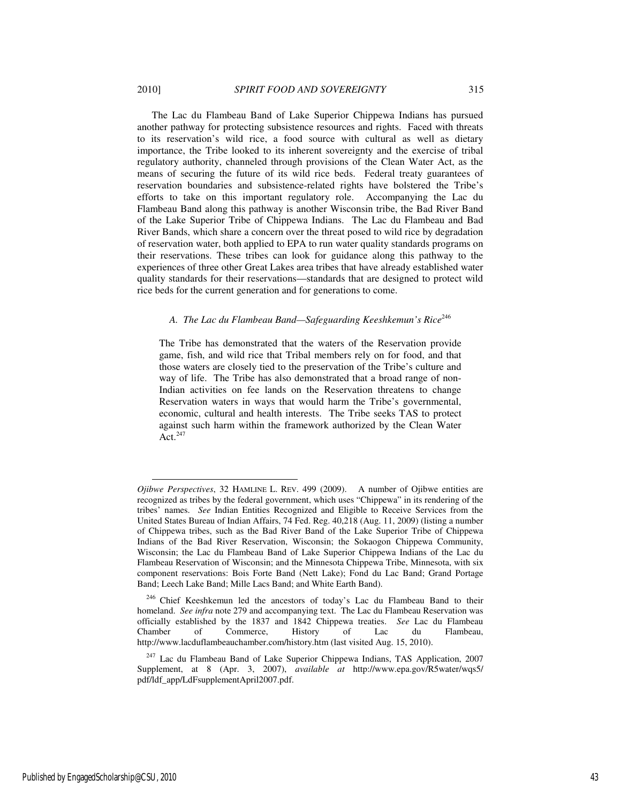The Lac du Flambeau Band of Lake Superior Chippewa Indians has pursued another pathway for protecting subsistence resources and rights. Faced with threats to its reservation's wild rice, a food source with cultural as well as dietary importance, the Tribe looked to its inherent sovereignty and the exercise of tribal regulatory authority, channeled through provisions of the Clean Water Act, as the means of securing the future of its wild rice beds. Federal treaty guarantees of reservation boundaries and subsistence-related rights have bolstered the Tribe's efforts to take on this important regulatory role. Accompanying the Lac du Flambeau Band along this pathway is another Wisconsin tribe, the Bad River Band of the Lake Superior Tribe of Chippewa Indians. The Lac du Flambeau and Bad River Bands, which share a concern over the threat posed to wild rice by degradation of reservation water, both applied to EPA to run water quality standards programs on their reservations. These tribes can look for guidance along this pathway to the experiences of three other Great Lakes area tribes that have already established water quality standards for their reservations—standards that are designed to protect wild rice beds for the current generation and for generations to come.

# *A. The Lac du Flambeau Band—Safeguarding Keeshkemun's Rice*<sup>246</sup>

The Tribe has demonstrated that the waters of the Reservation provide game, fish, and wild rice that Tribal members rely on for food, and that those waters are closely tied to the preservation of the Tribe's culture and way of life. The Tribe has also demonstrated that a broad range of non-Indian activities on fee lands on the Reservation threatens to change Reservation waters in ways that would harm the Tribe's governmental, economic, cultural and health interests. The Tribe seeks TAS to protect against such harm within the framework authorized by the Clean Water Act. $^{247}$ 

j

*Ojibwe Perspectives*, 32 HAMLINE L. REV. 499 (2009). A number of Ojibwe entities are recognized as tribes by the federal government, which uses "Chippewa" in its rendering of the tribes' names. *See* Indian Entities Recognized and Eligible to Receive Services from the United States Bureau of Indian Affairs, 74 Fed. Reg. 40,218 (Aug. 11, 2009) (listing a number of Chippewa tribes, such as the Bad River Band of the Lake Superior Tribe of Chippewa Indians of the Bad River Reservation, Wisconsin; the Sokaogon Chippewa Community, Wisconsin; the Lac du Flambeau Band of Lake Superior Chippewa Indians of the Lac du Flambeau Reservation of Wisconsin; and the Minnesota Chippewa Tribe, Minnesota, with six component reservations: Bois Forte Band (Nett Lake); Fond du Lac Band; Grand Portage Band; Leech Lake Band; Mille Lacs Band; and White Earth Band).

<sup>&</sup>lt;sup>246</sup> Chief Keeshkemun led the ancestors of today's Lac du Flambeau Band to their homeland. *See infra* note 279 and accompanying text. The Lac du Flambeau Reservation was officially established by the 1837 and 1842 Chippewa treaties. *See* Lac du Flambeau Chamber of Commerce, History of Lac du Flambeau, http://www.lacduflambeauchamber.com/history.htm (last visited Aug. 15, 2010).

 $247$  Lac du Flambeau Band of Lake Superior Chippewa Indians, TAS Application, 2007 Supplement, at 8 (Apr. 3, 2007), *available at* http://www.epa.gov/R5water/wqs5/ pdf/ldf\_app/LdFsupplementApril2007.pdf.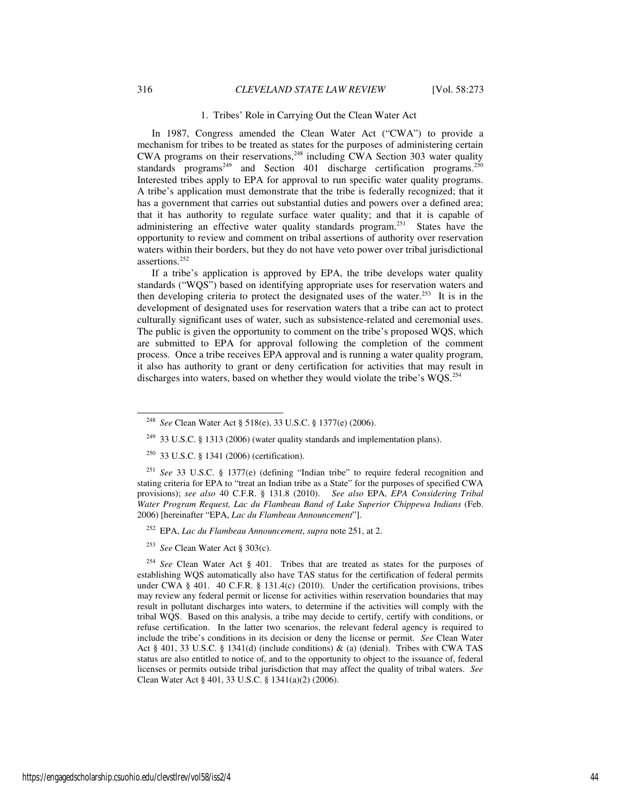#### 1. Tribes' Role in Carrying Out the Clean Water Act

In 1987, Congress amended the Clean Water Act ("CWA") to provide a mechanism for tribes to be treated as states for the purposes of administering certain CWA programs on their reservations,  $248$  including CWA Section 303 water quality standards programs<sup>249</sup> and Section 401 discharge certification programs.<sup>250</sup> Interested tribes apply to EPA for approval to run specific water quality programs. A tribe's application must demonstrate that the tribe is federally recognized; that it has a government that carries out substantial duties and powers over a defined area; that it has authority to regulate surface water quality; and that it is capable of administering an effective water quality standards program.<sup>251</sup> States have the opportunity to review and comment on tribal assertions of authority over reservation waters within their borders, but they do not have veto power over tribal jurisdictional assertions.<sup>252</sup>

If a tribe's application is approved by EPA, the tribe develops water quality standards ("WQS") based on identifying appropriate uses for reservation waters and then developing criteria to protect the designated uses of the water.<sup>253</sup> It is in the development of designated uses for reservation waters that a tribe can act to protect culturally significant uses of water, such as subsistence-related and ceremonial uses. The public is given the opportunity to comment on the tribe's proposed WQS, which are submitted to EPA for approval following the completion of the comment process. Once a tribe receives EPA approval and is running a water quality program, it also has authority to grant or deny certification for activities that may result in discharges into waters, based on whether they would violate the tribe's  $WQS$ .<sup>254</sup>

<sup>251</sup> *See* 33 U.S.C. § 1377(e) (defining "Indian tribe" to require federal recognition and stating criteria for EPA to "treat an Indian tribe as a State" for the purposes of specified CWA provisions); *see also* 40 C.F.R. § 131.8 (2010). *See also* EPA, *EPA Considering Tribal Water Program Request, Lac du Flambeau Band of Lake Superior Chippewa Indians* (Feb. 2006) [hereinafter "EPA, *Lac du Flambeau Announcement*"].

<sup>248</sup> *See* Clean Water Act § 518(e), 33 U.S.C. § 1377(e) (2006).

<sup>&</sup>lt;sup>249</sup> 33 U.S.C. § 1313 (2006) (water quality standards and implementation plans).

 $250$  33 U.S.C. § 1341 (2006) (certification).

<sup>252</sup> EPA, *Lac du Flambeau Announcement*, *supra* note 251, at 2.

<sup>253</sup> *See* Clean Water Act § 303(c).

<sup>254</sup> *See* Clean Water Act § 401. Tribes that are treated as states for the purposes of establishing WQS automatically also have TAS status for the certification of federal permits under CWA § 401. 40 C.F.R. § 131.4(c) (2010). Under the certification provisions, tribes may review any federal permit or license for activities within reservation boundaries that may result in pollutant discharges into waters, to determine if the activities will comply with the tribal WQS. Based on this analysis, a tribe may decide to certify, certify with conditions, or refuse certification. In the latter two scenarios, the relevant federal agency is required to include the tribe's conditions in its decision or deny the license or permit. *See* Clean Water Act § 401, 33 U.S.C. § 1341(d) (include conditions) & (a) (denial). Tribes with CWA TAS status are also entitled to notice of, and to the opportunity to object to the issuance of, federal licenses or permits outside tribal jurisdiction that may affect the quality of tribal waters. *See* Clean Water Act § 401, 33 U.S.C. § 1341(a)(2) (2006).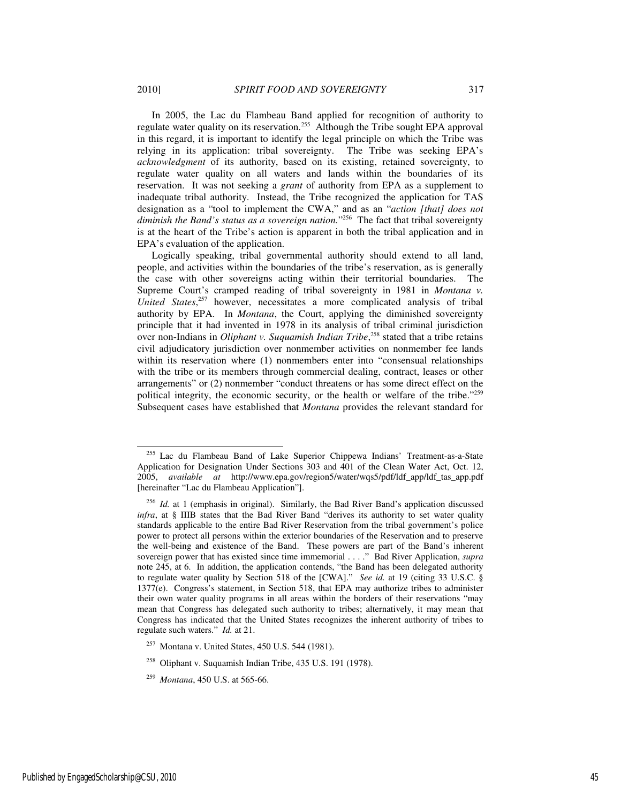In 2005, the Lac du Flambeau Band applied for recognition of authority to regulate water quality on its reservation.<sup>255</sup> Although the Tribe sought EPA approval in this regard, it is important to identify the legal principle on which the Tribe was relying in its application: tribal sovereignty. The Tribe was seeking EPA's *acknowledgment* of its authority, based on its existing, retained sovereignty, to regulate water quality on all waters and lands within the boundaries of its reservation. It was not seeking a *grant* of authority from EPA as a supplement to inadequate tribal authority. Instead, the Tribe recognized the application for TAS designation as a "tool to implement the CWA," and as an "*action [that] does not diminish the Band's status as a sovereign nation.*" <sup>256</sup> The fact that tribal sovereignty is at the heart of the Tribe's action is apparent in both the tribal application and in EPA's evaluation of the application.

Logically speaking, tribal governmental authority should extend to all land, people, and activities within the boundaries of the tribe's reservation, as is generally the case with other sovereigns acting within their territorial boundaries. The Supreme Court's cramped reading of tribal sovereignty in 1981 in *Montana v. United States*, <sup>257</sup> however, necessitates a more complicated analysis of tribal authority by EPA. In *Montana*, the Court, applying the diminished sovereignty principle that it had invented in 1978 in its analysis of tribal criminal jurisdiction over non-Indians in *Oliphant v. Suquamish Indian Tribe*, <sup>258</sup> stated that a tribe retains civil adjudicatory jurisdiction over nonmember activities on nonmember fee lands within its reservation where (1) nonmembers enter into "consensual relationships with the tribe or its members through commercial dealing, contract, leases or other arrangements" or (2) nonmember "conduct threatens or has some direct effect on the political integrity, the economic security, or the health or welfare of the tribe."<sup>259</sup> Subsequent cases have established that *Montana* provides the relevant standard for

<sup>&</sup>lt;sup>255</sup> Lac du Flambeau Band of Lake Superior Chippewa Indians' Treatment-as-a-State Application for Designation Under Sections 303 and 401 of the Clean Water Act, Oct. 12, 2005, *available at* http://www.epa.gov/region5/water/wqs5/pdf/ldf\_app/ldf\_tas\_app.pdf [hereinafter "Lac du Flambeau Application"].

<sup>&</sup>lt;sup>256</sup> *Id.* at 1 (emphasis in original). Similarly, the Bad River Band's application discussed *infra*, at § IIIB states that the Bad River Band "derives its authority to set water quality standards applicable to the entire Bad River Reservation from the tribal government's police power to protect all persons within the exterior boundaries of the Reservation and to preserve the well-being and existence of the Band. These powers are part of the Band's inherent sovereign power that has existed since time immemorial . . . ." Bad River Application, *supra* note 245, at 6. In addition, the application contends, "the Band has been delegated authority to regulate water quality by Section 518 of the [CWA]." *See id.* at 19 (citing 33 U.S.C. § 1377(e). Congress's statement, in Section 518, that EPA may authorize tribes to administer their own water quality programs in all areas within the borders of their reservations "may mean that Congress has delegated such authority to tribes; alternatively, it may mean that Congress has indicated that the United States recognizes the inherent authority of tribes to regulate such waters." *Id.* at 21.

<sup>257</sup> Montana v. United States, 450 U.S. 544 (1981).

<sup>258</sup> Oliphant v. Suquamish Indian Tribe, 435 U.S. 191 (1978).

<sup>259</sup> *Montana*, 450 U.S. at 565-66.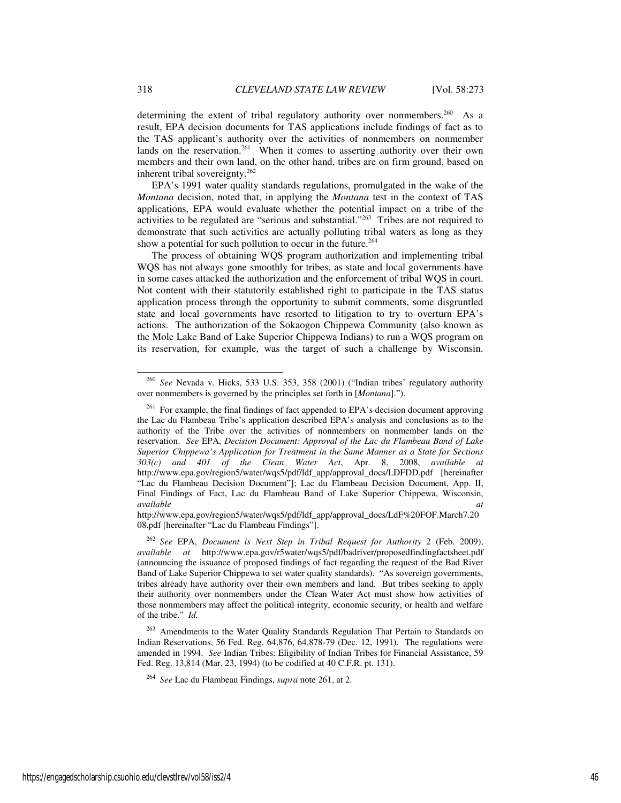determining the extent of tribal regulatory authority over nonmembers.<sup>260</sup> As a result, EPA decision documents for TAS applications include findings of fact as to the TAS applicant's authority over the activities of nonmembers on nonmember lands on the reservation.<sup>261</sup> When it comes to asserting authority over their own members and their own land, on the other hand, tribes are on firm ground, based on inherent tribal sovereignty. $262$ 

EPA's 1991 water quality standards regulations, promulgated in the wake of the *Montana* decision, noted that, in applying the *Montana* test in the context of TAS applications, EPA would evaluate whether the potential impact on a tribe of the activities to be regulated are "serious and substantial."<sup>263</sup> Tribes are not required to demonstrate that such activities are actually polluting tribal waters as long as they show a potential for such pollution to occur in the future.<sup>264</sup>

The process of obtaining WQS program authorization and implementing tribal WQS has not always gone smoothly for tribes, as state and local governments have in some cases attacked the authorization and the enforcement of tribal WQS in court. Not content with their statutorily established right to participate in the TAS status application process through the opportunity to submit comments, some disgruntled state and local governments have resorted to litigation to try to overturn EPA's actions. The authorization of the Sokaogon Chippewa Community (also known as the Mole Lake Band of Lake Superior Chippewa Indians) to run a WQS program on its reservation, for example, was the target of such a challenge by Wisconsin.

<sup>260</sup> *See* Nevada v. Hicks, 533 U.S. 353, 358 (2001) ("Indian tribes' regulatory authority over nonmembers is governed by the principles set forth in [*Montana*].").

 $261$  For example, the final findings of fact appended to EPA's decision document approving the Lac du Flambeau Tribe's application described EPA's analysis and conclusions as to the authority of the Tribe over the activities of nonmembers on nonmember lands on the reservation. *See* EPA, *Decision Document: Approval of the Lac du Flambeau Band of Lake Superior Chippewa's Application for Treatment in the Same Manner as a State for Sections 303(c) and 401 of the Clean Water Act*, Apr. 8, 2008, *available at* http://www.epa.gov/region5/water/wqs5/pdf/ldf\_app/approval\_docs/LDFDD.pdf [hereinafter "Lac du Flambeau Decision Document"]; Lac du Flambeau Decision Document, App. II, Final Findings of Fact, Lac du Flambeau Band of Lake Superior Chippewa, Wisconsin, *available at available at*

http://www.epa.gov/region5/water/wqs5/pdf/ldf\_app/approval\_docs/LdF%20FOF.March7.20 08.pdf [hereinafter "Lac du Flambeau Findings"].

<sup>262</sup> *See* EPA, *Document is Next Step in Tribal Request for Authority* 2 (Feb. 2009), *available at* http://www.epa.gov/r5water/wqs5/pdf/badriver/proposedfindingfactsheet.pdf (announcing the issuance of proposed findings of fact regarding the request of the Bad River Band of Lake Superior Chippewa to set water quality standards). "As sovereign governments, tribes already have authority over their own members and land. But tribes seeking to apply their authority over nonmembers under the Clean Water Act must show how activities of those nonmembers may affect the political integrity, economic security, or health and welfare of the tribe." *Id.* 

<sup>&</sup>lt;sup>263</sup> Amendments to the Water Quality Standards Regulation That Pertain to Standards on Indian Reservations, 56 Fed. Reg. 64,876, 64,878-79 (Dec. 12, 1991). The regulations were amended in 1994. *See* Indian Tribes: Eligibility of Indian Tribes for Financial Assistance, 59 Fed. Reg. 13,814 (Mar. 23, 1994) (to be codified at 40 C.F.R. pt. 131).

<sup>264</sup> *See* Lac du Flambeau Findings, *supra* note 261, at 2.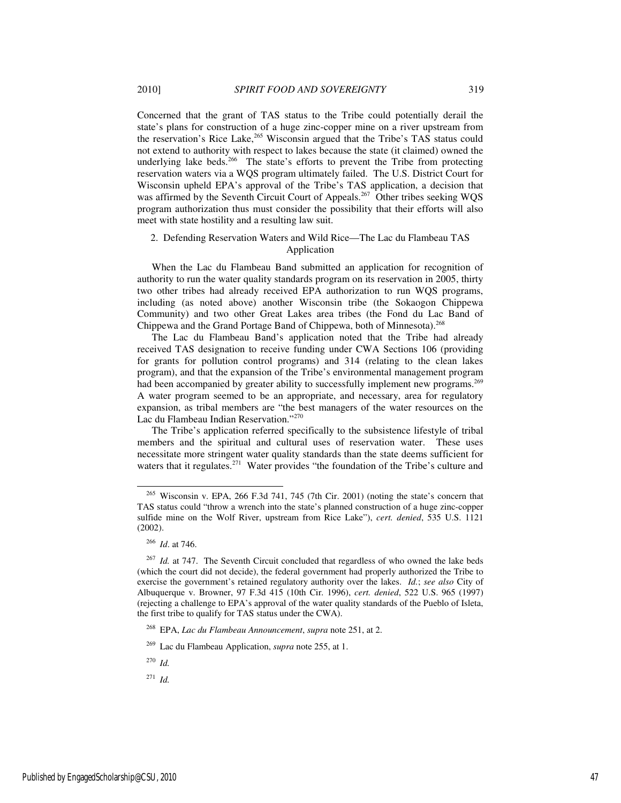Concerned that the grant of TAS status to the Tribe could potentially derail the state's plans for construction of a huge zinc-copper mine on a river upstream from the reservation's Rice Lake,<sup>265</sup> Wisconsin argued that the Tribe's TAS status could not extend to authority with respect to lakes because the state (it claimed) owned the underlying lake beds.<sup>266</sup> The state's efforts to prevent the Tribe from protecting reservation waters via a WQS program ultimately failed. The U.S. District Court for Wisconsin upheld EPA's approval of the Tribe's TAS application, a decision that was affirmed by the Seventh Circuit Court of Appeals.<sup>267</sup> Other tribes seeking WQS program authorization thus must consider the possibility that their efforts will also meet with state hostility and a resulting law suit.

## 2. Defending Reservation Waters and Wild Rice—The Lac du Flambeau TAS Application

When the Lac du Flambeau Band submitted an application for recognition of authority to run the water quality standards program on its reservation in 2005, thirty two other tribes had already received EPA authorization to run WQS programs, including (as noted above) another Wisconsin tribe (the Sokaogon Chippewa Community) and two other Great Lakes area tribes (the Fond du Lac Band of Chippewa and the Grand Portage Band of Chippewa, both of Minnesota).<sup>268</sup>

The Lac du Flambeau Band's application noted that the Tribe had already received TAS designation to receive funding under CWA Sections 106 (providing for grants for pollution control programs) and 314 (relating to the clean lakes program), and that the expansion of the Tribe's environmental management program had been accompanied by greater ability to successfully implement new programs.<sup>269</sup> A water program seemed to be an appropriate, and necessary, area for regulatory expansion, as tribal members are "the best managers of the water resources on the Lac du Flambeau Indian Reservation."<sup>270</sup>

The Tribe's application referred specifically to the subsistence lifestyle of tribal members and the spiritual and cultural uses of reservation water. These uses necessitate more stringent water quality standards than the state deems sufficient for waters that it regulates.<sup>271</sup> Water provides "the foundation of the Tribe's culture and

-

<sup>270</sup> *Id.*

 $271$  *Id.* 

<sup>265</sup> Wisconsin v. EPA, 266 F.3d 741, 745 (7th Cir. 2001) (noting the state's concern that TAS status could "throw a wrench into the state's planned construction of a huge zinc-copper sulfide mine on the Wolf River, upstream from Rice Lake"), *cert. denied*, 535 U.S. 1121 (2002).

<sup>266</sup> *Id*. at 746.

<sup>267</sup> *Id.* at 747. The Seventh Circuit concluded that regardless of who owned the lake beds (which the court did not decide), the federal government had properly authorized the Tribe to exercise the government's retained regulatory authority over the lakes. *Id.*; *see also* City of Albuquerque v. Browner, 97 F.3d 415 (10th Cir. 1996), *cert. denied*, 522 U.S. 965 (1997) (rejecting a challenge to EPA's approval of the water quality standards of the Pueblo of Isleta, the first tribe to qualify for TAS status under the CWA).

<sup>268</sup> EPA, *Lac du Flambeau Announcement*, *supra* note 251, at 2.

<sup>269</sup> Lac du Flambeau Application, *supra* note 255, at 1.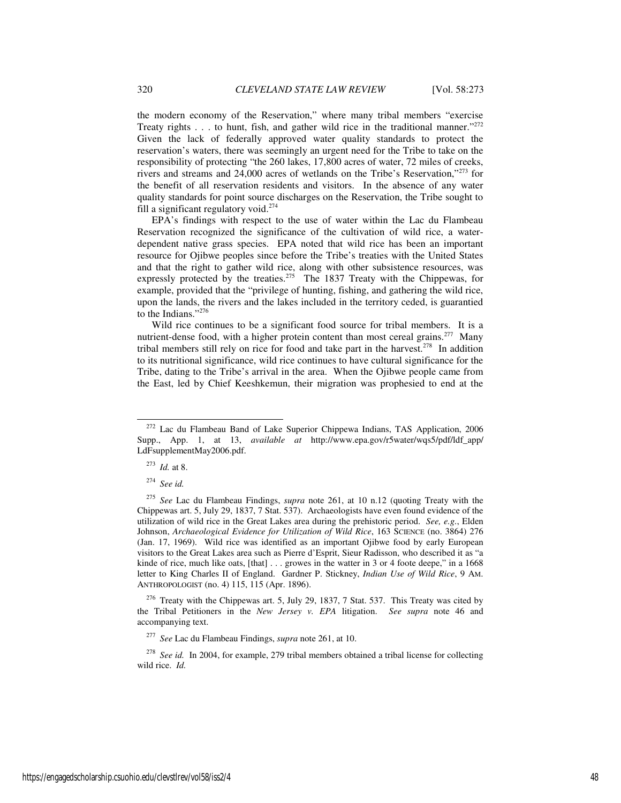the modern economy of the Reservation," where many tribal members "exercise Treaty rights  $\dots$  to hunt, fish, and gather wild rice in the traditional manner."<sup>272</sup> Given the lack of federally approved water quality standards to protect the reservation's waters, there was seemingly an urgent need for the Tribe to take on the responsibility of protecting "the 260 lakes, 17,800 acres of water, 72 miles of creeks, rivers and streams and 24,000 acres of wetlands on the Tribe's Reservation,"<sup>273</sup> for the benefit of all reservation residents and visitors. In the absence of any water quality standards for point source discharges on the Reservation, the Tribe sought to fill a significant regulatory void.<sup>274</sup>

EPA's findings with respect to the use of water within the Lac du Flambeau Reservation recognized the significance of the cultivation of wild rice, a waterdependent native grass species. EPA noted that wild rice has been an important resource for Ojibwe peoples since before the Tribe's treaties with the United States and that the right to gather wild rice, along with other subsistence resources, was expressly protected by the treaties.<sup>275</sup> The 1837 Treaty with the Chippewas, for example, provided that the "privilege of hunting, fishing, and gathering the wild rice, upon the lands, the rivers and the lakes included in the territory ceded, is guarantied to the Indians."<sup>276</sup>

Wild rice continues to be a significant food source for tribal members. It is a nutrient-dense food, with a higher protein content than most cereal grains.<sup>277</sup> Many tribal members still rely on rice for food and take part in the harvest.<sup>278</sup> In addition to its nutritional significance, wild rice continues to have cultural significance for the Tribe, dating to the Tribe's arrival in the area. When the Ojibwe people came from the East, led by Chief Keeshkemun, their migration was prophesied to end at the

j

<sup>276</sup> Treaty with the Chippewas art. 5, July 29, 1837, 7 Stat. 537. This Treaty was cited by the Tribal Petitioners in the *New Jersey v. EPA* litigation. *See supra* note 46 and accompanying text.

<sup>278</sup> See id. In 2004, for example, 279 tribal members obtained a tribal license for collecting wild rice. *Id.*

<sup>272</sup> Lac du Flambeau Band of Lake Superior Chippewa Indians, TAS Application, 2006 Supp., App. 1, at 13, *available at* http://www.epa.gov/r5water/wqs5/pdf/ldf\_app/ LdFsupplementMay2006.pdf.

<sup>273</sup> *Id.* at 8.

<sup>274</sup> *See id.*

<sup>275</sup> *See* Lac du Flambeau Findings, *supra* note 261, at 10 n.12 (quoting Treaty with the Chippewas art. 5, July 29, 1837, 7 Stat. 537). Archaeologists have even found evidence of the utilization of wild rice in the Great Lakes area during the prehistoric period. *See, e.g.*, Elden Johnson, *Archaeological Evidence for Utilization of Wild Rice*, 163 SCIENCE (no. 3864) 276 (Jan. 17, 1969). Wild rice was identified as an important Ojibwe food by early European visitors to the Great Lakes area such as Pierre d'Esprit, Sieur Radisson, who described it as "a kinde of rice, much like oats, [that] . . . growes in the watter in 3 or 4 foote deepe," in a 1668 letter to King Charles II of England. Gardner P. Stickney, *Indian Use of Wild Rice*, 9 AM. ANTHROPOLOGIST (no. 4) 115, 115 (Apr. 1896).

<sup>277</sup> *See* Lac du Flambeau Findings, *supra* note 261, at 10.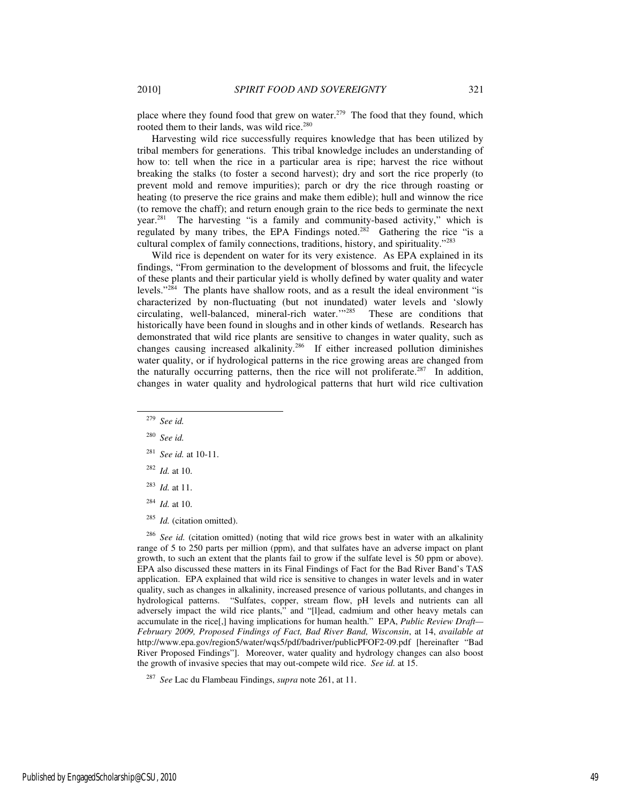place where they found food that grew on water.<sup>279</sup> The food that they found, which rooted them to their lands, was wild rice.<sup>280</sup>

Harvesting wild rice successfully requires knowledge that has been utilized by tribal members for generations. This tribal knowledge includes an understanding of how to: tell when the rice in a particular area is ripe; harvest the rice without breaking the stalks (to foster a second harvest); dry and sort the rice properly (to prevent mold and remove impurities); parch or dry the rice through roasting or heating (to preserve the rice grains and make them edible); hull and winnow the rice (to remove the chaff); and return enough grain to the rice beds to germinate the next year.<sup>281</sup> The harvesting "is a family and community-based activity," which is regulated by many tribes, the EPA Findings noted.<sup>282</sup> Gathering the rice "is a cultural complex of family connections, traditions, history, and spirituality."<sup>283</sup>

Wild rice is dependent on water for its very existence. As EPA explained in its findings, "From germination to the development of blossoms and fruit, the lifecycle of these plants and their particular yield is wholly defined by water quality and water levels."<sup>284</sup> The plants have shallow roots, and as a result the ideal environment "is characterized by non-fluctuating (but not inundated) water levels and 'slowly circulating, well-balanced, mineral-rich water.'"<sup>285</sup> These are conditions that historically have been found in sloughs and in other kinds of wetlands. Research has demonstrated that wild rice plants are sensitive to changes in water quality, such as changes causing increased alkalinity.<sup>286</sup> If either increased pollution diminishes water quality, or if hydrological patterns in the rice growing areas are changed from the naturally occurring patterns, then the rice will not proliferate.<sup>287</sup> In addition, changes in water quality and hydrological patterns that hurt wild rice cultivation

l

- <sup>283</sup> *Id.* at 11.
- <sup>284</sup> *Id.* at 10.
- <sup>285</sup> *Id.* (citation omitted).

See id. (citation omitted) (noting that wild rice grows best in water with an alkalinity range of 5 to 250 parts per million (ppm), and that sulfates have an adverse impact on plant growth, to such an extent that the plants fail to grow if the sulfate level is 50 ppm or above). EPA also discussed these matters in its Final Findings of Fact for the Bad River Band's TAS application. EPA explained that wild rice is sensitive to changes in water levels and in water quality, such as changes in alkalinity, increased presence of various pollutants, and changes in hydrological patterns. "Sulfates, copper, stream flow, pH levels and nutrients can all adversely impact the wild rice plants," and "[l]ead, cadmium and other heavy metals can accumulate in the rice[,] having implications for human health." EPA, *Public Review Draft— February 2009, Proposed Findings of Fact, Bad River Band, Wisconsin*, at 14, *available at* http://www.epa.gov/region5/water/wqs5/pdf/badriver/publicPFOF2-09.pdf [hereinafter "Bad River Proposed Findings"]. Moreover, water quality and hydrology changes can also boost the growth of invasive species that may out-compete wild rice. *See id.* at 15.

<sup>287</sup> *See* Lac du Flambeau Findings, *supra* note 261, at 11.

<sup>279</sup> *See id.*

<sup>280</sup> *See id.*

<sup>281</sup> *See id.* at 10-11.

<sup>282</sup> *Id.* at 10.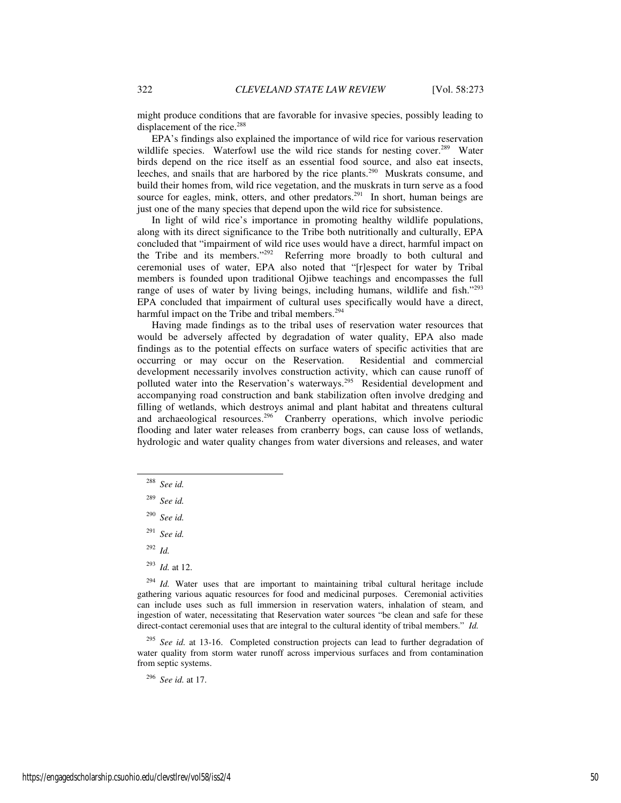might produce conditions that are favorable for invasive species, possibly leading to displacement of the rice.<sup>288</sup>

EPA's findings also explained the importance of wild rice for various reservation wildlife species. Waterfowl use the wild rice stands for nesting cover.<sup>289</sup> Water birds depend on the rice itself as an essential food source, and also eat insects, leeches, and snails that are harbored by the rice plants.<sup>290</sup> Muskrats consume, and build their homes from, wild rice vegetation, and the muskrats in turn serve as a food source for eagles, mink, otters, and other predators.<sup>291</sup> In short, human beings are just one of the many species that depend upon the wild rice for subsistence.

In light of wild rice's importance in promoting healthy wildlife populations, along with its direct significance to the Tribe both nutritionally and culturally, EPA concluded that "impairment of wild rice uses would have a direct, harmful impact on the Tribe and its members."<sup>292</sup> Referring more broadly to both cultural and ceremonial uses of water, EPA also noted that "[r]espect for water by Tribal members is founded upon traditional Ojibwe teachings and encompasses the full range of uses of water by living beings, including humans, wildlife and fish."293 EPA concluded that impairment of cultural uses specifically would have a direct, harmful impact on the Tribe and tribal members.<sup>294</sup>

Having made findings as to the tribal uses of reservation water resources that would be adversely affected by degradation of water quality, EPA also made findings as to the potential effects on surface waters of specific activities that are occurring or may occur on the Reservation. Residential and commercial development necessarily involves construction activity, which can cause runoff of polluted water into the Reservation's waterways.<sup>295</sup> Residential development and accompanying road construction and bank stabilization often involve dredging and filling of wetlands, which destroys animal and plant habitat and threatens cultural and archaeological resources.<sup>296</sup> Cranberry operations, which involve periodic flooding and later water releases from cranberry bogs, can cause loss of wetlands, hydrologic and water quality changes from water diversions and releases, and water

<sup>288</sup> *See id.*

-

- <sup>289</sup> *See id.*
- <sup>290</sup> *See id.*
- <sup>291</sup> *See id.*
- <sup>292</sup> *Id.*
- <sup>293</sup> *Id.* at 12.

<sup>294</sup> *Id.* Water uses that are important to maintaining tribal cultural heritage include gathering various aquatic resources for food and medicinal purposes. Ceremonial activities can include uses such as full immersion in reservation waters, inhalation of steam, and ingestion of water, necessitating that Reservation water sources "be clean and safe for these direct-contact ceremonial uses that are integral to the cultural identity of tribal members." *Id.*

See id. at 13-16. Completed construction projects can lead to further degradation of water quality from storm water runoff across impervious surfaces and from contamination from septic systems.

<sup>296</sup> *See id.* at 17.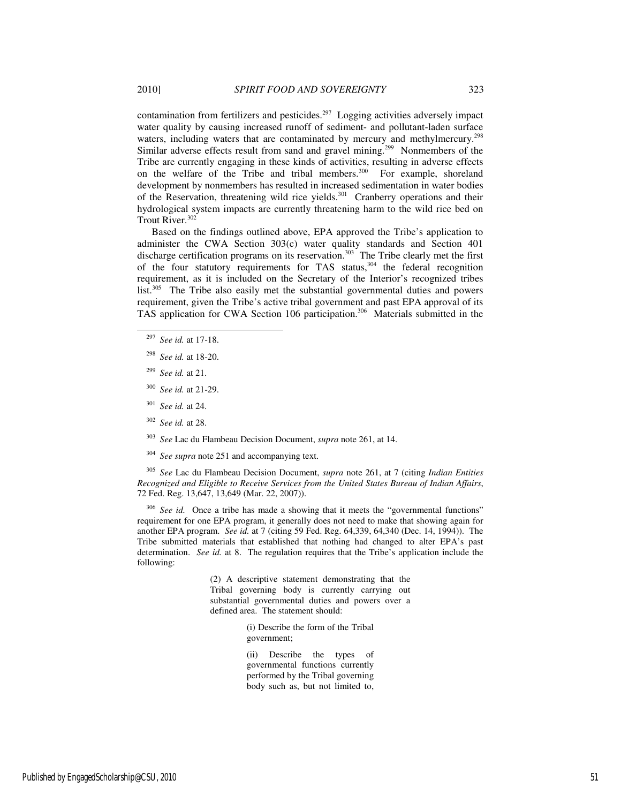contamination from fertilizers and pesticides.<sup>297</sup> Logging activities adversely impact water quality by causing increased runoff of sediment- and pollutant-laden surface waters, including waters that are contaminated by mercury and methylmercury.<sup>298</sup> Similar adverse effects result from sand and gravel mining.<sup>299</sup> Nonmembers of the Tribe are currently engaging in these kinds of activities, resulting in adverse effects on the welfare of the Tribe and tribal members.<sup>300</sup> For example, shoreland development by nonmembers has resulted in increased sedimentation in water bodies of the Reservation, threatening wild rice yields.<sup>301</sup> Cranberry operations and their hydrological system impacts are currently threatening harm to the wild rice bed on Trout River.<sup>302</sup>

Based on the findings outlined above, EPA approved the Tribe's application to administer the CWA Section 303(c) water quality standards and Section 401 discharge certification programs on its reservation.<sup>303</sup> The Tribe clearly met the first of the four statutory requirements for TAS status, $304$  the federal recognition requirement, as it is included on the Secretary of the Interior's recognized tribes list.<sup>305</sup> The Tribe also easily met the substantial governmental duties and powers requirement, given the Tribe's active tribal government and past EPA approval of its TAS application for CWA Section 106 participation.<sup>306</sup> Materials submitted in the

- <sup>297</sup> *See id.* at 17-18.
- <sup>298</sup> *See id.* at 18-20.
- <sup>299</sup> *See id.* at 21.

-

- <sup>300</sup> *See id.* at 21-29.
- <sup>301</sup> *See id.* at 24.
- <sup>302</sup> *See id.* at 28.
- <sup>303</sup> *See* Lac du Flambeau Decision Document, *supra* note 261, at 14.
- <sup>304</sup> *See supra* note 251 and accompanying text.

<sup>305</sup> *See* Lac du Flambeau Decision Document, *supra* note 261, at 7 (citing *Indian Entities Recognized and Eligible to Receive Services from the United States Bureau of Indian Affairs*, 72 Fed. Reg. 13,647, 13,649 (Mar. 22, 2007)).

<sup>306</sup> *See id.* Once a tribe has made a showing that it meets the "governmental functions" requirement for one EPA program, it generally does not need to make that showing again for another EPA program. *See id.* at 7 (citing 59 Fed. Reg. 64,339, 64,340 (Dec. 14, 1994)). The Tribe submitted materials that established that nothing had changed to alter EPA's past determination. *See id.* at 8. The regulation requires that the Tribe's application include the following:

> (2) A descriptive statement demonstrating that the Tribal governing body is currently carrying out substantial governmental duties and powers over a defined area. The statement should:

> > (i) Describe the form of the Tribal government;

> > (ii) Describe the types of governmental functions currently performed by the Tribal governing body such as, but not limited to,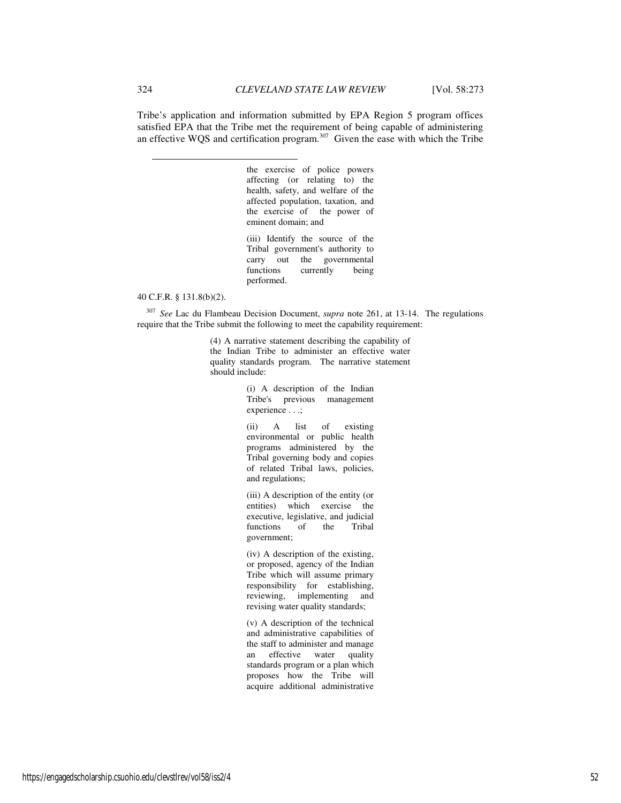Tribe's application and information submitted by EPA Region 5 program offices satisfied EPA that the Tribe met the requirement of being capable of administering an effective WQS and certification program.<sup>307</sup> Given the ease with which the Tribe

> the exercise of police powers affecting (or relating to) the health, safety, and welfare of the affected population, taxation, and the exercise of the power of eminent domain; and

> (iii) Identify the source of the Tribal government's authority to carry out the governmental functions currently being performed.

#### 40 C.F.R. § 131.8(b)(2).

<sup>307</sup> *See* Lac du Flambeau Decision Document, *supra* note 261, at 13-14. The regulations require that the Tribe submit the following to meet the capability requirement:

> (4) A narrative statement describing the capability of the Indian Tribe to administer an effective water quality standards program. The narrative statement should include:

> > (i) A description of the Indian Tribe's previous management experience . . .;

(ii) A list of existing environmental or public health programs administered by the Tribal governing body and copies of related Tribal laws, policies, and regulations;

(iii) A description of the entity (or entities) which exercise the executive, legislative, and judicial functions of the Tribal government;

(iv) A description of the existing, or proposed, agency of the Indian Tribe which will assume primary responsibility for establishing, reviewing, implementing and revising water quality standards;

(v) A description of the technical and administrative capabilities of the staff to administer and manage an effective water quality standards program or a plan which proposes how the Tribe will acquire additional administrative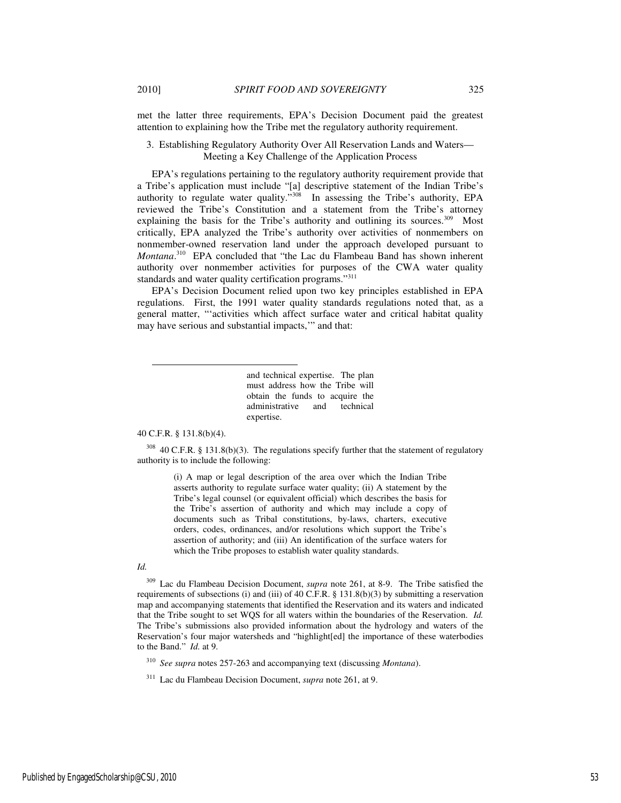met the latter three requirements, EPA's Decision Document paid the greatest attention to explaining how the Tribe met the regulatory authority requirement.

# 3. Establishing Regulatory Authority Over All Reservation Lands and Waters— Meeting a Key Challenge of the Application Process

EPA's regulations pertaining to the regulatory authority requirement provide that a Tribe's application must include "[a] descriptive statement of the Indian Tribe's authority to regulate water quality."<sup>308</sup> In assessing the Tribe's authority, EPA reviewed the Tribe's Constitution and a statement from the Tribe's attorney explaining the basis for the Tribe's authority and outlining its sources.<sup>309</sup> Most critically, EPA analyzed the Tribe's authority over activities of nonmembers on nonmember-owned reservation land under the approach developed pursuant to *Montana*. <sup>310</sup> EPA concluded that "the Lac du Flambeau Band has shown inherent authority over nonmember activities for purposes of the CWA water quality standards and water quality certification programs."<sup>311</sup>

EPA's Decision Document relied upon two key principles established in EPA regulations. First, the 1991 water quality standards regulations noted that, as a general matter, "'activities which affect surface water and critical habitat quality may have serious and substantial impacts,'" and that:

> and technical expertise. The plan must address how the Tribe will obtain the funds to acquire the administrative and technical expertise.

## 40 C.F.R. § 131.8(b)(4).

l

 $308$  40 C.F.R. § 131.8(b)(3). The regulations specify further that the statement of regulatory authority is to include the following:

> (i) A map or legal description of the area over which the Indian Tribe asserts authority to regulate surface water quality; (ii) A statement by the Tribe's legal counsel (or equivalent official) which describes the basis for the Tribe's assertion of authority and which may include a copy of documents such as Tribal constitutions, by-laws, charters, executive orders, codes, ordinances, and/or resolutions which support the Tribe's assertion of authority; and (iii) An identification of the surface waters for which the Tribe proposes to establish water quality standards.

# *Id.*

<sup>309</sup> Lac du Flambeau Decision Document, *supra* note 261, at 8-9. The Tribe satisfied the requirements of subsections (i) and (iii) of 40 C.F.R. § 131.8(b)(3) by submitting a reservation map and accompanying statements that identified the Reservation and its waters and indicated that the Tribe sought to set WQS for all waters within the boundaries of the Reservation. *Id.* The Tribe's submissions also provided information about the hydrology and waters of the Reservation's four major watersheds and "highlight[ed] the importance of these waterbodies to the Band." *Id.* at 9.

<sup>310</sup> *See supra* notes 257-263 and accompanying text (discussing *Montana*).

<sup>311</sup> Lac du Flambeau Decision Document, *supra* note 261, at 9.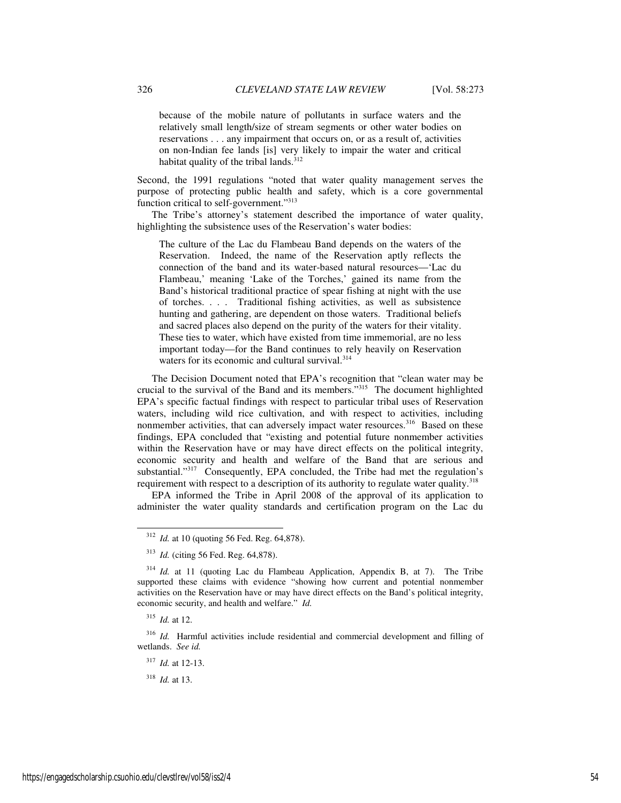because of the mobile nature of pollutants in surface waters and the relatively small length/size of stream segments or other water bodies on reservations . . . any impairment that occurs on, or as a result of, activities on non-Indian fee lands [is] very likely to impair the water and critical habitat quality of the tribal lands.<sup>312</sup>

Second, the 1991 regulations "noted that water quality management serves the purpose of protecting public health and safety, which is a core governmental function critical to self-government."<sup>313</sup>

The Tribe's attorney's statement described the importance of water quality, highlighting the subsistence uses of the Reservation's water bodies:

The culture of the Lac du Flambeau Band depends on the waters of the Reservation. Indeed, the name of the Reservation aptly reflects the connection of the band and its water-based natural resources—'Lac du Flambeau,' meaning 'Lake of the Torches,' gained its name from the Band's historical traditional practice of spear fishing at night with the use of torches. . . . Traditional fishing activities, as well as subsistence hunting and gathering, are dependent on those waters. Traditional beliefs and sacred places also depend on the purity of the waters for their vitality. These ties to water, which have existed from time immemorial, are no less important today—for the Band continues to rely heavily on Reservation waters for its economic and cultural survival.<sup>314</sup>

The Decision Document noted that EPA's recognition that "clean water may be crucial to the survival of the Band and its members."<sup>315</sup> The document highlighted EPA's specific factual findings with respect to particular tribal uses of Reservation waters, including wild rice cultivation, and with respect to activities, including nonmember activities, that can adversely impact water resources.<sup>316</sup> Based on these findings, EPA concluded that "existing and potential future nonmember activities within the Reservation have or may have direct effects on the political integrity, economic security and health and welfare of the Band that are serious and substantial."<sup>317</sup> Consequently, EPA concluded, the Tribe had met the regulation's requirement with respect to a description of its authority to regulate water quality.<sup>318</sup>

EPA informed the Tribe in April 2008 of the approval of its application to administer the water quality standards and certification program on the Lac du

j

<sup>317</sup> *Id.* at 12-13.

<sup>318</sup> *Id.* at 13.

<sup>312</sup> *Id.* at 10 (quoting 56 Fed. Reg. 64,878).

<sup>313</sup> *Id.* (citing 56 Fed. Reg. 64,878).

<sup>&</sup>lt;sup>314</sup> *Id.* at 11 (quoting Lac du Flambeau Application, Appendix B, at 7). The Tribe supported these claims with evidence "showing how current and potential nonmember activities on the Reservation have or may have direct effects on the Band's political integrity, economic security, and health and welfare." *Id.*

<sup>315</sup> *Id.* at 12.

<sup>316</sup> *Id.* Harmful activities include residential and commercial development and filling of wetlands. *See id.*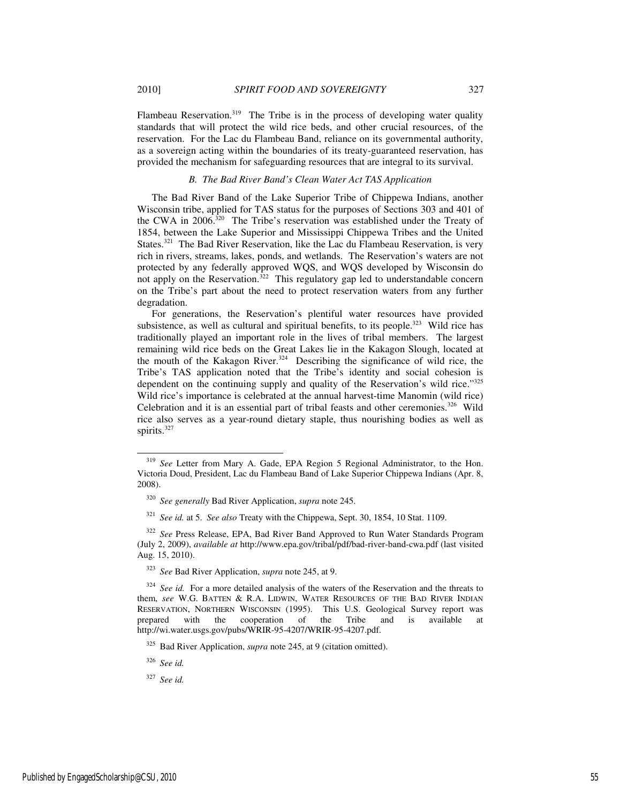Flambeau Reservation.<sup>319</sup> The Tribe is in the process of developing water quality standards that will protect the wild rice beds, and other crucial resources, of the reservation. For the Lac du Flambeau Band, reliance on its governmental authority, as a sovereign acting within the boundaries of its treaty-guaranteed reservation, has provided the mechanism for safeguarding resources that are integral to its survival.

## *B. The Bad River Band's Clean Water Act TAS Application*

The Bad River Band of the Lake Superior Tribe of Chippewa Indians, another Wisconsin tribe, applied for TAS status for the purposes of Sections 303 and 401 of the CWA in  $2006$ .<sup>320</sup> The Tribe's reservation was established under the Treaty of 1854, between the Lake Superior and Mississippi Chippewa Tribes and the United States.<sup>321</sup> The Bad River Reservation, like the Lac du Flambeau Reservation, is very rich in rivers, streams, lakes, ponds, and wetlands. The Reservation's waters are not protected by any federally approved WQS, and WQS developed by Wisconsin do not apply on the Reservation.<sup>322</sup> This regulatory gap led to understandable concern on the Tribe's part about the need to protect reservation waters from any further degradation.

For generations, the Reservation's plentiful water resources have provided subsistence, as well as cultural and spiritual benefits, to its people.<sup>323</sup> Wild rice has traditionally played an important role in the lives of tribal members. The largest remaining wild rice beds on the Great Lakes lie in the Kakagon Slough, located at the mouth of the Kakagon River.<sup>324</sup> Describing the significance of wild rice, the Tribe's TAS application noted that the Tribe's identity and social cohesion is dependent on the continuing supply and quality of the Reservation's wild rice."<sup>325</sup> Wild rice's importance is celebrated at the annual harvest-time Manomin (wild rice) Celebration and it is an essential part of tribal feasts and other ceremonies.<sup>326</sup> Wild rice also serves as a year-round dietary staple, thus nourishing bodies as well as spirits.<sup>327</sup>

<sup>321</sup> *See id.* at 5. *See also* Treaty with the Chippewa, Sept. 30, 1854, 10 Stat. 1109.

<sup>322</sup> *See* Press Release, EPA, Bad River Band Approved to Run Water Standards Program (July 2, 2009), *available at* http://www.epa.gov/tribal/pdf/bad-river-band-cwa.pdf (last visited Aug. 15, 2010).

<sup>323</sup> *See* Bad River Application, *supra* note 245, at 9.

<sup>326</sup> *See id.*

-

<sup>327</sup> *See id.*

<sup>319</sup> *See* Letter from Mary A. Gade, EPA Region 5 Regional Administrator, to the Hon. Victoria Doud, President, Lac du Flambeau Band of Lake Superior Chippewa Indians (Apr. 8, 2008).

<sup>320</sup> *See generally* Bad River Application, *supra* note 245.

<sup>&</sup>lt;sup>324</sup> See id. For a more detailed analysis of the waters of the Reservation and the threats to them, *see* W.G. BATTEN & R.A. LIDWIN, WATER RESOURCES OF THE BAD RIVER INDIAN RESERVATION, NORTHERN WISCONSIN (1995). This U.S. Geological Survey report was prepared with the cooperation of the Tribe and is available at http://wi.water.usgs.gov/pubs/WRIR-95-4207/WRIR-95-4207.pdf.

<sup>325</sup> Bad River Application, *supra* note 245, at 9 (citation omitted).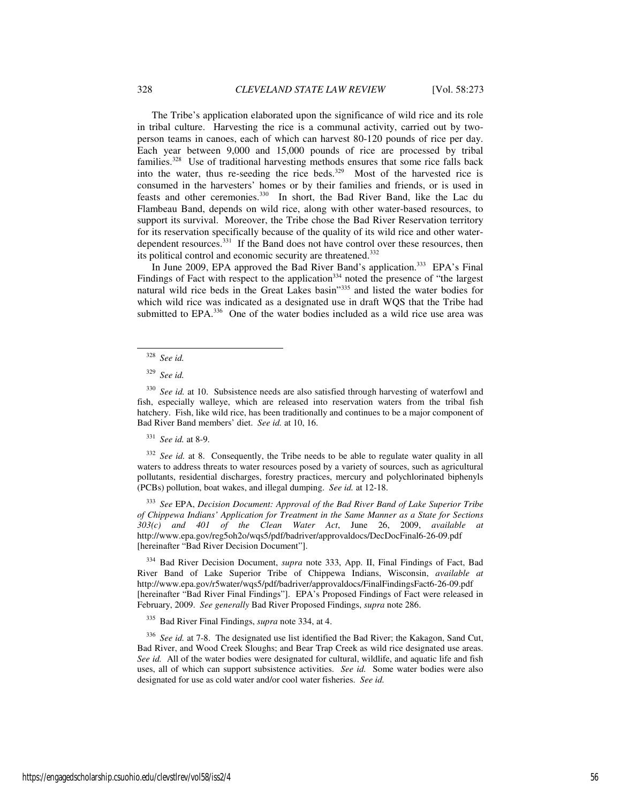The Tribe's application elaborated upon the significance of wild rice and its role in tribal culture. Harvesting the rice is a communal activity, carried out by twoperson teams in canoes, each of which can harvest 80-120 pounds of rice per day. Each year between 9,000 and 15,000 pounds of rice are processed by tribal families.<sup>328</sup> Use of traditional harvesting methods ensures that some rice falls back into the water, thus re-seeding the rice beds. $329$  Most of the harvested rice is consumed in the harvesters' homes or by their families and friends, or is used in feasts and other ceremonies.<sup>330</sup> In short, the Bad River Band, like the Lac du Flambeau Band, depends on wild rice, along with other water-based resources, to support its survival. Moreover, the Tribe chose the Bad River Reservation territory for its reservation specifically because of the quality of its wild rice and other waterdependent resources.<sup>331</sup> If the Band does not have control over these resources, then its political control and economic security are threatened.<sup>332</sup>

In June 2009, EPA approved the Bad River Band's application.<sup>333</sup> EPA's Final Findings of Fact with respect to the application<sup>334</sup> noted the presence of "the largest natural wild rice beds in the Great Lakes basin"<sup>335</sup> and listed the water bodies for which wild rice was indicated as a designated use in draft WQS that the Tribe had submitted to EPA.<sup>336</sup> One of the water bodies included as a wild rice use area was

-

<sup>331</sup> *See id.* at 8-9.

<sup>332</sup> See id. at 8. Consequently, the Tribe needs to be able to regulate water quality in all waters to address threats to water resources posed by a variety of sources, such as agricultural pollutants, residential discharges, forestry practices, mercury and polychlorinated biphenyls (PCBs) pollution, boat wakes, and illegal dumping. *See id.* at 12-18.

<sup>333</sup> *See* EPA, *Decision Document: Approval of the Bad River Band of Lake Superior Tribe of Chippewa Indians' Application for Treatment in the Same Manner as a State for Sections 303(c) and 401 of the Clean Water Act*, June 26, 2009, *available at* http://www.epa.gov/reg5oh2o/wqs5/pdf/badriver/approvaldocs/DecDocFinal6-26-09.pdf [hereinafter "Bad River Decision Document"].

<sup>334</sup> Bad River Decision Document, *supra* note 333, App. II, Final Findings of Fact, Bad River Band of Lake Superior Tribe of Chippewa Indians, Wisconsin, *available at* http://www.epa.gov/r5water/wqs5/pdf/badriver/approvaldocs/FinalFindingsFact6-26-09.pdf [hereinafter "Bad River Final Findings"]. EPA's Proposed Findings of Fact were released in February, 2009. *See generally* Bad River Proposed Findings, *supra* note 286.

<sup>335</sup> Bad River Final Findings, *supra* note 334, at 4.

<sup>336</sup> *See id.* at 7-8. The designated use list identified the Bad River; the Kakagon, Sand Cut, Bad River, and Wood Creek Sloughs; and Bear Trap Creek as wild rice designated use areas. *See id.* All of the water bodies were designated for cultural, wildlife, and aquatic life and fish uses, all of which can support subsistence activities. *See id.* Some water bodies were also designated for use as cold water and/or cool water fisheries. *See id.*

<sup>328</sup> *See id.*

<sup>329</sup> *See id.*

<sup>&</sup>lt;sup>330</sup> See id. at 10. Subsistence needs are also satisfied through harvesting of waterfowl and fish, especially walleye, which are released into reservation waters from the tribal fish hatchery. Fish, like wild rice, has been traditionally and continues to be a major component of Bad River Band members' diet. *See id.* at 10, 16.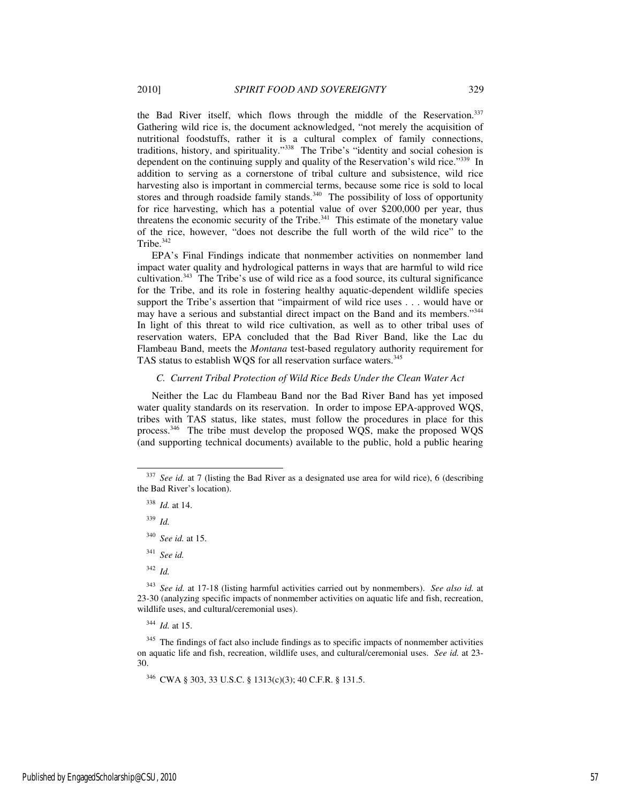the Bad River itself, which flows through the middle of the Reservation.<sup>337</sup> Gathering wild rice is, the document acknowledged, "not merely the acquisition of nutritional foodstuffs, rather it is a cultural complex of family connections, traditions, history, and spirituality."<sup>338</sup> The Tribe's "identity and social cohesion is dependent on the continuing supply and quality of the Reservation's wild rice."<sup>339</sup> In addition to serving as a cornerstone of tribal culture and subsistence, wild rice harvesting also is important in commercial terms, because some rice is sold to local stores and through roadside family stands.<sup>340</sup> The possibility of loss of opportunity for rice harvesting, which has a potential value of over  $\frac{1}{200,000}$  per year, thus threatens the economic security of the Tribe.<sup>341</sup> This estimate of the monetary value of the rice, however, "does not describe the full worth of the wild rice" to the Tribe.<sup>342</sup>

EPA's Final Findings indicate that nonmember activities on nonmember land impact water quality and hydrological patterns in ways that are harmful to wild rice cultivation.<sup>343</sup> The Tribe's use of wild rice as a food source, its cultural significance for the Tribe, and its role in fostering healthy aquatic-dependent wildlife species support the Tribe's assertion that "impairment of wild rice uses . . . would have or may have a serious and substantial direct impact on the Band and its members."<sup>344</sup> In light of this threat to wild rice cultivation, as well as to other tribal uses of reservation waters, EPA concluded that the Bad River Band, like the Lac du Flambeau Band, meets the *Montana* test-based regulatory authority requirement for TAS status to establish WQS for all reservation surface waters.<sup>345</sup>

# *C. Current Tribal Protection of Wild Rice Beds Under the Clean Water Act*

Neither the Lac du Flambeau Band nor the Bad River Band has yet imposed water quality standards on its reservation. In order to impose EPA-approved WQS, tribes with TAS status, like states, must follow the procedures in place for this process.<sup>346</sup> The tribe must develop the proposed WQS, make the proposed WQS (and supporting technical documents) available to the public, hold a public hearing

<sup>339</sup> *Id.*

-

- <sup>341</sup> *See id.*
- <sup>342</sup> *Id.*

<sup>343</sup> *See id.* at 17-18 (listing harmful activities carried out by nonmembers). *See also id.* at 23-30 (analyzing specific impacts of nonmember activities on aquatic life and fish, recreation, wildlife uses, and cultural/ceremonial uses).

<sup>344</sup> *Id.* at 15.

<sup>345</sup> The findings of fact also include findings as to specific impacts of nonmember activities on aquatic life and fish, recreation, wildlife uses, and cultural/ceremonial uses. *See id.* at 23- 30.

<sup>346</sup> CWA § 303, 33 U.S.C. § 1313(c)(3); 40 C.F.R. § 131.5.

See id. at 7 (listing the Bad River as a designated use area for wild rice), 6 (describing the Bad River's location).

<sup>338</sup> *Id.* at 14.

<sup>340</sup> *See id.* at 15.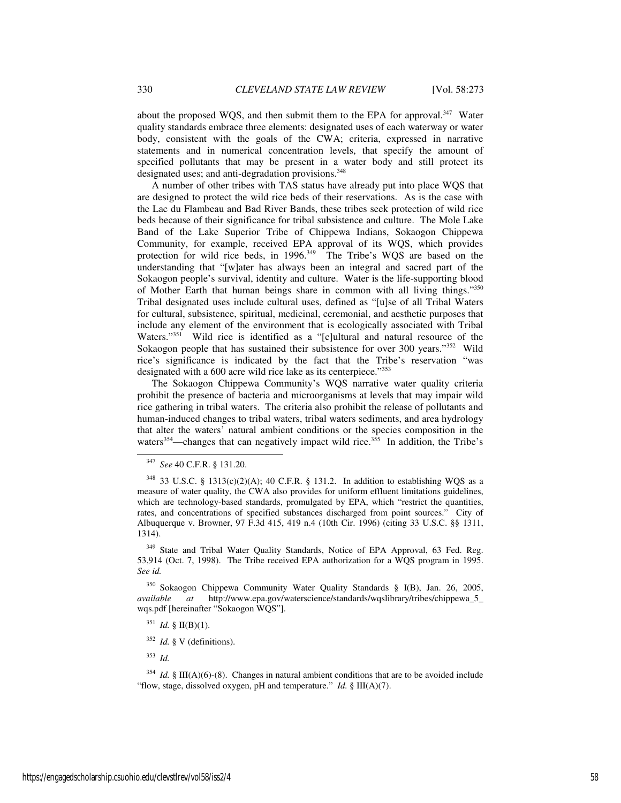about the proposed WQS, and then submit them to the EPA for approval.<sup>347</sup> Water quality standards embrace three elements: designated uses of each waterway or water body, consistent with the goals of the CWA; criteria, expressed in narrative statements and in numerical concentration levels, that specify the amount of specified pollutants that may be present in a water body and still protect its designated uses; and anti-degradation provisions.<sup>348</sup>

A number of other tribes with TAS status have already put into place WQS that are designed to protect the wild rice beds of their reservations. As is the case with the Lac du Flambeau and Bad River Bands, these tribes seek protection of wild rice beds because of their significance for tribal subsistence and culture. The Mole Lake Band of the Lake Superior Tribe of Chippewa Indians, Sokaogon Chippewa Community, for example, received EPA approval of its WQS, which provides protection for wild rice beds, in 1996.<sup>349</sup> The Tribe's WQS are based on the understanding that "[w]ater has always been an integral and sacred part of the Sokaogon people's survival, identity and culture. Water is the life-supporting blood of Mother Earth that human beings share in common with all living things."350 Tribal designated uses include cultural uses, defined as "[u]se of all Tribal Waters for cultural, subsistence, spiritual, medicinal, ceremonial, and aesthetic purposes that include any element of the environment that is ecologically associated with Tribal Waters."<sup>351</sup> Wild rice is identified as a "[c]ultural and natural resource of the Sokaogon people that has sustained their subsistence for over 300 years."<sup>352</sup> Wild rice's significance is indicated by the fact that the Tribe's reservation "was designated with a 600 acre wild rice lake as its centerpiece."<sup>353</sup>

The Sokaogon Chippewa Community's WQS narrative water quality criteria prohibit the presence of bacteria and microorganisms at levels that may impair wild rice gathering in tribal waters. The criteria also prohibit the release of pollutants and human-induced changes to tribal waters, tribal waters sediments, and area hydrology that alter the waters' natural ambient conditions or the species composition in the waters<sup>354</sup>—changes that can negatively impact wild rice.<sup>355</sup> In addition, the Tribe's

-

<sup>349</sup> State and Tribal Water Quality Standards, Notice of EPA Approval, 63 Fed. Reg. 53,914 (Oct. 7, 1998). The Tribe received EPA authorization for a WQS program in 1995. *See id.* 

<sup>350</sup> Sokaogon Chippewa Community Water Quality Standards § I(B), Jan. 26, 2005, *available at* http://www.epa.gov/waterscience/standards/wqslibrary/tribes/chippewa\_5\_ wqs.pdf [hereinafter "Sokaogon WQS"].

<sup>351</sup> *Id.* § II(B)(1).

<sup>352</sup> *Id.* § V (definitions).

<sup>353</sup> *Id.*

<sup>354</sup> *Id.* § III(A)(6)-(8). Changes in natural ambient conditions that are to be avoided include "flow, stage, dissolved oxygen, pH and temperature." *Id.* § III(A)(7).

<sup>347</sup> *See* 40 C.F.R. § 131.20.

 $348$  33 U.S.C. § 1313(c)(2)(A); 40 C.F.R. § 131.2. In addition to establishing WQS as a measure of water quality, the CWA also provides for uniform effluent limitations guidelines, which are technology-based standards, promulgated by EPA, which "restrict the quantities, rates, and concentrations of specified substances discharged from point sources." City of Albuquerque v. Browner, 97 F.3d 415, 419 n.4 (10th Cir. 1996) (citing 33 U.S.C. §§ 1311, 1314).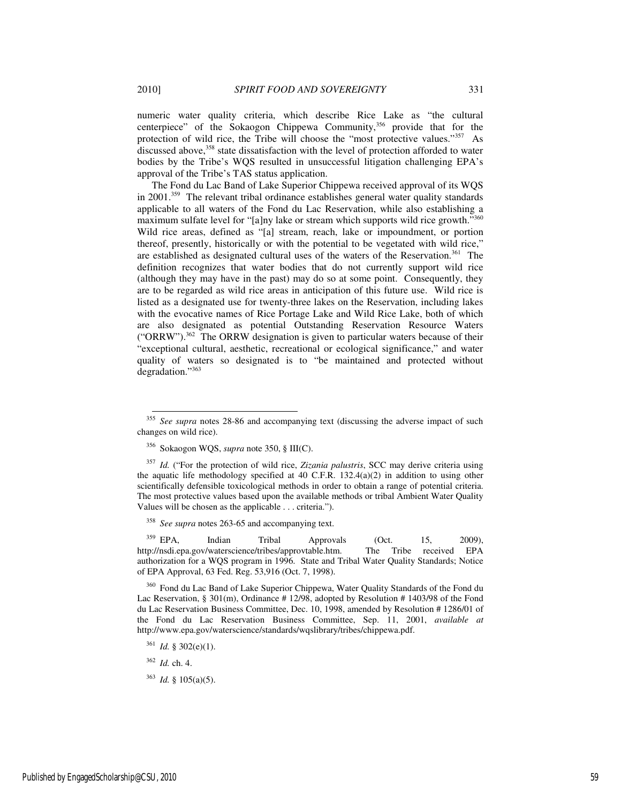numeric water quality criteria, which describe Rice Lake as "the cultural centerpiece" of the Sokaogon Chippewa Community,<sup>356</sup> provide that for the protection of wild rice, the Tribe will choose the "most protective values."<sup>357</sup> As discussed above,<sup>358</sup> state dissatisfaction with the level of protection afforded to water bodies by the Tribe's WQS resulted in unsuccessful litigation challenging EPA's approval of the Tribe's TAS status application.

The Fond du Lac Band of Lake Superior Chippewa received approval of its WQS in 2001.<sup>359</sup> The relevant tribal ordinance establishes general water quality standards applicable to all waters of the Fond du Lac Reservation, while also establishing a maximum sulfate level for "[a]ny lake or stream which supports wild rice growth."<sup>360</sup> Wild rice areas, defined as "[a] stream, reach, lake or impoundment, or portion thereof, presently, historically or with the potential to be vegetated with wild rice," are established as designated cultural uses of the waters of the Reservation.<sup>361</sup> The definition recognizes that water bodies that do not currently support wild rice (although they may have in the past) may do so at some point. Consequently, they are to be regarded as wild rice areas in anticipation of this future use. Wild rice is listed as a designated use for twenty-three lakes on the Reservation, including lakes with the evocative names of Rice Portage Lake and Wild Rice Lake, both of which are also designated as potential Outstanding Reservation Resource Waters ("ORRW").<sup>362</sup> The ORRW designation is given to particular waters because of their "exceptional cultural, aesthetic, recreational or ecological significance," and water quality of waters so designated is to "be maintained and protected without degradation."<sup>363</sup>

<sup>358</sup> *See supra* notes 263-65 and accompanying text.

<sup>359</sup> EPA, Indian Tribal Approvals (Oct. 15, 2009), http://nsdi.epa.gov/waterscience/tribes/approvtable.htm. The Tribe received EPA authorization for a WQS program in 1996. State and Tribal Water Quality Standards; Notice of EPA Approval, 63 Fed. Reg. 53,916 (Oct. 7, 1998).

<sup>360</sup> Fond du Lac Band of Lake Superior Chippewa, Water Quality Standards of the Fond du Lac Reservation, § 301(m), Ordinance # 12/98, adopted by Resolution # 1403/98 of the Fond du Lac Reservation Business Committee, Dec. 10, 1998, amended by Resolution # 1286/01 of the Fond du Lac Reservation Business Committee, Sep. 11, 2001, *available at* http://www.epa.gov/waterscience/standards/wqslibrary/tribes/chippewa.pdf.

<sup>361</sup> *Id.* § 302(e)(1).

<sup>362</sup> *Id.* ch. 4.

l

<sup>&</sup>lt;sup>355</sup> See supra notes 28-86 and accompanying text (discussing the adverse impact of such changes on wild rice).

<sup>356</sup> Sokaogon WQS, *supra* note 350, § III(C).

<sup>357</sup> *Id.* ("For the protection of wild rice, *Zizania palustris*, SCC may derive criteria using the aquatic life methodology specified at 40 C.F.R. 132.4(a)(2) in addition to using other scientifically defensible toxicological methods in order to obtain a range of potential criteria. The most protective values based upon the available methods or tribal Ambient Water Quality Values will be chosen as the applicable . . . criteria.").

<sup>363</sup> *Id.* § 105(a)(5).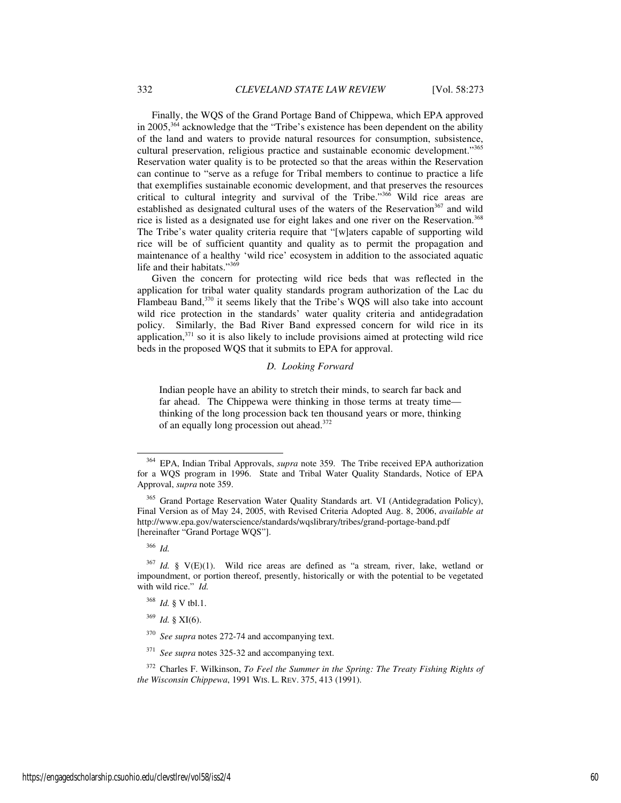Finally, the WQS of the Grand Portage Band of Chippewa, which EPA approved in 2005,<sup>364</sup> acknowledge that the "Tribe's existence has been dependent on the ability of the land and waters to provide natural resources for consumption, subsistence, cultural preservation, religious practice and sustainable economic development."<sup>365</sup> Reservation water quality is to be protected so that the areas within the Reservation can continue to "serve as a refuge for Tribal members to continue to practice a life that exemplifies sustainable economic development, and that preserves the resources critical to cultural integrity and survival of the Tribe."<sup>366</sup> Wild rice areas are established as designated cultural uses of the waters of the Reservation<sup>367</sup> and wild rice is listed as a designated use for eight lakes and one river on the Reservation.<sup>368</sup> The Tribe's water quality criteria require that "[w]aters capable of supporting wild rice will be of sufficient quantity and quality as to permit the propagation and maintenance of a healthy 'wild rice' ecosystem in addition to the associated aquatic life and their habitats."<sup>369</sup>

Given the concern for protecting wild rice beds that was reflected in the application for tribal water quality standards program authorization of the Lac du Flambeau Band,<sup>370</sup> it seems likely that the Tribe's WQS will also take into account wild rice protection in the standards' water quality criteria and antidegradation policy. Similarly, the Bad River Band expressed concern for wild rice in its application, $371$  so it is also likely to include provisions aimed at protecting wild rice beds in the proposed WQS that it submits to EPA for approval.

#### *D. Looking Forward*

Indian people have an ability to stretch their minds, to search far back and far ahead. The Chippewa were thinking in those terms at treaty time thinking of the long procession back ten thousand years or more, thinking of an equally long procession out ahead.<sup>372</sup>

<sup>366</sup> *Id.* 

<sup>364</sup> EPA, Indian Tribal Approvals, *supra* note 359. The Tribe received EPA authorization for a WQS program in 1996. State and Tribal Water Quality Standards, Notice of EPA Approval, *supra* note 359.

<sup>&</sup>lt;sup>365</sup> Grand Portage Reservation Water Quality Standards art. VI (Antidegradation Policy), Final Version as of May 24, 2005, with Revised Criteria Adopted Aug. 8, 2006, *available at* http://www.epa.gov/waterscience/standards/wqslibrary/tribes/grand-portage-band.pdf [hereinafter "Grand Portage WQS"].

<sup>367</sup> *Id.* § V(E)(1). Wild rice areas are defined as "a stream, river, lake, wetland or impoundment, or portion thereof, presently, historically or with the potential to be vegetated with wild rice." *Id.* 

<sup>368</sup> *Id.* § V tbl.1.

<sup>369</sup> *Id.* § XI(6).

<sup>370</sup> *See supra* notes 272-74 and accompanying text.

<sup>371</sup> *See supra* notes 325-32 and accompanying text.

<sup>372</sup> Charles F. Wilkinson, *To Feel the Summer in the Spring: The Treaty Fishing Rights of the Wisconsin Chippewa*, 1991 WIS. L. REV. 375, 413 (1991).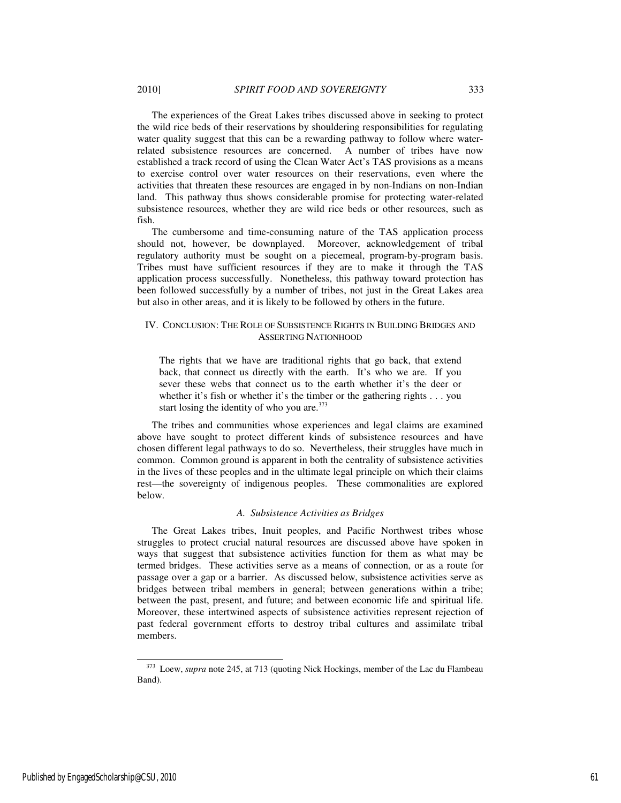The experiences of the Great Lakes tribes discussed above in seeking to protect the wild rice beds of their reservations by shouldering responsibilities for regulating water quality suggest that this can be a rewarding pathway to follow where waterrelated subsistence resources are concerned. A number of tribes have now established a track record of using the Clean Water Act's TAS provisions as a means to exercise control over water resources on their reservations, even where the activities that threaten these resources are engaged in by non-Indians on non-Indian land. This pathway thus shows considerable promise for protecting water-related subsistence resources, whether they are wild rice beds or other resources, such as fish.

The cumbersome and time-consuming nature of the TAS application process should not, however, be downplayed. Moreover, acknowledgement of tribal regulatory authority must be sought on a piecemeal, program-by-program basis. Tribes must have sufficient resources if they are to make it through the TAS application process successfully. Nonetheless, this pathway toward protection has been followed successfully by a number of tribes, not just in the Great Lakes area but also in other areas, and it is likely to be followed by others in the future.

## IV. CONCLUSION: THE ROLE OF SUBSISTENCE RIGHTS IN BUILDING BRIDGES AND ASSERTING NATIONHOOD

The rights that we have are traditional rights that go back, that extend back, that connect us directly with the earth. It's who we are. If you sever these webs that connect us to the earth whether it's the deer or whether it's fish or whether it's the timber or the gathering rights . . . you start losing the identity of who you are.<sup>373</sup>

The tribes and communities whose experiences and legal claims are examined above have sought to protect different kinds of subsistence resources and have chosen different legal pathways to do so. Nevertheless, their struggles have much in common. Common ground is apparent in both the centrality of subsistence activities in the lives of these peoples and in the ultimate legal principle on which their claims rest—the sovereignty of indigenous peoples. These commonalities are explored below.

### *A. Subsistence Activities as Bridges*

The Great Lakes tribes, Inuit peoples, and Pacific Northwest tribes whose struggles to protect crucial natural resources are discussed above have spoken in ways that suggest that subsistence activities function for them as what may be termed bridges. These activities serve as a means of connection, or as a route for passage over a gap or a barrier. As discussed below, subsistence activities serve as bridges between tribal members in general; between generations within a tribe; between the past, present, and future; and between economic life and spiritual life. Moreover, these intertwined aspects of subsistence activities represent rejection of past federal government efforts to destroy tribal cultures and assimilate tribal members.

<sup>373</sup> Loew, *supra* note 245, at 713 (quoting Nick Hockings, member of the Lac du Flambeau Band).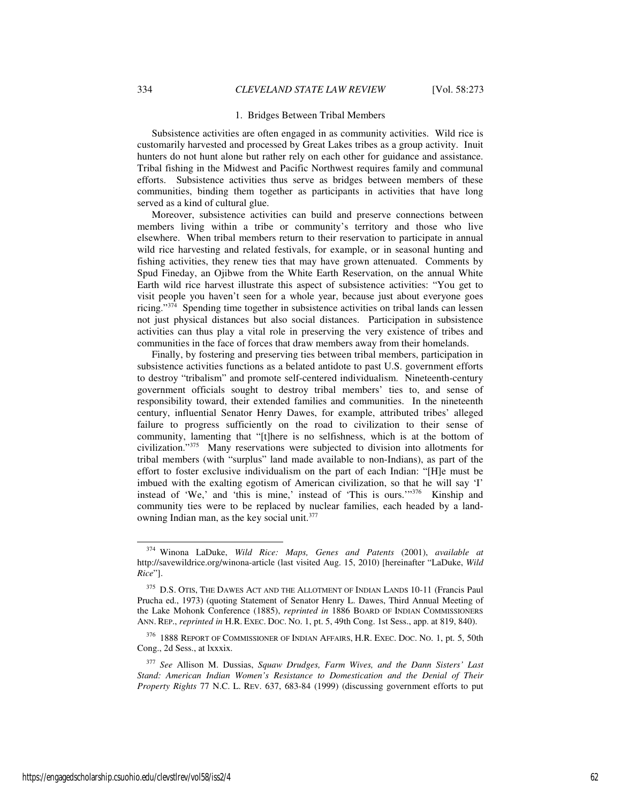#### 1. Bridges Between Tribal Members

Subsistence activities are often engaged in as community activities. Wild rice is customarily harvested and processed by Great Lakes tribes as a group activity. Inuit hunters do not hunt alone but rather rely on each other for guidance and assistance. Tribal fishing in the Midwest and Pacific Northwest requires family and communal efforts. Subsistence activities thus serve as bridges between members of these communities, binding them together as participants in activities that have long served as a kind of cultural glue.

Moreover, subsistence activities can build and preserve connections between members living within a tribe or community's territory and those who live elsewhere. When tribal members return to their reservation to participate in annual wild rice harvesting and related festivals, for example, or in seasonal hunting and fishing activities, they renew ties that may have grown attenuated. Comments by Spud Fineday, an Ojibwe from the White Earth Reservation, on the annual White Earth wild rice harvest illustrate this aspect of subsistence activities: "You get to visit people you haven't seen for a whole year, because just about everyone goes ricing."<sup>374</sup> Spending time together in subsistence activities on tribal lands can lessen not just physical distances but also social distances. Participation in subsistence activities can thus play a vital role in preserving the very existence of tribes and communities in the face of forces that draw members away from their homelands.

Finally, by fostering and preserving ties between tribal members, participation in subsistence activities functions as a belated antidote to past U.S. government efforts to destroy "tribalism" and promote self-centered individualism. Nineteenth-century government officials sought to destroy tribal members' ties to, and sense of responsibility toward, their extended families and communities. In the nineteenth century, influential Senator Henry Dawes, for example, attributed tribes' alleged failure to progress sufficiently on the road to civilization to their sense of community, lamenting that "[t]here is no selfishness, which is at the bottom of civilization."<sup>375</sup> Many reservations were subjected to division into allotments for tribal members (with "surplus" land made available to non-Indians), as part of the effort to foster exclusive individualism on the part of each Indian: "[H]e must be imbued with the exalting egotism of American civilization, so that he will say 'I' instead of 'We,' and 'this is mine,' instead of 'This is ours.'"<sup>376</sup> Kinship and community ties were to be replaced by nuclear families, each headed by a landowning Indian man, as the key social unit.<sup>377</sup>

<sup>374</sup> Winona LaDuke, *Wild Rice: Maps, Genes and Patents* (2001), *available at* http://savewildrice.org/winona-article (last visited Aug. 15, 2010) [hereinafter "LaDuke, *Wild Rice*"].

<sup>&</sup>lt;sup>375</sup> D.S. OTIS, THE DAWES ACT AND THE ALLOTMENT OF INDIAN LANDS 10-11 (Francis Paul Prucha ed., 1973) (quoting Statement of Senator Henry L. Dawes, Third Annual Meeting of the Lake Mohonk Conference (1885), *reprinted in* 1886 BOARD OF INDIAN COMMISSIONERS ANN. REP., *reprinted in* H.R. EXEC. DOC. NO. 1, pt. 5, 49th Cong. 1st Sess., app. at 819, 840).

<sup>376</sup> 1888 REPORT OF COMMISSIONER OF INDIAN AFFAIRS, H.R. EXEC. DOC. NO. 1, pt. 5, 50th Cong., 2d Sess., at lxxxix.

<sup>377</sup> *See* Allison M. Dussias, *Squaw Drudges, Farm Wives, and the Dann Sisters' Last Stand: American Indian Women's Resistance to Domestication and the Denial of Their Property Rights* 77 N.C. L. REV. 637, 683-84 (1999) (discussing government efforts to put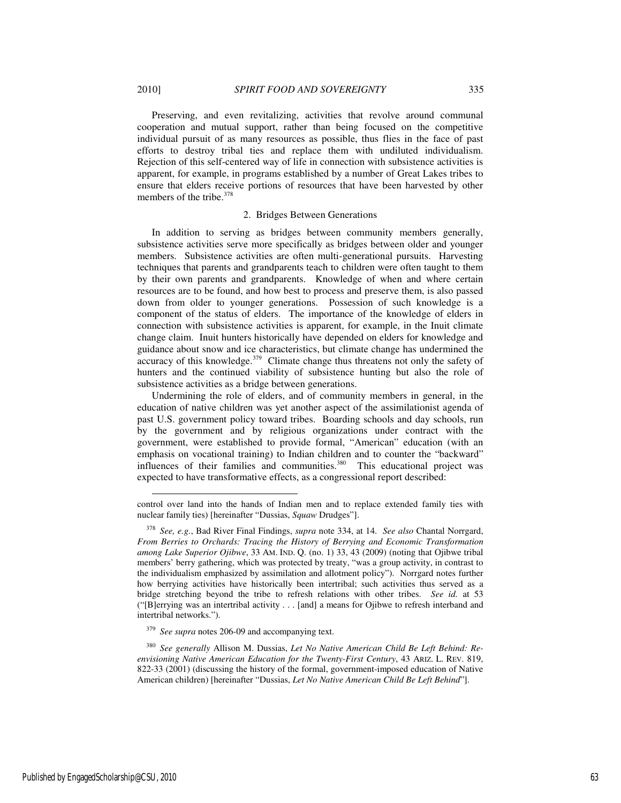l

Preserving, and even revitalizing, activities that revolve around communal cooperation and mutual support, rather than being focused on the competitive individual pursuit of as many resources as possible, thus flies in the face of past efforts to destroy tribal ties and replace them with undiluted individualism. Rejection of this self-centered way of life in connection with subsistence activities is apparent, for example, in programs established by a number of Great Lakes tribes to ensure that elders receive portions of resources that have been harvested by other members of the tribe.<sup>378</sup>

#### 2. Bridges Between Generations

In addition to serving as bridges between community members generally, subsistence activities serve more specifically as bridges between older and younger members. Subsistence activities are often multi-generational pursuits. Harvesting techniques that parents and grandparents teach to children were often taught to them by their own parents and grandparents. Knowledge of when and where certain resources are to be found, and how best to process and preserve them, is also passed down from older to younger generations. Possession of such knowledge is a component of the status of elders. The importance of the knowledge of elders in connection with subsistence activities is apparent, for example, in the Inuit climate change claim. Inuit hunters historically have depended on elders for knowledge and guidance about snow and ice characteristics, but climate change has undermined the accuracy of this knowledge. $379$  Climate change thus threatens not only the safety of hunters and the continued viability of subsistence hunting but also the role of subsistence activities as a bridge between generations.

Undermining the role of elders, and of community members in general, in the education of native children was yet another aspect of the assimilationist agenda of past U.S. government policy toward tribes. Boarding schools and day schools, run by the government and by religious organizations under contract with the government, were established to provide formal, "American" education (with an emphasis on vocational training) to Indian children and to counter the "backward" influences of their families and communities.<sup>380</sup> This educational project was expected to have transformative effects, as a congressional report described:

control over land into the hands of Indian men and to replace extended family ties with nuclear family ties) [hereinafter "Dussias, *Squaw* Drudges"].

<sup>378</sup> *See, e.g.*, Bad River Final Findings, *supra* note 334, at 14. *See also* Chantal Norrgard, *From Berries to Orchards: Tracing the History of Berrying and Economic Transformation among Lake Superior Ojibwe*, 33 AM. IND. Q. (no. 1) 33, 43 (2009) (noting that Ojibwe tribal members' berry gathering, which was protected by treaty, "was a group activity, in contrast to the individualism emphasized by assimilation and allotment policy"). Norrgard notes further how berrying activities have historically been intertribal; such activities thus served as a bridge stretching beyond the tribe to refresh relations with other tribes. *See id.* at 53 ("[B]errying was an intertribal activity . . . [and] a means for Ojibwe to refresh interband and intertribal networks.").

<sup>379</sup> *See supra* notes 206-09 and accompanying text.

<sup>380</sup> *See generally* Allison M. Dussias, *Let No Native American Child Be Left Behind: Reenvisioning Native American Education for the Twenty-First Century*, 43 ARIZ. L. REV. 819, 822-33 (2001) (discussing the history of the formal, government-imposed education of Native American children) [hereinafter "Dussias, *Let No Native American Child Be Left Behind*"].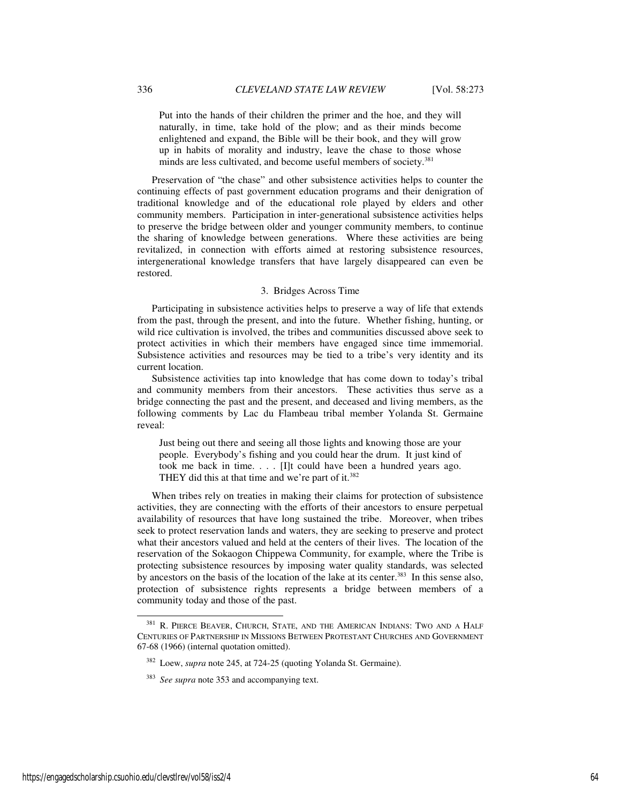Put into the hands of their children the primer and the hoe, and they will naturally, in time, take hold of the plow; and as their minds become enlightened and expand, the Bible will be their book, and they will grow up in habits of morality and industry, leave the chase to those whose minds are less cultivated, and become useful members of society.<sup>381</sup>

Preservation of "the chase" and other subsistence activities helps to counter the continuing effects of past government education programs and their denigration of traditional knowledge and of the educational role played by elders and other community members. Participation in inter-generational subsistence activities helps to preserve the bridge between older and younger community members, to continue the sharing of knowledge between generations. Where these activities are being revitalized, in connection with efforts aimed at restoring subsistence resources, intergenerational knowledge transfers that have largely disappeared can even be restored.

### 3. Bridges Across Time

Participating in subsistence activities helps to preserve a way of life that extends from the past, through the present, and into the future. Whether fishing, hunting, or wild rice cultivation is involved, the tribes and communities discussed above seek to protect activities in which their members have engaged since time immemorial. Subsistence activities and resources may be tied to a tribe's very identity and its current location.

Subsistence activities tap into knowledge that has come down to today's tribal and community members from their ancestors. These activities thus serve as a bridge connecting the past and the present, and deceased and living members, as the following comments by Lac du Flambeau tribal member Yolanda St. Germaine reveal:

Just being out there and seeing all those lights and knowing those are your people. Everybody's fishing and you could hear the drum. It just kind of took me back in time. . . . [I]t could have been a hundred years ago. THEY did this at that time and we're part of it. $382$ 

When tribes rely on treaties in making their claims for protection of subsistence activities, they are connecting with the efforts of their ancestors to ensure perpetual availability of resources that have long sustained the tribe. Moreover, when tribes seek to protect reservation lands and waters, they are seeking to preserve and protect what their ancestors valued and held at the centers of their lives. The location of the reservation of the Sokaogon Chippewa Community, for example, where the Tribe is protecting subsistence resources by imposing water quality standards, was selected by ancestors on the basis of the location of the lake at its center.<sup>383</sup> In this sense also, protection of subsistence rights represents a bridge between members of a community today and those of the past.

<sup>&</sup>lt;sup>381</sup> R. PIERCE BEAVER, CHURCH, STATE, AND THE AMERICAN INDIANS: TWO AND A HALF CENTURIES OF PARTNERSHIP IN MISSIONS BETWEEN PROTESTANT CHURCHES AND GOVERNMENT 67-68 (1966) (internal quotation omitted).

<sup>382</sup> Loew, *supra* note 245, at 724-25 (quoting Yolanda St. Germaine).

<sup>383</sup> *See supra* note 353 and accompanying text.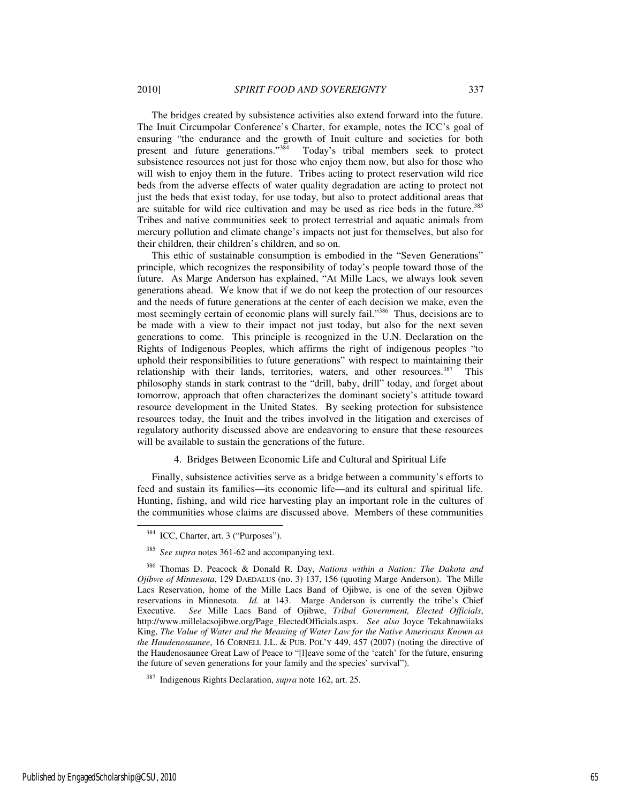The bridges created by subsistence activities also extend forward into the future. The Inuit Circumpolar Conference's Charter, for example, notes the ICC's goal of ensuring "the endurance and the growth of Inuit culture and societies for both present and future generations."<sup>384</sup> Today's tribal members seek to protect subsistence resources not just for those who enjoy them now, but also for those who will wish to enjoy them in the future. Tribes acting to protect reservation wild rice beds from the adverse effects of water quality degradation are acting to protect not just the beds that exist today, for use today, but also to protect additional areas that are suitable for wild rice cultivation and may be used as rice beds in the future.<sup>385</sup> Tribes and native communities seek to protect terrestrial and aquatic animals from mercury pollution and climate change's impacts not just for themselves, but also for their children, their children's children, and so on.

This ethic of sustainable consumption is embodied in the "Seven Generations" principle, which recognizes the responsibility of today's people toward those of the future. As Marge Anderson has explained, "At Mille Lacs, we always look seven generations ahead. We know that if we do not keep the protection of our resources and the needs of future generations at the center of each decision we make, even the most seemingly certain of economic plans will surely fail."<sup>386</sup> Thus, decisions are to be made with a view to their impact not just today, but also for the next seven generations to come. This principle is recognized in the U.N. Declaration on the Rights of Indigenous Peoples, which affirms the right of indigenous peoples "to uphold their responsibilities to future generations" with respect to maintaining their relationship with their lands, territories, waters, and other resources. $387$  This philosophy stands in stark contrast to the "drill, baby, drill" today, and forget about tomorrow, approach that often characterizes the dominant society's attitude toward resource development in the United States. By seeking protection for subsistence resources today, the Inuit and the tribes involved in the litigation and exercises of regulatory authority discussed above are endeavoring to ensure that these resources will be available to sustain the generations of the future.

## 4. Bridges Between Economic Life and Cultural and Spiritual Life

Finally, subsistence activities serve as a bridge between a community's efforts to feed and sustain its families—its economic life—and its cultural and spiritual life. Hunting, fishing, and wild rice harvesting play an important role in the cultures of the communities whose claims are discussed above. Members of these communities

j

<sup>387</sup> Indigenous Rights Declaration, *supra* note 162, art. 25.

<sup>384</sup> ICC, Charter, art. 3 ("Purposes").

<sup>385</sup> *See supra* notes 361-62 and accompanying text.

<sup>386</sup> Thomas D. Peacock & Donald R. Day, *Nations within a Nation: The Dakota and Ojibwe of Minnesota*, 129 DAEDALUS (no. 3) 137, 156 (quoting Marge Anderson). The Mille Lacs Reservation, home of the Mille Lacs Band of Ojibwe, is one of the seven Ojibwe reservations in Minnesota. *Id.* at 143. Marge Anderson is currently the tribe's Chief Executive. *See* Mille Lacs Band of Ojibwe, *Tribal Government, Elected Officials*, http://www.millelacsojibwe.org/Page\_ElectedOfficials.aspx. *See also* Joyce Tekahnawiiaks King, *The Value of Water and the Meaning of Water Law for the Native Americans Known as the Haudenosaunee*, 16 CORNELL J.L. & PUB. POL'Y 449, 457 (2007) (noting the directive of the Haudenosaunee Great Law of Peace to "[l]eave some of the 'catch' for the future, ensuring the future of seven generations for your family and the species' survival").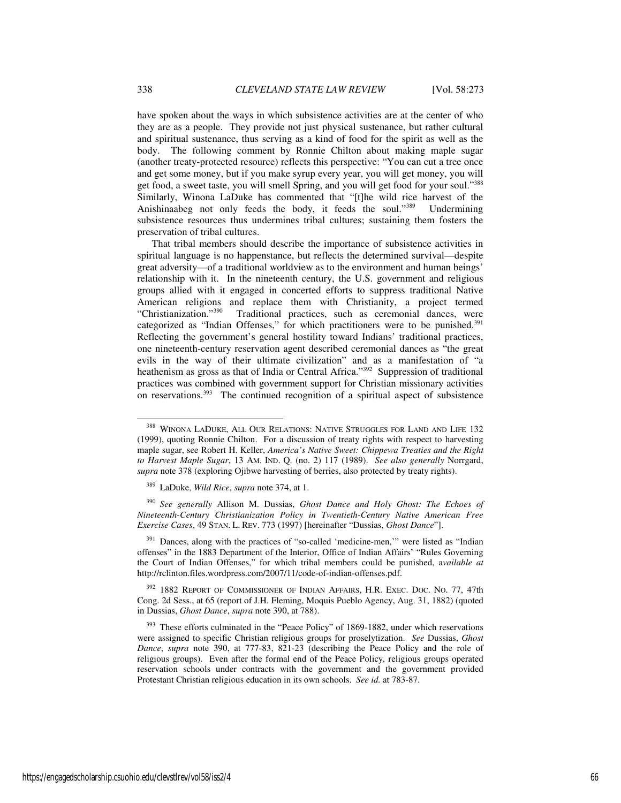have spoken about the ways in which subsistence activities are at the center of who they are as a people. They provide not just physical sustenance, but rather cultural and spiritual sustenance, thus serving as a kind of food for the spirit as well as the body. The following comment by Ronnie Chilton about making maple sugar (another treaty-protected resource) reflects this perspective: "You can cut a tree once and get some money, but if you make syrup every year, you will get money, you will get food, a sweet taste, you will smell Spring, and you will get food for your soul."388 Similarly, Winona LaDuke has commented that "[t]he wild rice harvest of the Anishinaabeg not only feeds the body, it feeds the soul."<sup>389</sup> Undermining subsistence resources thus undermines tribal cultures; sustaining them fosters the preservation of tribal cultures.

That tribal members should describe the importance of subsistence activities in spiritual language is no happenstance, but reflects the determined survival—despite great adversity—of a traditional worldview as to the environment and human beings' relationship with it. In the nineteenth century, the U.S. government and religious groups allied with it engaged in concerted efforts to suppress traditional Native American religions and replace them with Christianity, a project termed "Christianization."<sup>390</sup> Traditional practices, such as ceremonial dances, were categorized as "Indian Offenses," for which practitioners were to be punished.<sup>391</sup> Reflecting the government's general hostility toward Indians' traditional practices, one nineteenth-century reservation agent described ceremonial dances as "the great evils in the way of their ultimate civilization" and as a manifestation of "a heathenism as gross as that of India or Central Africa."<sup>392</sup> Suppression of traditional practices was combined with government support for Christian missionary activities on reservations.<sup>393</sup> The continued recognition of a spiritual aspect of subsistence

<sup>390</sup> *See generally* Allison M. Dussias, *Ghost Dance and Holy Ghost: The Echoes of Nineteenth-Century Christianization Policy in Twentieth-Century Native American Free Exercise Cases*, 49 STAN. L. REV. 773 (1997) [hereinafter "Dussias, *Ghost Dance*"].

<sup>391</sup> Dances, along with the practices of "so-called 'medicine-men," were listed as "Indian offenses" in the 1883 Department of the Interior, Office of Indian Affairs' "Rules Governing the Court of Indian Offenses," for which tribal members could be punished, a*vailable at*  http://rclinton.files.wordpress.com/2007/11/code-of-indian-offenses.pdf.

<sup>392</sup> 1882 REPORT OF COMMISSIONER OF INDIAN AFFAIRS, H.R. EXEC. Doc. No. 77, 47th Cong. 2d Sess., at 65 (report of J.H. Fleming, Moquis Pueblo Agency, Aug. 31, 1882) (quoted in Dussias, *Ghost Dance*, *supra* note 390, at 788).

<sup>388</sup> WINONA LADUKE, ALL OUR RELATIONS: NATIVE STRUGGLES FOR LAND AND LIFE 132 (1999), quoting Ronnie Chilton. For a discussion of treaty rights with respect to harvesting maple sugar, see Robert H. Keller, *America's Native Sweet: Chippewa Treaties and the Right to Harvest Maple Sugar*, 13 AM. IND. Q. (no. 2) 117 (1989). *See also generally* Norrgard, *supra* note 378 (exploring Ojibwe harvesting of berries, also protected by treaty rights).

<sup>389</sup> LaDuke, *Wild Rice*, *supra* note 374, at 1.

<sup>&</sup>lt;sup>393</sup> These efforts culminated in the "Peace Policy" of 1869-1882, under which reservations were assigned to specific Christian religious groups for proselytization. *See* Dussias, *Ghost Dance*, *supra* note 390, at 777-83, 821-23 (describing the Peace Policy and the role of religious groups). Even after the formal end of the Peace Policy, religious groups operated reservation schools under contracts with the government and the government provided Protestant Christian religious education in its own schools. *See id.* at 783-87.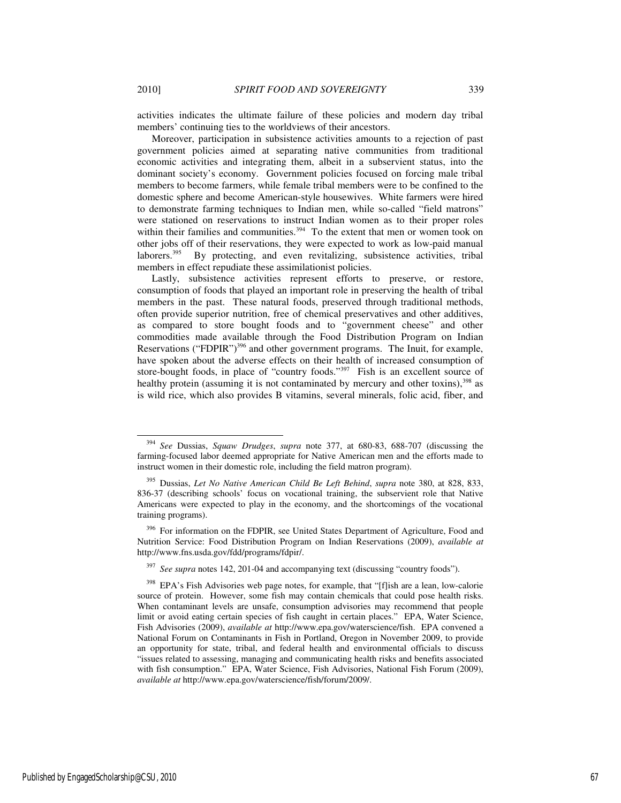l

activities indicates the ultimate failure of these policies and modern day tribal members' continuing ties to the worldviews of their ancestors.

Moreover, participation in subsistence activities amounts to a rejection of past government policies aimed at separating native communities from traditional economic activities and integrating them, albeit in a subservient status, into the dominant society's economy. Government policies focused on forcing male tribal members to become farmers, while female tribal members were to be confined to the domestic sphere and become American-style housewives. White farmers were hired to demonstrate farming techniques to Indian men, while so-called "field matrons" were stationed on reservations to instruct Indian women as to their proper roles within their families and communities.<sup>394</sup> To the extent that men or women took on other jobs off of their reservations, they were expected to work as low-paid manual laborers.<sup>395</sup> By protecting, and even revitalizing, subsistence activities, tribal members in effect repudiate these assimilationist policies.

Lastly, subsistence activities represent efforts to preserve, or restore, consumption of foods that played an important role in preserving the health of tribal members in the past. These natural foods, preserved through traditional methods, often provide superior nutrition, free of chemical preservatives and other additives, as compared to store bought foods and to "government cheese" and other commodities made available through the Food Distribution Program on Indian Reservations ("FDPIR")<sup>396</sup> and other government programs. The Inuit, for example, have spoken about the adverse effects on their health of increased consumption of store-bought foods, in place of "country foods."<sup>397</sup> Fish is an excellent source of healthy protein (assuming it is not contaminated by mercury and other toxins),<sup>398</sup> as is wild rice, which also provides B vitamins, several minerals, folic acid, fiber, and

<sup>394</sup> *See* Dussias, *Squaw Drudges*, *supra* note 377, at 680-83, 688-707 (discussing the farming-focused labor deemed appropriate for Native American men and the efforts made to instruct women in their domestic role, including the field matron program).

<sup>395</sup> Dussias, *Let No Native American Child Be Left Behind*, *supra* note 380, at 828, 833, 836-37 (describing schools' focus on vocational training, the subservient role that Native Americans were expected to play in the economy, and the shortcomings of the vocational training programs).

<sup>&</sup>lt;sup>396</sup> For information on the FDPIR, see United States Department of Agriculture, Food and Nutrition Service: Food Distribution Program on Indian Reservations (2009), *available at* http://www.fns.usda.gov/fdd/programs/fdpir/.

<sup>397</sup> *See supra* notes 142, 201-04 and accompanying text (discussing "country foods").

<sup>&</sup>lt;sup>398</sup> EPA's Fish Advisories web page notes, for example, that "[f]ish are a lean, low-calorie source of protein. However, some fish may contain chemicals that could pose health risks. When contaminant levels are unsafe, consumption advisories may recommend that people limit or avoid eating certain species of fish caught in certain places." EPA, Water Science, Fish Advisories (2009), *available at* http://www.epa.gov/waterscience/fish. EPA convened a National Forum on Contaminants in Fish in Portland, Oregon in November 2009, to provide an opportunity for state, tribal, and federal health and environmental officials to discuss "issues related to assessing, managing and communicating health risks and benefits associated with fish consumption." EPA, Water Science, Fish Advisories, National Fish Forum (2009), *available at* http://www.epa.gov/waterscience/fish/forum/2009/.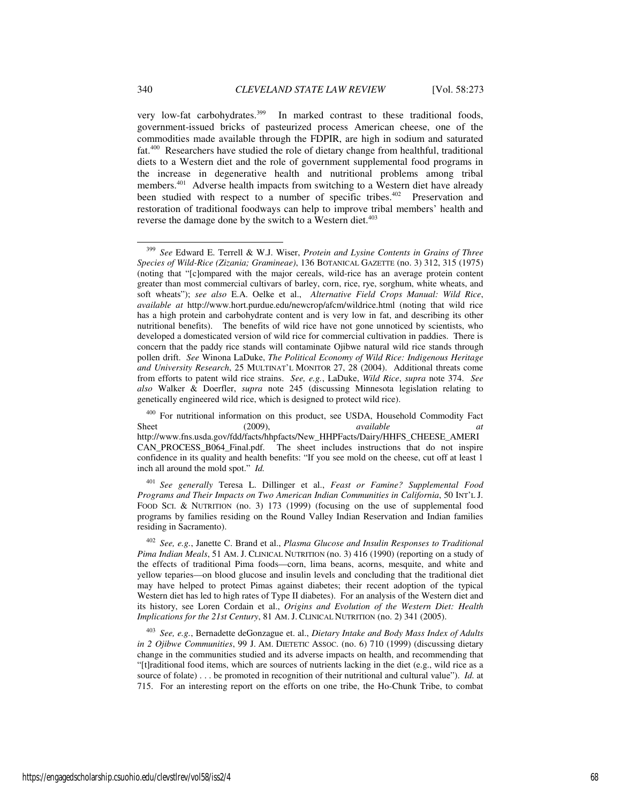very low-fat carbohydrates.<sup>399</sup> In marked contrast to these traditional foods, government-issued bricks of pasteurized process American cheese, one of the commodities made available through the FDPIR, are high in sodium and saturated fat.<sup>400</sup> Researchers have studied the role of dietary change from healthful, traditional diets to a Western diet and the role of government supplemental food programs in the increase in degenerative health and nutritional problems among tribal members.<sup>401</sup> Adverse health impacts from switching to a Western diet have already been studied with respect to a number of specific tribes.<sup>402</sup> Preservation and restoration of traditional foodways can help to improve tribal members' health and reverse the damage done by the switch to a Western diet.<sup>403</sup>

<sup>400</sup> For nutritional information on this product, see USDA, Household Commodity Fact (2009),  $\frac{1}{2}$  available available Sheet (2009), *available at* http://www.fns.usda.gov/fdd/facts/hhpfacts/New\_HHPFacts/Dairy/HHFS\_CHEESE\_AMERI CAN\_PROCESS\_B064\_Final.pdf. The sheet includes instructions that do not inspire confidence in its quality and health benefits: "If you see mold on the cheese, cut off at least 1 inch all around the mold spot." *Id.*

<sup>401</sup> *See generally* Teresa L. Dillinger et al., *Feast or Famine? Supplemental Food Programs and Their Impacts on Two American Indian Communities in California*, 50 INT'L J. FOOD SCI. & NUTRITION (no. 3) 173 (1999) (focusing on the use of supplemental food programs by families residing on the Round Valley Indian Reservation and Indian families residing in Sacramento).

<sup>402</sup> *See, e.g.*, Janette C. Brand et al., *Plasma Glucose and Insulin Responses to Traditional Pima Indian Meals*, 51 AM. J. CLINICAL NUTRITION (no. 3) 416 (1990) (reporting on a study of the effects of traditional Pima foods—corn, lima beans, acorns, mesquite, and white and yellow teparies—on blood glucose and insulin levels and concluding that the traditional diet may have helped to protect Pimas against diabetes; their recent adoption of the typical Western diet has led to high rates of Type II diabetes). For an analysis of the Western diet and its history, see Loren Cordain et al., *Origins and Evolution of the Western Diet: Health Implications for the 21st Century*, 81 AM. J. CLINICAL NUTRITION (no. 2) 341 (2005).

<sup>403</sup> *See, e.g.*, Bernadette deGonzague et. al., *Dietary Intake and Body Mass Index of Adults in 2 Ojibwe Communities*, 99 J. AM. DIETETIC Assoc. (no. 6) 710 (1999) (discussing dietary change in the communities studied and its adverse impacts on health, and recommending that "[t]raditional food items, which are sources of nutrients lacking in the diet (e.g., wild rice as a source of folate) . . . be promoted in recognition of their nutritional and cultural value"). *Id.* at 715.For an interesting report on the efforts on one tribe, the Ho-Chunk Tribe, to combat

<sup>399</sup> *See* Edward E. Terrell & W.J. Wiser, *Protein and Lysine Contents in Grains of Three Species of Wild-Rice (Zizania; Gramineae)*, 136 BOTANICAL GAZETTE (no. 3) 312, 315 (1975) (noting that "[c]ompared with the major cereals, wild-rice has an average protein content greater than most commercial cultivars of barley, corn, rice, rye, sorghum, white wheats, and soft wheats"); *see also* E.A. Oelke et al., *Alternative Field Crops Manual: Wild Rice*, *available at* http://www.hort.purdue.edu/newcrop/afcm/wildrice.html (noting that wild rice has a high protein and carbohydrate content and is very low in fat, and describing its other nutritional benefits). The benefits of wild rice have not gone unnoticed by scientists, who developed a domesticated version of wild rice for commercial cultivation in paddies. There is concern that the paddy rice stands will contaminate Ojibwe natural wild rice stands through pollen drift. *See* Winona LaDuke, *The Political Economy of Wild Rice: Indigenous Heritage and University Research*, 25 MULTINAT'L MONITOR 27, 28 (2004). Additional threats come from efforts to patent wild rice strains. *See, e.g.*, LaDuke, *Wild Rice*, *supra* note 374. *See also* Walker & Doerfler, *supra* note 245 (discussing Minnesota legislation relating to genetically engineered wild rice, which is designed to protect wild rice).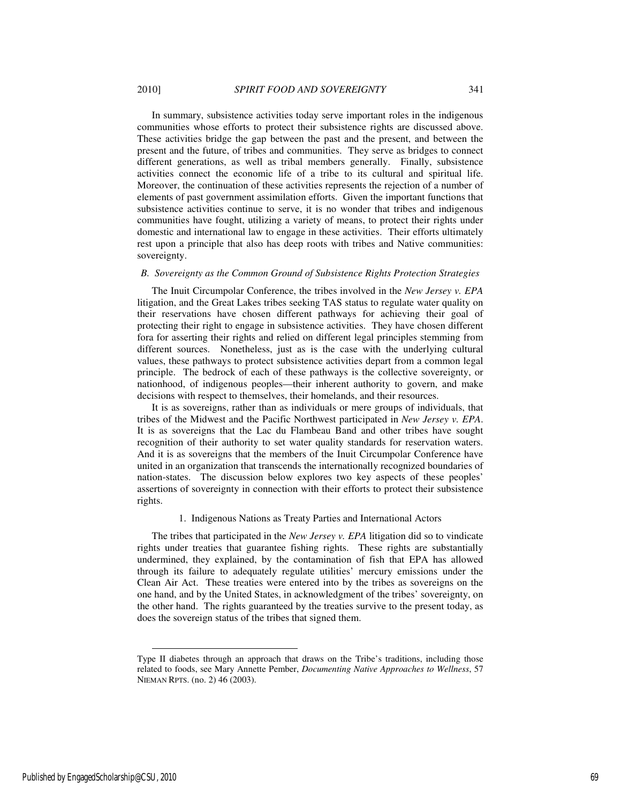In summary, subsistence activities today serve important roles in the indigenous communities whose efforts to protect their subsistence rights are discussed above. These activities bridge the gap between the past and the present, and between the present and the future, of tribes and communities. They serve as bridges to connect different generations, as well as tribal members generally. Finally, subsistence activities connect the economic life of a tribe to its cultural and spiritual life. Moreover, the continuation of these activities represents the rejection of a number of elements of past government assimilation efforts. Given the important functions that subsistence activities continue to serve, it is no wonder that tribes and indigenous communities have fought, utilizing a variety of means, to protect their rights under domestic and international law to engage in these activities. Their efforts ultimately rest upon a principle that also has deep roots with tribes and Native communities: sovereignty.

#### *B. Sovereignty as the Common Ground of Subsistence Rights Protection Strategies*

The Inuit Circumpolar Conference, the tribes involved in the *New Jersey v. EPA* litigation, and the Great Lakes tribes seeking TAS status to regulate water quality on their reservations have chosen different pathways for achieving their goal of protecting their right to engage in subsistence activities. They have chosen different fora for asserting their rights and relied on different legal principles stemming from different sources. Nonetheless, just as is the case with the underlying cultural values, these pathways to protect subsistence activities depart from a common legal principle. The bedrock of each of these pathways is the collective sovereignty, or nationhood, of indigenous peoples—their inherent authority to govern, and make decisions with respect to themselves, their homelands, and their resources.

It is as sovereigns, rather than as individuals or mere groups of individuals, that tribes of the Midwest and the Pacific Northwest participated in *New Jersey v. EPA*. It is as sovereigns that the Lac du Flambeau Band and other tribes have sought recognition of their authority to set water quality standards for reservation waters. And it is as sovereigns that the members of the Inuit Circumpolar Conference have united in an organization that transcends the internationally recognized boundaries of nation-states. The discussion below explores two key aspects of these peoples' assertions of sovereignty in connection with their efforts to protect their subsistence rights.

## 1. Indigenous Nations as Treaty Parties and International Actors

The tribes that participated in the *New Jersey v. EPA* litigation did so to vindicate rights under treaties that guarantee fishing rights. These rights are substantially undermined, they explained, by the contamination of fish that EPA has allowed through its failure to adequately regulate utilities' mercury emissions under the Clean Air Act. These treaties were entered into by the tribes as sovereigns on the one hand, and by the United States, in acknowledgment of the tribes' sovereignty, on the other hand. The rights guaranteed by the treaties survive to the present today, as does the sovereign status of the tribes that signed them.

Type II diabetes through an approach that draws on the Tribe's traditions, including those related to foods, see Mary Annette Pember, *Documenting Native Approaches to Wellness*, 57 NIEMAN RPTS. (no. 2) 46 (2003).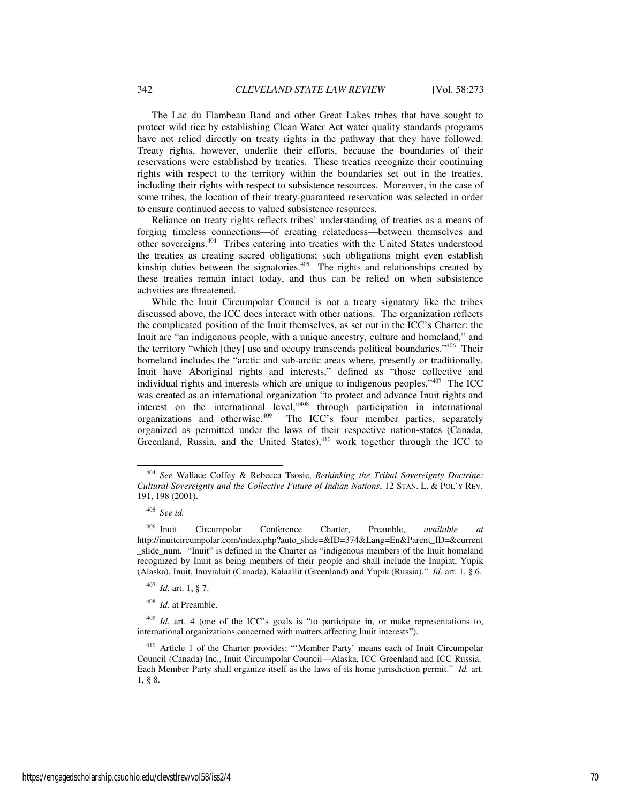The Lac du Flambeau Band and other Great Lakes tribes that have sought to protect wild rice by establishing Clean Water Act water quality standards programs have not relied directly on treaty rights in the pathway that they have followed. Treaty rights, however, underlie their efforts, because the boundaries of their reservations were established by treaties. These treaties recognize their continuing rights with respect to the territory within the boundaries set out in the treaties, including their rights with respect to subsistence resources. Moreover, in the case of some tribes, the location of their treaty-guaranteed reservation was selected in order to ensure continued access to valued subsistence resources.

Reliance on treaty rights reflects tribes' understanding of treaties as a means of forging timeless connections—of creating relatedness—between themselves and other sovereigns.<sup>404</sup> Tribes entering into treaties with the United States understood the treaties as creating sacred obligations; such obligations might even establish kinship duties between the signatories.<sup>405</sup> The rights and relationships created by these treaties remain intact today, and thus can be relied on when subsistence activities are threatened.

While the Inuit Circumpolar Council is not a treaty signatory like the tribes discussed above, the ICC does interact with other nations. The organization reflects the complicated position of the Inuit themselves, as set out in the ICC's Charter: the Inuit are "an indigenous people, with a unique ancestry, culture and homeland," and the territory "which [they] use and occupy transcends political boundaries."<sup>406</sup> Their homeland includes the "arctic and sub-arctic areas where, presently or traditionally, Inuit have Aboriginal rights and interests," defined as "those collective and individual rights and interests which are unique to indigenous peoples."<sup>407</sup> The ICC was created as an international organization "to protect and advance Inuit rights and interest on the international level,"<sup>408</sup> through participation in international organizations and otherwise.<sup>409</sup> The ICC's four member parties, separately organized as permitted under the laws of their respective nation-states (Canada, Greenland, Russia, and the United States), $410$  work together through the ICC to

<sup>404</sup> *See* Wallace Coffey & Rebecca Tsosie, *Rethinking the Tribal Sovereignty Doctrine: Cultural Sovereignty and the Collective Future of Indian Nations*, 12 STAN. L. & POL'Y REV. 191, 198 (2001).

<sup>405</sup> *See id.*

<sup>406</sup> Inuit Circumpolar Conference Charter, Preamble, *available at* http://inuitcircumpolar.com/index.php?auto\_slide=&ID=374&Lang=En&Parent\_ID=&current \_slide\_num. "Inuit" is defined in the Charter as "indigenous members of the Inuit homeland recognized by Inuit as being members of their people and shall include the Inupiat, Yupik (Alaska), Inuit, Inuvialuit (Canada), Kalaallit (Greenland) and Yupik (Russia)." *Id.* art. 1, § 6.

<sup>407</sup> *Id.* art. 1, § 7.

<sup>408</sup> *Id.* at Preamble.

<sup>&</sup>lt;sup>409</sup> *Id.* art. 4 (one of the ICC's goals is "to participate in, or make representations to, international organizations concerned with matters affecting Inuit interests").

<sup>410</sup> Article 1 of the Charter provides: "'Member Party' means each of Inuit Circumpolar Council (Canada) Inc., Inuit Circumpolar Council—Alaska, ICC Greenland and ICC Russia. Each Member Party shall organize itself as the laws of its home jurisdiction permit." *Id.* art. 1, § 8.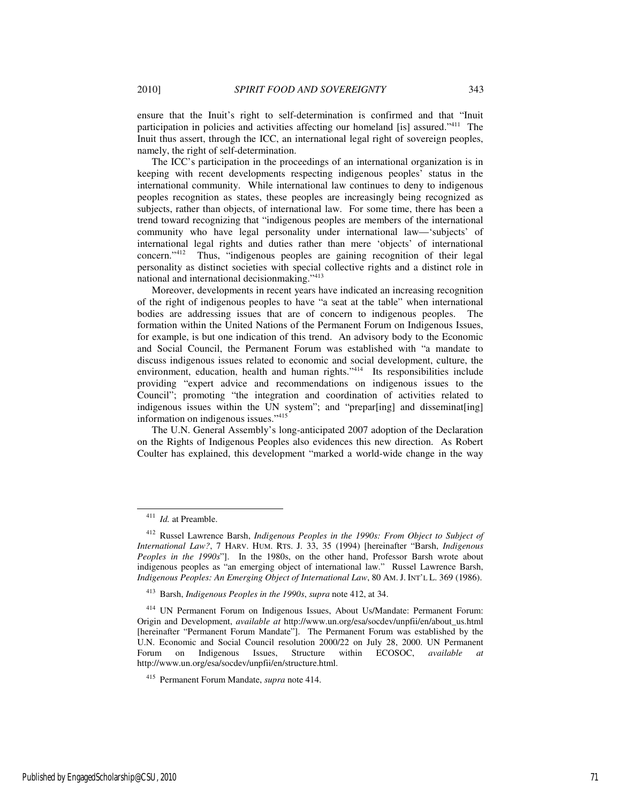ensure that the Inuit's right to self-determination is confirmed and that "Inuit participation in policies and activities affecting our homeland [is] assured."<sup>411</sup> The Inuit thus assert, through the ICC, an international legal right of sovereign peoples, namely, the right of self-determination.

The ICC's participation in the proceedings of an international organization is in keeping with recent developments respecting indigenous peoples' status in the international community. While international law continues to deny to indigenous peoples recognition as states, these peoples are increasingly being recognized as subjects, rather than objects, of international law. For some time, there has been a trend toward recognizing that "indigenous peoples are members of the international community who have legal personality under international law—'subjects' of international legal rights and duties rather than mere 'objects' of international concern."<sup>412</sup> Thus, "indigenous peoples are gaining recognition of their legal personality as distinct societies with special collective rights and a distinct role in national and international decisionmaking."<sup>413</sup>

Moreover, developments in recent years have indicated an increasing recognition of the right of indigenous peoples to have "a seat at the table" when international bodies are addressing issues that are of concern to indigenous peoples. The formation within the United Nations of the Permanent Forum on Indigenous Issues, for example, is but one indication of this trend. An advisory body to the Economic and Social Council, the Permanent Forum was established with "a mandate to discuss indigenous issues related to economic and social development, culture, the environment, education, health and human rights."<sup>414</sup> Its responsibilities include providing "expert advice and recommendations on indigenous issues to the Council"; promoting "the integration and coordination of activities related to indigenous issues within the UN system"; and "prepar[ing] and disseminat[ing] information on indigenous issues."<sup>415</sup>

The U.N. General Assembly's long-anticipated 2007 adoption of the Declaration on the Rights of Indigenous Peoples also evidences this new direction. As Robert Coulter has explained, this development "marked a world-wide change in the way

<sup>411</sup> *Id.* at Preamble.

<sup>412</sup> Russel Lawrence Barsh, *Indigenous Peoples in the 1990s: From Object to Subject of International Law?*, 7 HARV. HUM. RTS. J. 33, 35 (1994) [hereinafter "Barsh, *Indigenous Peoples in the 1990s*"]. In the 1980s, on the other hand, Professor Barsh wrote about indigenous peoples as "an emerging object of international law." Russel Lawrence Barsh, *Indigenous Peoples: An Emerging Object of International Law*, 80 AM. J. INT'L L. 369 (1986).

<sup>413</sup> Barsh, *Indigenous Peoples in the 1990s*, *supra* note 412, at 34.

<sup>414</sup> UN Permanent Forum on Indigenous Issues, About Us/Mandate: Permanent Forum: Origin and Development, *available at* http://www.un.org/esa/socdev/unpfii/en/about\_us.html [hereinafter "Permanent Forum Mandate"]. The Permanent Forum was established by the U.N. Economic and Social Council resolution 2000/22 on July 28, 2000. UN Permanent Forum on Indigenous Issues, Structure within ECOSOC, *available* http://www.un.org/esa/socdev/unpfii/en/structure.html.

<sup>415</sup> Permanent Forum Mandate, *supra* note 414.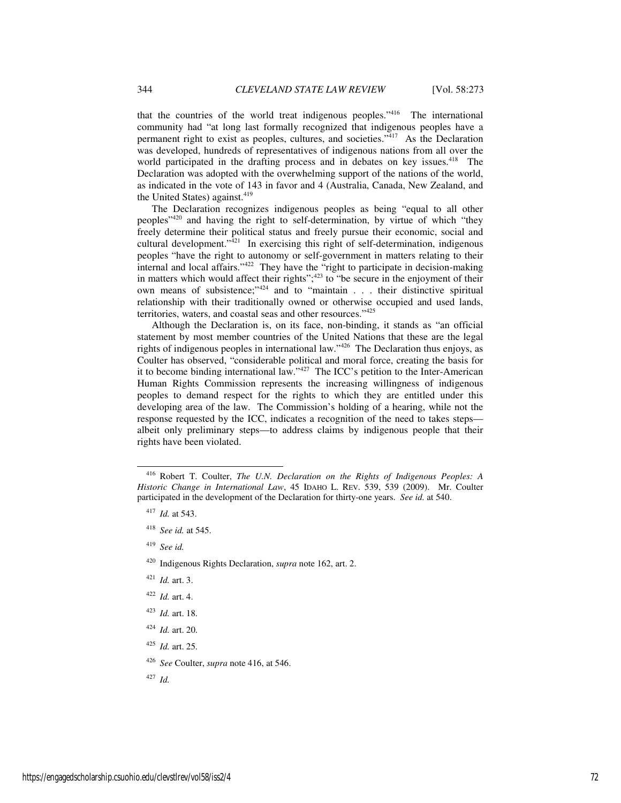that the countries of the world treat indigenous peoples."<sup>416</sup> The international community had "at long last formally recognized that indigenous peoples have a permanent right to exist as peoples, cultures, and societies."<sup>417</sup> As the Declaration was developed, hundreds of representatives of indigenous nations from all over the world participated in the drafting process and in debates on key issues.<sup>418</sup> The Declaration was adopted with the overwhelming support of the nations of the world, as indicated in the vote of 143 in favor and 4 (Australia, Canada, New Zealand, and the United States) against.<sup>419</sup>

The Declaration recognizes indigenous peoples as being "equal to all other peoples"<sup>420</sup> and having the right to self-determination, by virtue of which "they freely determine their political status and freely pursue their economic, social and cultural development. $\frac{1}{421}$  In exercising this right of self-determination, indigenous peoples "have the right to autonomy or self-government in matters relating to their internal and local affairs." $422$  They have the "right to participate in decision-making in matters which would affect their rights"; $423$  to "be secure in the enjoyment of their own means of subsistence;"<sup>424</sup> and to "maintain . . . their distinctive spiritual relationship with their traditionally owned or otherwise occupied and used lands, territories, waters, and coastal seas and other resources."<sup>425</sup>

Although the Declaration is, on its face, non-binding, it stands as "an official statement by most member countries of the United Nations that these are the legal rights of indigenous peoples in international law."<sup>426</sup> The Declaration thus enjoys, as Coulter has observed, "considerable political and moral force, creating the basis for it to become binding international law."<sup>427</sup> The ICC's petition to the Inter-American Human Rights Commission represents the increasing willingness of indigenous peoples to demand respect for the rights to which they are entitled under this developing area of the law. The Commission's holding of a hearing, while not the response requested by the ICC, indicates a recognition of the need to takes steps albeit only preliminary steps—to address claims by indigenous people that their rights have been violated.

-

<sup>419</sup> *See id.*

- <sup>421</sup> *Id.* art. 3.
- <sup>422</sup> *Id.* art. 4.
- <sup>423</sup> *Id.* art. 18.
- <sup>424</sup> *Id.* art. 20.
- <sup>425</sup> *Id.* art. 25.
- <sup>426</sup> *See* Coulter, *supra* note 416, at 546.

<sup>427</sup> *Id.*

<sup>416</sup> Robert T. Coulter, *The U.N. Declaration on the Rights of Indigenous Peoples: A Historic Change in International Law*, 45 IDAHO L. REV. 539, 539 (2009). Mr. Coulter participated in the development of the Declaration for thirty-one years. *See id.* at 540.

<sup>417</sup> *Id.* at 543.

<sup>418</sup> *See id.* at 545.

<sup>420</sup> Indigenous Rights Declaration, *supra* note 162, art. 2.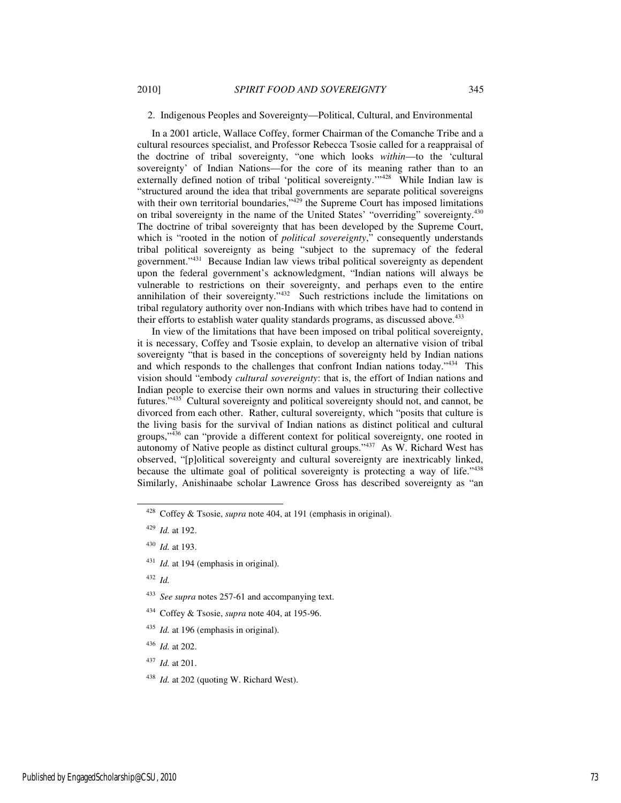## 2. Indigenous Peoples and Sovereignty—Political, Cultural, and Environmental

In a 2001 article, Wallace Coffey, former Chairman of the Comanche Tribe and a cultural resources specialist, and Professor Rebecca Tsosie called for a reappraisal of the doctrine of tribal sovereignty, "one which looks *within*—to the 'cultural sovereignty' of Indian Nations—for the core of its meaning rather than to an externally defined notion of tribal 'political sovereignty.'"<sup>428</sup> While Indian law is "structured around the idea that tribal governments are separate political sovereigns with their own territorial boundaries,"<sup>429</sup> the Supreme Court has imposed limitations on tribal sovereignty in the name of the United States' "overriding" sovereignty.<sup>430</sup> The doctrine of tribal sovereignty that has been developed by the Supreme Court, which is "rooted in the notion of *political sovereignty*," consequently understands tribal political sovereignty as being "subject to the supremacy of the federal government."<sup>431</sup> Because Indian law views tribal political sovereignty as dependent upon the federal government's acknowledgment, "Indian nations will always be vulnerable to restrictions on their sovereignty, and perhaps even to the entire annihilation of their sovereignty."<sup>432</sup> Such restrictions include the limitations on tribal regulatory authority over non-Indians with which tribes have had to contend in their efforts to establish water quality standards programs, as discussed above.<sup>433</sup>

In view of the limitations that have been imposed on tribal political sovereignty, it is necessary, Coffey and Tsosie explain, to develop an alternative vision of tribal sovereignty "that is based in the conceptions of sovereignty held by Indian nations and which responds to the challenges that confront Indian nations today."<sup>434</sup> This vision should "embody *cultural sovereignty*: that is, the effort of Indian nations and Indian people to exercise their own norms and values in structuring their collective futures."<sup>435</sup> Cultural sovereignty and political sovereignty should not, and cannot, be divorced from each other. Rather, cultural sovereignty, which "posits that culture is the living basis for the survival of Indian nations as distinct political and cultural groups,"<sup>436</sup> can "provide a different context for political sovereignty, one rooted in autonomy of Native people as distinct cultural groups."<sup>437</sup> As W. Richard West has observed, "[p]olitical sovereignty and cultural sovereignty are inextricably linked, because the ultimate goal of political sovereignty is protecting a way of life."438 Similarly, Anishinaabe scholar Lawrence Gross has described sovereignty as "an

j

- <sup>434</sup> Coffey & Tsosie, *supra* note 404, at 195-96.
- <sup>435</sup> *Id.* at 196 (emphasis in original).
- <sup>436</sup> *Id.* at 202.
- <sup>437</sup> *Id.* at 201.
- <sup>438</sup> *Id.* at 202 (quoting W. Richard West).

<sup>428</sup> Coffey & Tsosie, *supra* note 404, at 191 (emphasis in original).

<sup>429</sup> *Id.* at 192.

<sup>430</sup> *Id.* at 193.

<sup>431</sup> *Id.* at 194 (emphasis in original).

<sup>432</sup> *Id.*

<sup>433</sup> *See supra* notes 257-61 and accompanying text.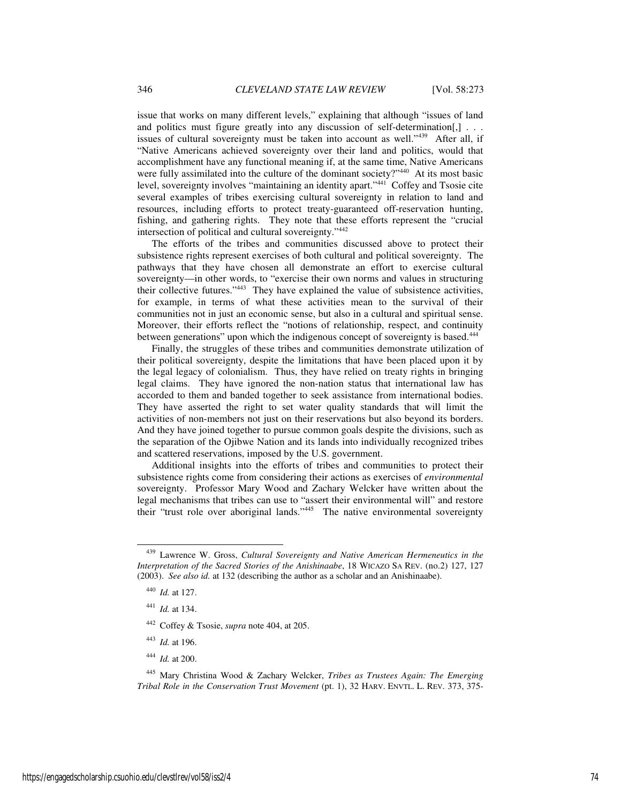issue that works on many different levels," explaining that although "issues of land and politics must figure greatly into any discussion of self-determination[,] . . . issues of cultural sovereignty must be taken into account as well."<sup>439</sup> After all, if "Native Americans achieved sovereignty over their land and politics, would that accomplishment have any functional meaning if, at the same time, Native Americans were fully assimilated into the culture of the dominant society?"<sup>440</sup> At its most basic level, sovereignty involves "maintaining an identity apart."<sup>441</sup> Coffey and Tsosie cite several examples of tribes exercising cultural sovereignty in relation to land and resources, including efforts to protect treaty-guaranteed off-reservation hunting, fishing, and gathering rights. They note that these efforts represent the "crucial intersection of political and cultural sovereignty."<sup>442</sup>

The efforts of the tribes and communities discussed above to protect their subsistence rights represent exercises of both cultural and political sovereignty. The pathways that they have chosen all demonstrate an effort to exercise cultural sovereignty—in other words, to "exercise their own norms and values in structuring their collective futures."<sup>443</sup> They have explained the value of subsistence activities, for example, in terms of what these activities mean to the survival of their communities not in just an economic sense, but also in a cultural and spiritual sense. Moreover, their efforts reflect the "notions of relationship, respect, and continuity between generations" upon which the indigenous concept of sovereignty is based.<sup>444</sup>

Finally, the struggles of these tribes and communities demonstrate utilization of their political sovereignty, despite the limitations that have been placed upon it by the legal legacy of colonialism. Thus, they have relied on treaty rights in bringing legal claims. They have ignored the non-nation status that international law has accorded to them and banded together to seek assistance from international bodies. They have asserted the right to set water quality standards that will limit the activities of non-members not just on their reservations but also beyond its borders. And they have joined together to pursue common goals despite the divisions, such as the separation of the Ojibwe Nation and its lands into individually recognized tribes and scattered reservations, imposed by the U.S. government.

Additional insights into the efforts of tribes and communities to protect their subsistence rights come from considering their actions as exercises of *environmental* sovereignty. Professor Mary Wood and Zachary Welcker have written about the legal mechanisms that tribes can use to "assert their environmental will" and restore their "trust role over aboriginal lands."<sup>445</sup> The native environmental sovereignty

-

- <sup>443</sup> *Id.* at 196.
- <sup>444</sup> *Id.* at 200.

<sup>439</sup> Lawrence W. Gross, *Cultural Sovereignty and Native American Hermeneutics in the Interpretation of the Sacred Stories of the Anishinaabe*, 18 WICAZO SA REV. (no.2) 127, 127 (2003). *See also id.* at 132 (describing the author as a scholar and an Anishinaabe).

<sup>440</sup> *Id.* at 127.

<sup>441</sup> *Id.* at 134.

<sup>442</sup> Coffey & Tsosie, *supra* note 404, at 205.

<sup>445</sup> Mary Christina Wood & Zachary Welcker, *Tribes as Trustees Again: The Emerging Tribal Role in the Conservation Trust Movement* (pt. 1), 32 HARV. ENVTL. L. REV. 373, 375-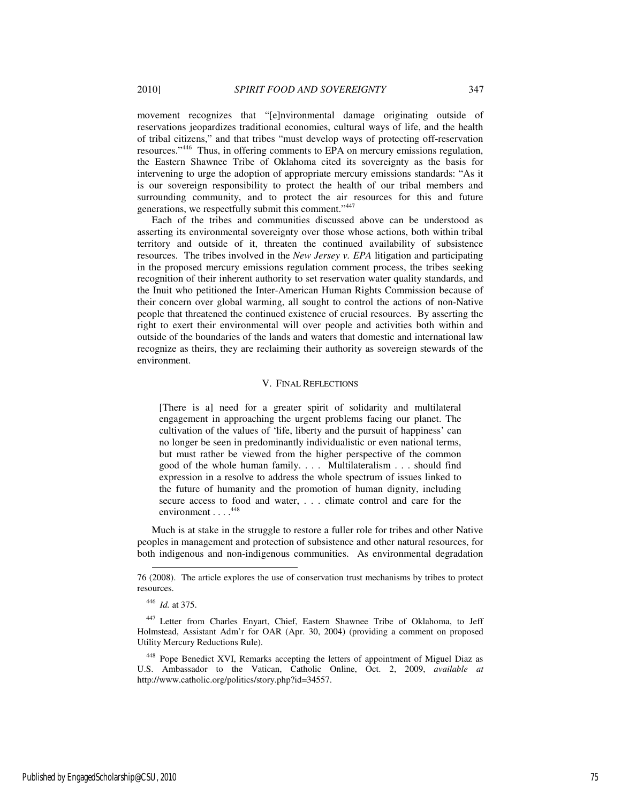movement recognizes that "[e]nvironmental damage originating outside of reservations jeopardizes traditional economies, cultural ways of life, and the health of tribal citizens," and that tribes "must develop ways of protecting off-reservation resources."<sup>446</sup> Thus, in offering comments to EPA on mercury emissions regulation, the Eastern Shawnee Tribe of Oklahoma cited its sovereignty as the basis for intervening to urge the adoption of appropriate mercury emissions standards: "As it is our sovereign responsibility to protect the health of our tribal members and surrounding community, and to protect the air resources for this and future generations, we respectfully submit this comment."<sup>447</sup>

Each of the tribes and communities discussed above can be understood as asserting its environmental sovereignty over those whose actions, both within tribal territory and outside of it, threaten the continued availability of subsistence resources. The tribes involved in the *New Jersey v. EPA* litigation and participating in the proposed mercury emissions regulation comment process, the tribes seeking recognition of their inherent authority to set reservation water quality standards, and the Inuit who petitioned the Inter-American Human Rights Commission because of their concern over global warming, all sought to control the actions of non-Native people that threatened the continued existence of crucial resources. By asserting the right to exert their environmental will over people and activities both within and outside of the boundaries of the lands and waters that domestic and international law recognize as theirs, they are reclaiming their authority as sovereign stewards of the environment.

## V. FINAL REFLECTIONS

[There is a] need for a greater spirit of solidarity and multilateral engagement in approaching the urgent problems facing our planet. The cultivation of the values of 'life, liberty and the pursuit of happiness' can no longer be seen in predominantly individualistic or even national terms, but must rather be viewed from the higher perspective of the common good of the whole human family. . . . Multilateralism . . . should find expression in a resolve to address the whole spectrum of issues linked to the future of humanity and the promotion of human dignity, including secure access to food and water, . . . climate control and care for the environment . . . . 448

Much is at stake in the struggle to restore a fuller role for tribes and other Native peoples in management and protection of subsistence and other natural resources, for both indigenous and non-indigenous communities. As environmental degradation

l

<sup>76 (2008).</sup> The article explores the use of conservation trust mechanisms by tribes to protect resources.

<sup>446</sup> *Id.* at 375.

<sup>447</sup> Letter from Charles Enyart, Chief, Eastern Shawnee Tribe of Oklahoma, to Jeff Holmstead, Assistant Adm'r for OAR (Apr. 30, 2004) (providing a comment on proposed Utility Mercury Reductions Rule).

<sup>448</sup> Pope Benedict XVI, Remarks accepting the letters of appointment of Miguel Diaz as U.S. Ambassador to the Vatican, Catholic Online, Oct. 2, 2009, *available at* http://www.catholic.org/politics/story.php?id=34557.